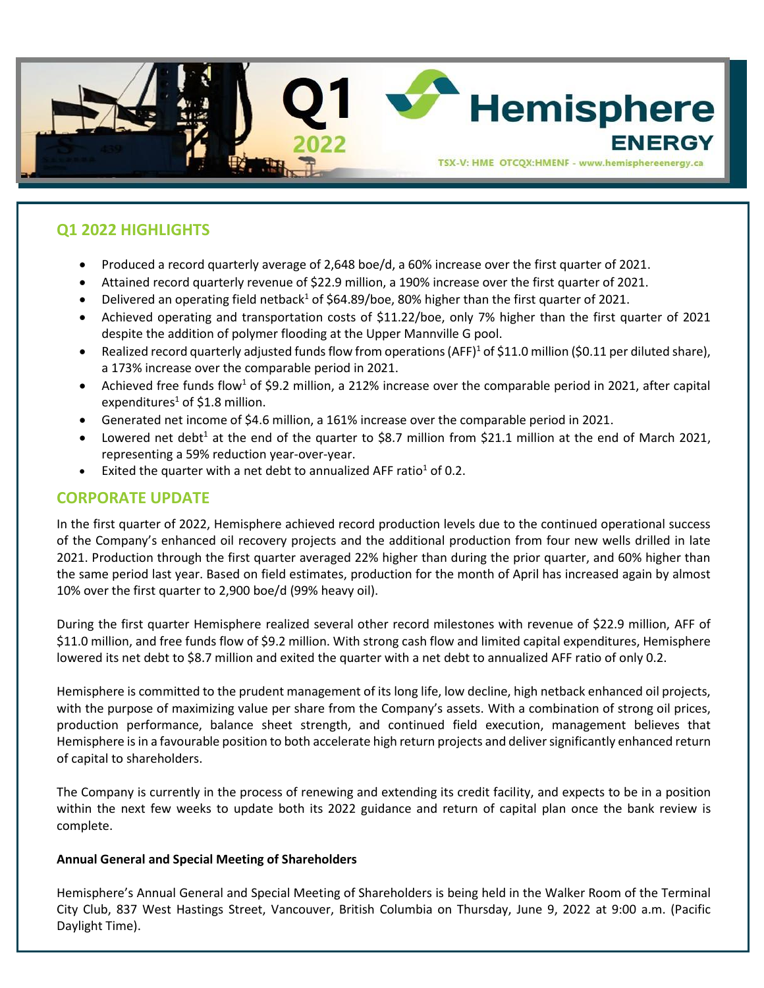

## **Q1 2022 HIGHLIGHTS**

- Produced a record quarterly average of 2,648 boe/d, a 60% increase over the first quarter of 2021.
- Attained record quarterly revenue of \$22.9 million, a 190% increase over the first quarter of 2021.
- Delivered an operating field netback<sup>1</sup> of \$64.89/boe, 80% higher than the first quarter of 2021.
- Achieved operating and transportation costs of \$11.22/boe, only 7% higher than the first quarter of 2021 despite the addition of polymer flooding at the Upper Mannville G pool.
- Realized record quarterly adjusted funds flow from operations (AFF)<sup>1</sup> of \$11.0 million (\$0.11 per diluted share), a 173% increase over the comparable period in 2021.
- Achieved free funds flow<sup>1</sup> of \$9.2 million, a 212% increase over the comparable period in 2021, after capital expenditures<sup>1</sup> of \$1.8 million.
- Generated net income of \$4.6 million, a 161% increase over the comparable period in 2021.
- Lowered net debt<sup>1</sup> at the end of the quarter to \$8.7 million from \$21.1 million at the end of March 2021, representing a 59% reduction year-over-year.
- Exited the quarter with a net debt to annualized AFF ratio<sup>1</sup> of 0.2.

## **CORPORATE UPDATE**

In the first quarter of 2022, Hemisphere achieved record production levels due to the continued operational success of the Company's enhanced oil recovery projects and the additional production from four new wells drilled in late 2021. Production through the first quarter averaged 22% higher than during the prior quarter, and 60% higher than the same period last year. Based on field estimates, production for the month of April has increased again by almost 10% over the first quarter to 2,900 boe/d (99% heavy oil).

During the first quarter Hemisphere realized several other record milestones with revenue of \$22.9 million, AFF of \$11.0 million, and free funds flow of \$9.2 million. With strong cash flow and limited capital expenditures, Hemisphere lowered its net debt to \$8.7 million and exited the quarter with a net debt to annualized AFF ratio of only 0.2.

Hemisphere is committed to the prudent management of its long life, low decline, high netback enhanced oil projects, with the purpose of maximizing value per share from the Company's assets. With a combination of strong oil prices, production performance, balance sheet strength, and continued field execution, management believes that Hemisphere is in a favourable position to both accelerate high return projects and deliver significantly enhanced return of capital to shareholders.

The Company is currently in the process of renewing and extending its credit facility, and expects to be in a position within the next few weeks to update both its 2022 guidance and return of capital plan once the bank review is complete.

## **Annual General and Special Meeting of Shareholders**

Hemisphere's Annual General and Special Meeting of Shareholders is being held in the Walker Room of the Terminal City Club, 837 West Hastings Street, Vancouver, British Columbia on Thursday, June 9, 2022 at 9:00 a.m. (Pacific Daylight Time).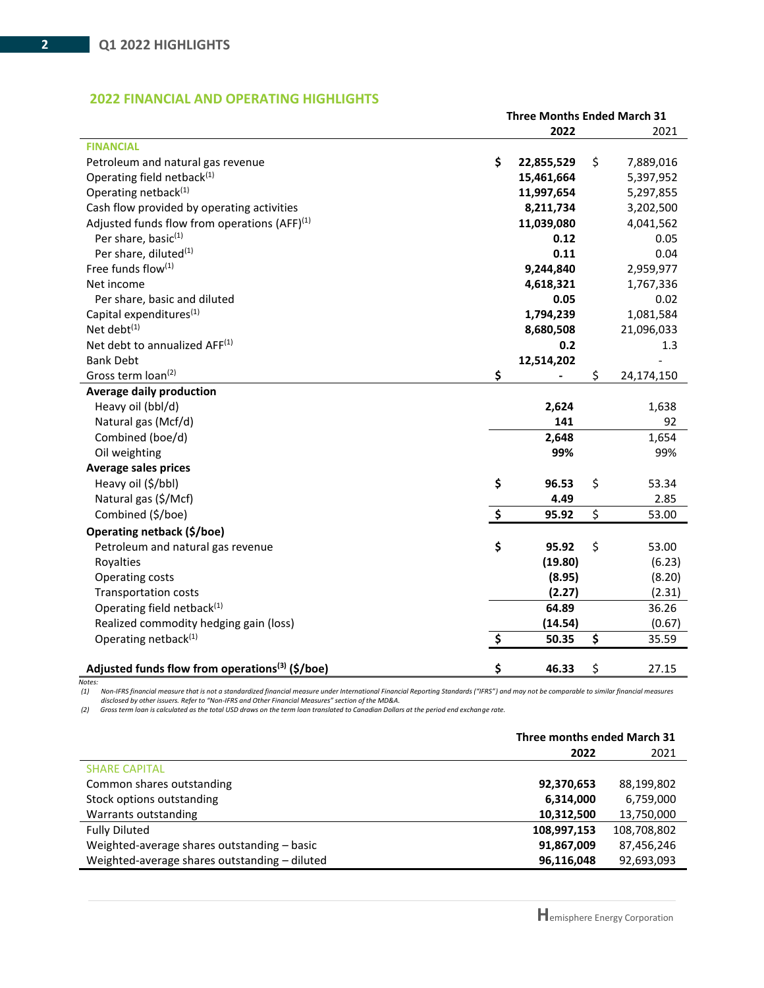## **2022 FINANCIAL AND OPERATING HIGHLIGHTS**

|                                                             | <b>Three Months Ended March 31</b> |            |    |            |
|-------------------------------------------------------------|------------------------------------|------------|----|------------|
|                                                             |                                    | 2022       |    | 2021       |
| <b>FINANCIAL</b>                                            |                                    |            |    |            |
| Petroleum and natural gas revenue                           | \$                                 | 22,855,529 | \$ | 7,889,016  |
| Operating field netback <sup>(1)</sup>                      |                                    | 15,461,664 |    | 5,397,952  |
| Operating netback <sup>(1)</sup>                            |                                    | 11,997,654 |    | 5,297,855  |
| Cash flow provided by operating activities                  |                                    | 8,211,734  |    | 3,202,500  |
| Adjusted funds flow from operations (AFF) $(1)$             |                                    | 11,039,080 |    | 4,041,562  |
| Per share, basic <sup>(1)</sup>                             |                                    | 0.12       |    | 0.05       |
| Per share, diluted <sup>(1)</sup>                           |                                    | 0.11       |    | 0.04       |
| Free funds flow(1)                                          |                                    | 9,244,840  |    | 2,959,977  |
| Net income                                                  |                                    | 4,618,321  |    | 1,767,336  |
| Per share, basic and diluted                                |                                    | 0.05       |    | 0.02       |
| Capital expenditures <sup>(1)</sup>                         |                                    | 1,794,239  |    | 1,081,584  |
| Net debt $^{(1)}$                                           |                                    | 8,680,508  |    | 21,096,033 |
| Net debt to annualized AFF(1)                               |                                    | 0.2        |    | 1.3        |
| <b>Bank Debt</b>                                            |                                    | 12,514,202 |    |            |
| Gross term loan <sup>(2)</sup>                              | \$                                 |            | \$ | 24,174,150 |
| <b>Average daily production</b>                             |                                    |            |    |            |
| Heavy oil (bbl/d)                                           |                                    | 2,624      |    | 1,638      |
| Natural gas (Mcf/d)                                         |                                    | 141        |    | 92         |
| Combined (boe/d)                                            |                                    | 2,648      |    | 1,654      |
| Oil weighting                                               |                                    | 99%        |    | 99%        |
| <b>Average sales prices</b>                                 |                                    |            |    |            |
| Heavy oil (\$/bbl)                                          | \$                                 | 96.53      | \$ | 53.34      |
| Natural gas (\$/Mcf)                                        |                                    | 4.49       |    | 2.85       |
| Combined (\$/boe)                                           | \$                                 | 95.92      | \$ | 53.00      |
| Operating netback (\$/boe)                                  |                                    |            |    |            |
| Petroleum and natural gas revenue                           | \$                                 | 95.92      | \$ | 53.00      |
| Royalties                                                   |                                    | (19.80)    |    | (6.23)     |
| Operating costs                                             |                                    | (8.95)     |    | (8.20)     |
| <b>Transportation costs</b>                                 |                                    | (2.27)     |    | (2.31)     |
| Operating field netback <sup>(1)</sup>                      |                                    | 64.89      |    | 36.26      |
| Realized commodity hedging gain (loss)                      |                                    | (14.54)    |    | (0.67)     |
| Operating netback <sup>(1)</sup>                            | \$                                 | 50.35      | \$ | 35.59      |
| Adjusted funds flow from operations <sup>(3)</sup> (\$/boe) | \$                                 | 46.33      | \$ | 27.15      |

*Notes: (1) Non-IFRS financial measure that is not a standardized financial measure under International Financial Reporting Standards ("IFRS") and may not be comparable to similar financial measures* 

disclosed by other issuers. Refer to "Non-IFRS and Other Financial Measures" section of the MD&A.<br>Gross term loan is calculated as the total USD draws on the term loan translated to Canadian Dollars at the period end excha

|                                               | Three months ended March 31 |             |  |  |
|-----------------------------------------------|-----------------------------|-------------|--|--|
|                                               | 2022                        | 2021        |  |  |
| <b>SHARE CAPITAL</b>                          |                             |             |  |  |
| Common shares outstanding                     | 92,370,653                  | 88,199,802  |  |  |
| Stock options outstanding                     | 6,314,000                   | 6,759,000   |  |  |
| Warrants outstanding                          | 10,312,500                  | 13,750,000  |  |  |
| <b>Fully Diluted</b>                          | 108,997,153                 | 108,708,802 |  |  |
| Weighted-average shares outstanding - basic   | 91,867,009                  | 87,456,246  |  |  |
| Weighted-average shares outstanding - diluted | 96,116,048                  | 92,693,093  |  |  |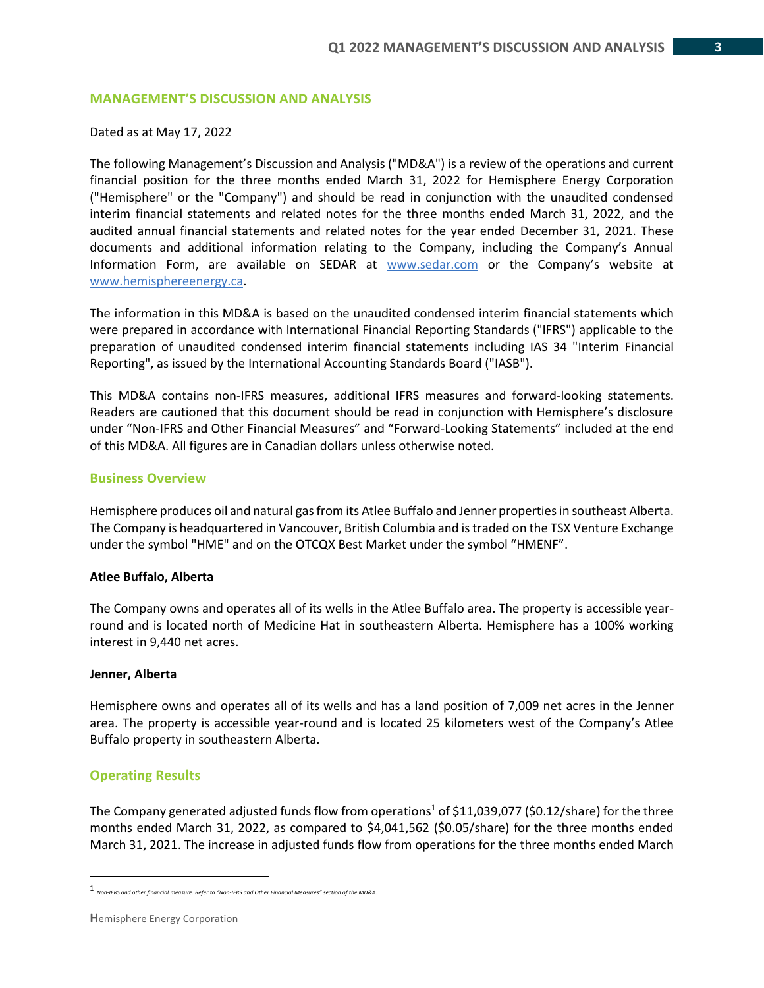#### **MANAGEMENT'S DISCUSSION AND ANALYSIS**

#### Dated as at May 17, 2022

The following Management's Discussion and Analysis ("MD&A") is a review of the operations and current financial position for the three months ended March 31, 2022 for Hemisphere Energy Corporation ("Hemisphere" or the "Company") and should be read in conjunction with the unaudited condensed interim financial statements and related notes for the three months ended March 31, 2022, and the audited annual financial statements and related notes for the year ended December 31, 2021. These documents and additional information relating to the Company, including the Company's Annual Information Form, are available on SEDAR at [www.sedar.com](http://www.sedar.com/) or the Company's website at www.hemisphereenergy.ca.

The information in this MD&A is based on the unaudited condensed interim financial statements which were prepared in accordance with International Financial Reporting Standards ("IFRS") applicable to the preparation of unaudited condensed interim financial statements including IAS 34 "Interim Financial Reporting", as issued by the International Accounting Standards Board ("IASB").

This MD&A contains non-IFRS measures, additional IFRS measures and forward-looking statements. Readers are cautioned that this document should be read in conjunction with Hemisphere's disclosure under "Non-IFRS and Other Financial Measures" and "Forward-Looking Statements" included at the end of this MD&A. All figures are in Canadian dollars unless otherwise noted.

#### **Business Overview**

Hemisphere produces oil and natural gas from its Atlee Buffalo and Jenner properties in southeast Alberta. The Company is headquartered in Vancouver, British Columbia and is traded on the TSX Venture Exchange under the symbol "HME" and on the OTCQX Best Market under the symbol "HMENF".

#### **Atlee Buffalo, Alberta**

The Company owns and operates all of its wells in the Atlee Buffalo area. The property is accessible yearround and is located north of Medicine Hat in southeastern Alberta. Hemisphere has a 100% working interest in 9,440 net acres.

#### **Jenner, Alberta**

Hemisphere owns and operates all of its wells and has a land position of 7,009 net acres in the Jenner area. The property is accessible year-round and is located 25 kilometers west of the Company's Atlee Buffalo property in southeastern Alberta.

## **Operating Results**

The Company generated adjusted funds flow from operations<sup>1</sup> of \$11,039,077 (\$0.12/share) for the three months ended March 31, 2022, as compared to \$4,041,562 (\$0.05/share) for the three months ended March 31, 2021. The increase in adjusted funds flow from operations for the three months ended March

<sup>1</sup> *Non-IFRS and other financial measure. Refer to "Non-IFRS and Other Financial Measures" section of the MD&A.*

**H**emisphere Energy Corporation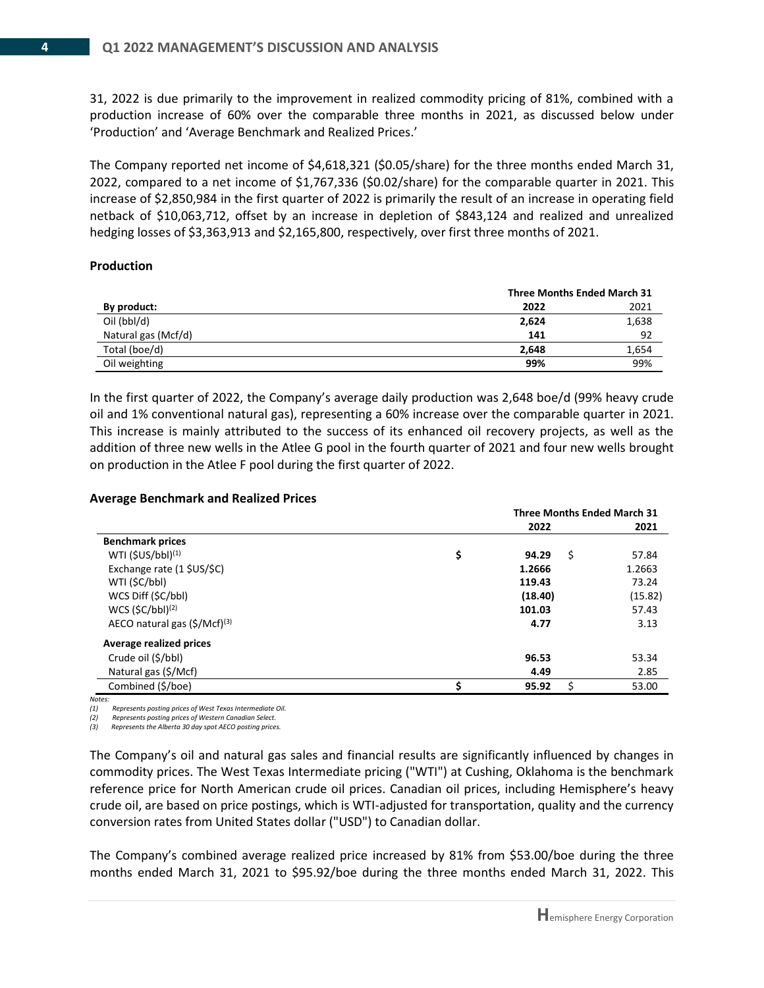31, 2022 is due primarily to the improvement in realized commodity pricing of 81%, combined with a production increase of 60% over the comparable three months in 2021, as discussed below under 'Production' and 'Average Benchmark and Realized Prices.'

The Company reported net income of \$4,618,321 (\$0.05/share) for the three months ended March 31, 2022, compared to a net income of \$1,767,336 (\$0.02/share) for the comparable quarter in 2021. This increase of \$2,850,984 in the first quarter of 2022 is primarily the result of an increase in operating field netback of \$10,063,712, offset by an increase in depletion of \$843,124 and realized and unrealized hedging losses of \$3,363,913 and \$2,165,800, respectively, over first three months of 2021.

#### **Production**

|                     | <b>Three Months Ended March 31</b> |       |  |  |
|---------------------|------------------------------------|-------|--|--|
| By product:         | 2022                               | 2021  |  |  |
| Oil (bbl/d)         | 2,624                              | 1,638 |  |  |
| Natural gas (Mcf/d) | 141                                | 92    |  |  |
| Total (boe/d)       | 2.648                              | 1,654 |  |  |
| Oil weighting       | 99%                                | 99%   |  |  |

In the first quarter of 2022, the Company's average daily production was 2,648 boe/d (99% heavy crude oil and 1% conventional natural gas), representing a 60% increase over the comparable quarter in 2021. This increase is mainly attributed to the success of its enhanced oil recovery projects, as well as the addition of three new wells in the Atlee G pool in the fourth quarter of 2021 and four new wells brought on production in the Atlee F pool during the first quarter of 2022.

### **Average Benchmark and Realized Prices**

|                                                | <b>Three Months Ended March 31</b> |             |  |
|------------------------------------------------|------------------------------------|-------------|--|
|                                                | 2022                               | 2021        |  |
| <b>Benchmark prices</b>                        |                                    |             |  |
| WTI $(\frac{1}{2}US/bbl)^{(1)}$                | \$<br>94.29                        | \$<br>57.84 |  |
| Exchange rate (1 \$US/\$C)                     | 1.2666                             | 1.2663      |  |
| WTI (\$C/bbl)                                  | 119.43                             | 73.24       |  |
| WCS Diff (\$C/bbl)                             | (18.40)                            | (15.82)     |  |
| WCS $(\frac{2}{5}C/bbl)^{(2)}$                 | 101.03                             | 57.43       |  |
| AECO natural gas $(\frac{2}{3})$ Mcf $)^{(3)}$ | 4.77                               | 3.13        |  |
| <b>Average realized prices</b>                 |                                    |             |  |
| Crude oil (\$/bbl)                             | 96.53                              | 53.34       |  |
| Natural gas (\$/Mcf)                           | 4.49                               | 2.85        |  |
| Combined (\$/boe)                              | 95.92                              | \$<br>53.00 |  |
|                                                |                                    |             |  |

*Notes:*

*(1) Represents posting prices of West Texas Intermediate Oil.*

*(2) Represents posting prices of Western Canadian Select. (3) Represents the Alberta 30 day spot AECO posting prices.*

The Company's oil and natural gas sales and financial results are significantly influenced by changes in commodity prices. The West Texas Intermediate pricing ("WTI") at Cushing, Oklahoma is the benchmark reference price for North American crude oil prices. Canadian oil prices, including Hemisphere's heavy crude oil, are based on price postings, which is WTI-adjusted for transportation, quality and the currency conversion rates from United States dollar ("USD") to Canadian dollar.

The Company's combined average realized price increased by 81% from \$53.00/boe during the three months ended March 31, 2021 to \$95.92/boe during the three months ended March 31, 2022. This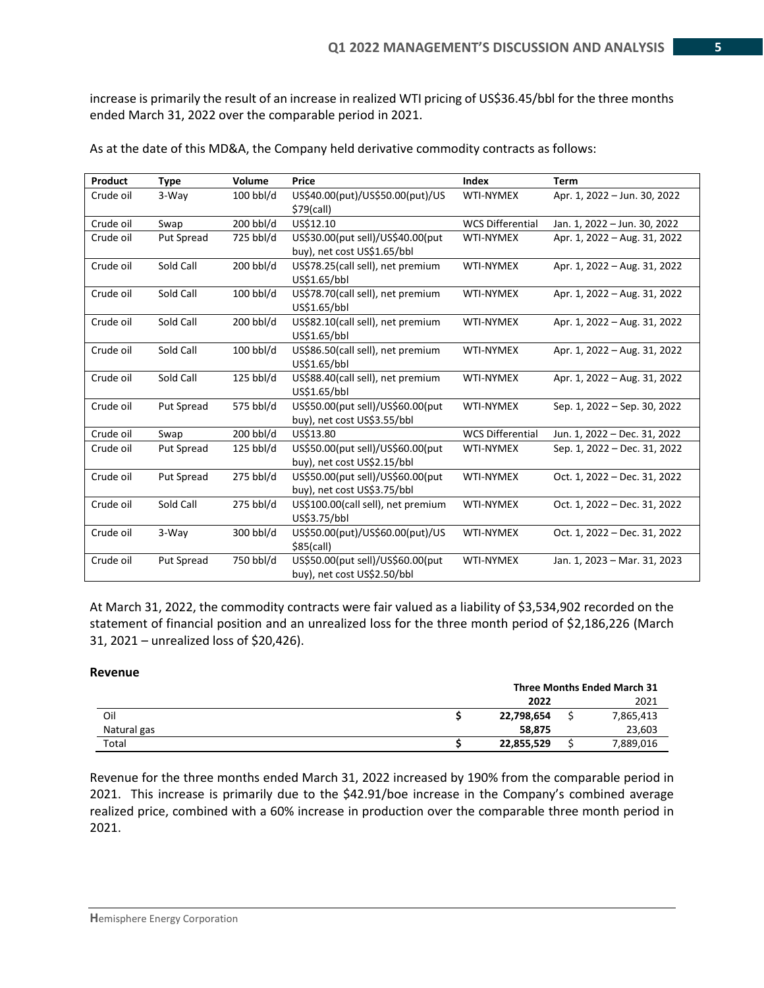increase is primarily the result of an increase in realized WTI pricing of US\$36.45/bbl for the three months ended March 31, 2022 over the comparable period in 2021.

| Product   | <b>Type</b> | Volume      | Price                              | Index                   | <b>Term</b>                  |
|-----------|-------------|-------------|------------------------------------|-------------------------|------------------------------|
| Crude oil | 3-Way       | $100$ bbl/d | US\$40.00(put)/US\$50.00(put)/US   | <b>WTI-NYMEX</b>        | Apr. 1, 2022 - Jun. 30, 2022 |
|           |             |             | \$79(call)                         |                         |                              |
| Crude oil | Swap        | 200 bbl/d   | US\$12.10                          | <b>WCS Differential</b> | Jan. 1, 2022 - Jun. 30, 2022 |
| Crude oil | Put Spread  | 725 bbl/d   | US\$30.00(put sell)/US\$40.00(put  | <b>WTI-NYMEX</b>        | Apr. 1, 2022 - Aug. 31, 2022 |
|           |             |             | buy), net cost US\$1.65/bbl        |                         |                              |
| Crude oil | Sold Call   | 200 bbl/d   | US\$78.25(call sell), net premium  | <b>WTI-NYMEX</b>        | Apr. 1, 2022 - Aug. 31, 2022 |
|           |             |             | US\$1.65/bbl                       |                         |                              |
| Crude oil | Sold Call   | 100 bbl/d   | US\$78.70(call sell), net premium  | WTI-NYMEX               | Apr. 1, 2022 - Aug. 31, 2022 |
|           |             |             | US\$1.65/bbl                       |                         |                              |
| Crude oil | Sold Call   | 200 bbl/d   | US\$82.10(call sell), net premium  | <b>WTI-NYMEX</b>        | Apr. 1, 2022 - Aug. 31, 2022 |
|           |             |             | US\$1.65/bbl                       |                         |                              |
| Crude oil | Sold Call   | 100 bbl/d   | US\$86.50(call sell), net premium  | <b>WTI-NYMEX</b>        | Apr. 1, 2022 - Aug. 31, 2022 |
|           |             |             | US\$1.65/bbl                       |                         |                              |
| Crude oil | Sold Call   | 125 bbl/d   | US\$88.40(call sell), net premium  | <b>WTI-NYMEX</b>        | Apr. 1, 2022 - Aug. 31, 2022 |
|           |             |             | US\$1.65/bbl                       |                         |                              |
| Crude oil | Put Spread  | 575 bbl/d   | US\$50.00(put sell)/US\$60.00(put  | <b>WTI-NYMEX</b>        | Sep. 1, 2022 - Sep. 30, 2022 |
|           |             |             | buy), net cost US\$3.55/bbl        |                         |                              |
| Crude oil | Swap        | 200 bbl/d   | US\$13.80                          | <b>WCS Differential</b> | Jun. 1, 2022 - Dec. 31, 2022 |
| Crude oil | Put Spread  | $125$ bbl/d | US\$50.00(put sell)/US\$60.00(put  | <b>WTI-NYMEX</b>        | Sep. 1, 2022 – Dec. 31, 2022 |
|           |             |             | buy), net cost US\$2.15/bbl        |                         |                              |
| Crude oil | Put Spread  | 275 bbl/d   | US\$50.00(put sell)/US\$60.00(put  | <b>WTI-NYMEX</b>        | Oct. 1, 2022 - Dec. 31, 2022 |
|           |             |             | buy), net cost US\$3.75/bbl        |                         |                              |
| Crude oil | Sold Call   | 275 bbl/d   | US\$100.00(call sell), net premium | <b>WTI-NYMEX</b>        | Oct. 1, 2022 - Dec. 31, 2022 |
|           |             |             | US\$3.75/bbl                       |                         |                              |
| Crude oil | 3-Way       | 300 bbl/d   | US\$50.00(put)/US\$60.00(put)/US   | WTI-NYMEX               | Oct. 1, 2022 - Dec. 31, 2022 |
|           |             |             | \$85(call)                         |                         |                              |
| Crude oil | Put Spread  | 750 bbl/d   | US\$50.00(put sell)/US\$60.00(put  | <b>WTI-NYMEX</b>        | Jan. 1, 2023 - Mar. 31, 2023 |
|           |             |             | buy), net cost US\$2.50/bbl        |                         |                              |

As at the date of this MD&A, the Company held derivative commodity contracts as follows:

At March 31, 2022, the commodity contracts were fair valued as a liability of \$3,534,902 recorded on the statement of financial position and an unrealized loss for the three month period of \$2,186,226 (March 31, 2021 – unrealized loss of \$20,426).

## **Revenue**

|             | <b>Three Months Ended March 31</b> |      |           |  |
|-------------|------------------------------------|------|-----------|--|
|             | 2022                               | 2021 |           |  |
| Oil         | 22,798,654                         |      | 7,865,413 |  |
| Natural gas | 58.875                             |      | 23,603    |  |
| Total       | 22,855,529                         |      | 7,889,016 |  |

Revenue for the three months ended March 31, 2022 increased by 190% from the comparable period in 2021. This increase is primarily due to the \$42.91/boe increase in the Company's combined average realized price, combined with a 60% increase in production over the comparable three month period in 2021.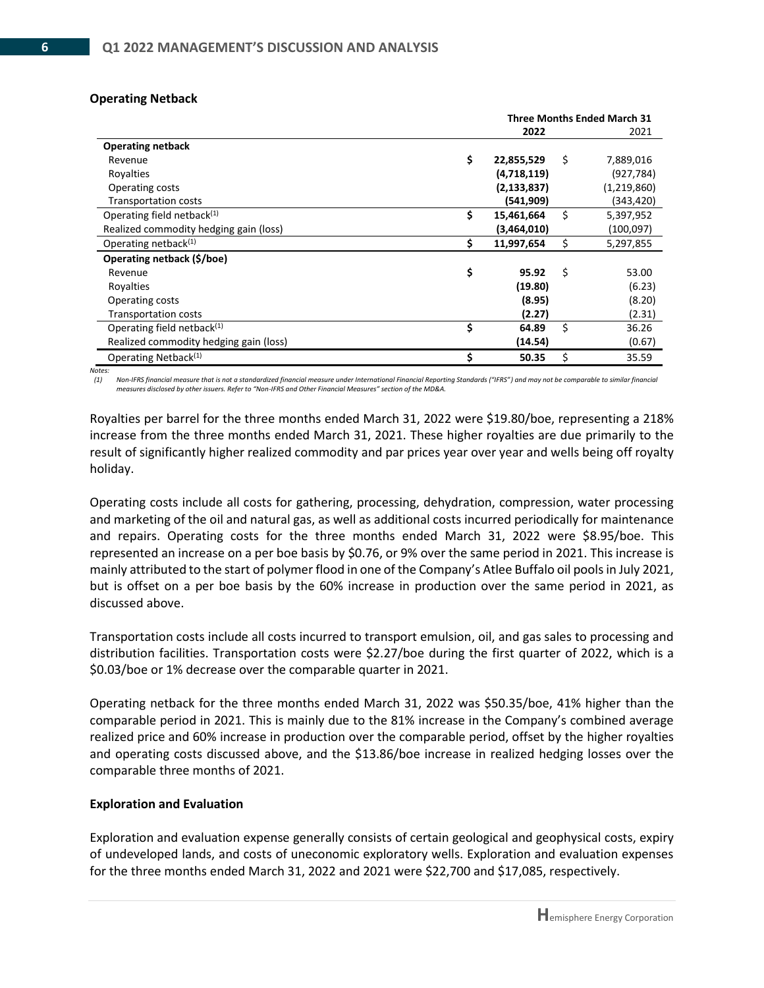|                                        |    | THE PROFILITY CHUBU MARCH 31 |    |             |  |
|----------------------------------------|----|------------------------------|----|-------------|--|
|                                        |    | 2022                         |    | 2021        |  |
| <b>Operating netback</b>               |    |                              |    |             |  |
| Revenue                                | \$ | 22,855,529                   | \$ | 7,889,016   |  |
| Royalties                              |    | (4,718,119)                  |    | (927, 784)  |  |
| Operating costs                        |    | (2, 133, 837)                |    | (1,219,860) |  |
| <b>Transportation costs</b>            |    | (541, 909)                   |    | (343, 420)  |  |
| Operating field netback <sup>(1)</sup> | \$ | 15,461,664                   | \$ | 5,397,952   |  |
| Realized commodity hedging gain (loss) |    | (3,464,010)                  |    | (100, 097)  |  |
| Operating netback <sup>(1)</sup>       | Ś  | 11,997,654                   | \$ | 5,297,855   |  |
| Operating netback (\$/boe)             |    |                              |    |             |  |
| Revenue                                | \$ | 95.92                        | \$ | 53.00       |  |
| Royalties                              |    | (19.80)                      |    | (6.23)      |  |
| Operating costs                        |    | (8.95)                       |    | (8.20)      |  |
| <b>Transportation costs</b>            |    | (2.27)                       |    | (2.31)      |  |
| Operating field netback(1)             | \$ | 64.89                        | Ś. | 36.26       |  |
| Realized commodity hedging gain (loss) |    | (14.54)                      |    | (0.67)      |  |
| Operating Netback <sup>(1)</sup>       | \$ | 50.35                        | \$ | 35.59       |  |
|                                        |    |                              |    |             |  |

#### **Operating Netback**

*Notes:*

*(1) Non-IFRS financial measure that is not a standardized financial measure under International Financial Reporting Standards ("IFRS") and may not be comparable to similar financial measures disclosed by other issuers. Refer to "Non-IFRS and Other Financial Measures" section of the MD&A.*

Royalties per barrel for the three months ended March 31, 2022 were \$19.80/boe, representing a 218% increase from the three months ended March 31, 2021. These higher royalties are due primarily to the result of significantly higher realized commodity and par prices year over year and wells being off royalty holiday.

Operating costs include all costs for gathering, processing, dehydration, compression, water processing and marketing of the oil and natural gas, as well as additional costs incurred periodically for maintenance and repairs. Operating costs for the three months ended March 31, 2022 were \$8.95/boe. This represented an increase on a per boe basis by \$0.76, or 9% over the same period in 2021. This increase is mainly attributed to the start of polymer flood in one of the Company's Atlee Buffalo oil pools in July 2021, but is offset on a per boe basis by the 60% increase in production over the same period in 2021, as discussed above.

Transportation costs include all costs incurred to transport emulsion, oil, and gas sales to processing and distribution facilities. Transportation costs were \$2.27/boe during the first quarter of 2022, which is a \$0.03/boe or 1% decrease over the comparable quarter in 2021.

Operating netback for the three months ended March 31, 2022 was \$50.35/boe, 41% higher than the comparable period in 2021. This is mainly due to the 81% increase in the Company's combined average realized price and 60% increase in production over the comparable period, offset by the higher royalties and operating costs discussed above, and the \$13.86/boe increase in realized hedging losses over the comparable three months of 2021.

## **Exploration and Evaluation**

Exploration and evaluation expense generally consists of certain geological and geophysical costs, expiry of undeveloped lands, and costs of uneconomic exploratory wells. Exploration and evaluation expenses for the three months ended March 31, 2022 and 2021 were \$22,700 and \$17,085, respectively.

**Three Months Ended March 31**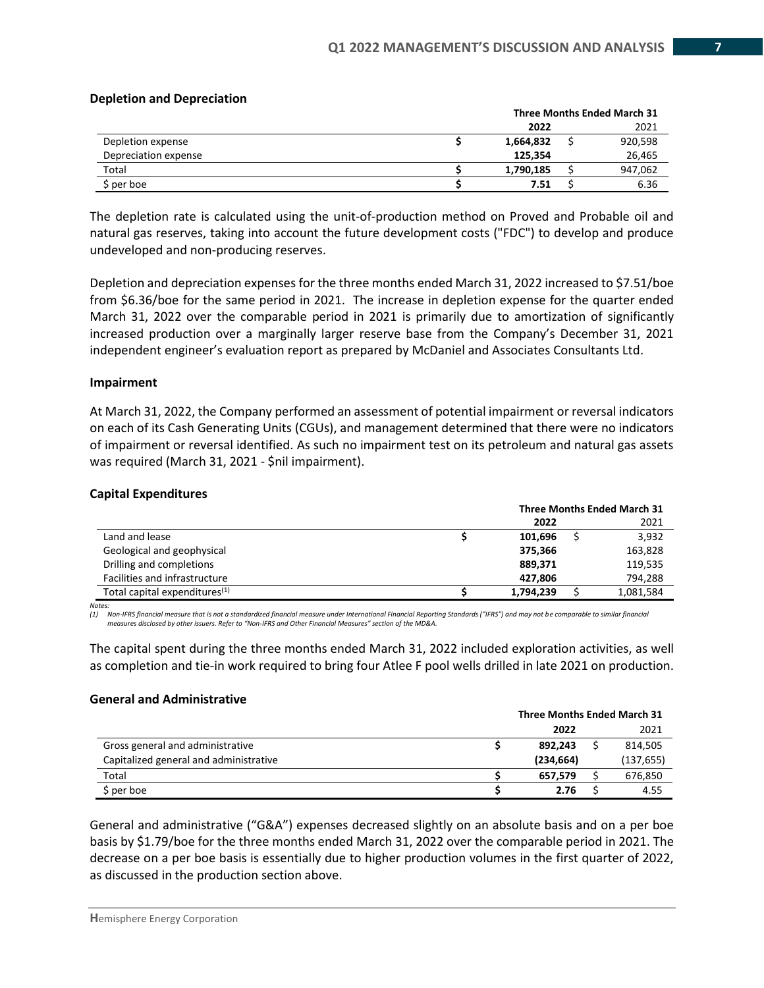|                      | <b>Three Months Ended March 31</b> |  |         |  |
|----------------------|------------------------------------|--|---------|--|
|                      | 2022                               |  | 2021    |  |
| Depletion expense    | 1,664,832                          |  | 920,598 |  |
| Depreciation expense | 125.354                            |  | 26,465  |  |
| Total                | 1,790,185                          |  | 947,062 |  |
| \$ per boe           | 7.51                               |  | 6.36    |  |

#### **Depletion and Depreciation**

The depletion rate is calculated using the unit-of-production method on Proved and Probable oil and natural gas reserves, taking into account the future development costs ("FDC") to develop and produce undeveloped and non-producing reserves.

Depletion and depreciation expenses for the three months ended March 31, 2022 increased to \$7.51/boe from \$6.36/boe for the same period in 2021. The increase in depletion expense for the quarter ended March 31, 2022 over the comparable period in 2021 is primarily due to amortization of significantly increased production over a marginally larger reserve base from the Company's December 31, 2021 independent engineer's evaluation report as prepared by McDaniel and Associates Consultants Ltd.

#### **Impairment**

At March 31, 2022, the Company performed an assessment of potential impairment or reversal indicators on each of its Cash Generating Units (CGUs), and management determined that there were no indicators of impairment or reversal identified. As such no impairment test on its petroleum and natural gas assets was required (March 31, 2021 - \$nil impairment).

#### **Capital Expenditures**

|                                           | <b>Three Months Ended March 31</b> |  |           |  |
|-------------------------------------------|------------------------------------|--|-----------|--|
|                                           | 2022                               |  | 2021      |  |
| Land and lease                            | 101.696                            |  | 3,932     |  |
| Geological and geophysical                | 375.366                            |  | 163,828   |  |
| Drilling and completions                  | 889.371                            |  | 119,535   |  |
| Facilities and infrastructure             | 427.806                            |  | 794,288   |  |
| Total capital expenditures <sup>(1)</sup> | 1,794,239                          |  | 1,081,584 |  |

*Notes:*

*(1) Non-IFRS financial measure that is not a standardized financial measure under International Financial Reporting Standards ("IFRS") and may not be comparable to similar financial measures disclosed by other issuers. Refer to "Non-IFRS and Other Financial Measures" section of the MD&A.*

The capital spent during the three months ended March 31, 2022 included exploration activities, as well as completion and tie-in work required to bring four Atlee F pool wells drilled in late 2021 on production.

#### **General and Administrative**

|                                        | <b>Three Months Ended March 31</b> |            |  |            |
|----------------------------------------|------------------------------------|------------|--|------------|
|                                        |                                    | 2022       |  | 2021       |
| Gross general and administrative       |                                    | 892.243    |  | 814.505    |
| Capitalized general and administrative |                                    | (234, 664) |  | (137, 655) |
| Total                                  |                                    | 657.579    |  | 676,850    |
| $$$ per boe                            |                                    | 2.76       |  | 4.55       |

General and administrative ("G&A") expenses decreased slightly on an absolute basis and on a per boe basis by \$1.79/boe for the three months ended March 31, 2022 over the comparable period in 2021. The decrease on a per boe basis is essentially due to higher production volumes in the first quarter of 2022, as discussed in the production section above.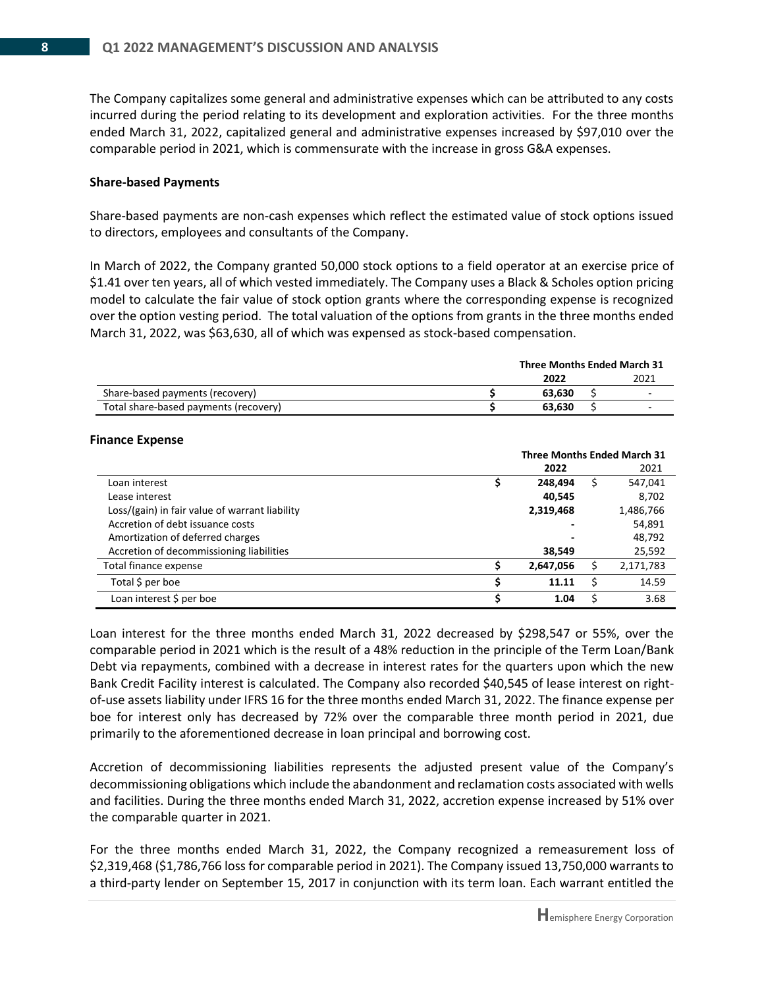The Company capitalizes some general and administrative expenses which can be attributed to any costs incurred during the period relating to its development and exploration activities. For the three months ended March 31, 2022, capitalized general and administrative expenses increased by \$97,010 over the comparable period in 2021, which is commensurate with the increase in gross G&A expenses.

#### **Share-based Payments**

Share-based payments are non-cash expenses which reflect the estimated value of stock options issued to directors, employees and consultants of the Company.

In March of 2022, the Company granted 50,000 stock options to a field operator at an exercise price of \$1.41 over ten years, all of which vested immediately. The Company uses a Black & Scholes option pricing model to calculate the fair value of stock option grants where the corresponding expense is recognized over the option vesting period. The total valuation of the options from grants in the three months ended March 31, 2022, was \$63,630, all of which was expensed as stock-based compensation.

|                                       | <b>Three Months Ended March 31</b> |  |      |  |
|---------------------------------------|------------------------------------|--|------|--|
|                                       | 2022                               |  | 2021 |  |
| Share-based payments (recovery)       | 63.630                             |  |      |  |
| Total share-based payments (recovery) | 63.630                             |  |      |  |

#### **Finance Expense**

|                                                | <b>Three Months Ended March 31</b> |           |    |           |
|------------------------------------------------|------------------------------------|-----------|----|-----------|
|                                                |                                    | 2022      |    | 2021      |
| Loan interest                                  |                                    | 248.494   | \$ | 547,041   |
| Lease interest                                 |                                    | 40,545    |    | 8,702     |
| Loss/(gain) in fair value of warrant liability |                                    | 2,319,468 |    | 1,486,766 |
| Accretion of debt issuance costs               |                                    |           |    | 54,891    |
| Amortization of deferred charges               |                                    |           |    | 48,792    |
| Accretion of decommissioning liabilities       |                                    | 38,549    |    | 25,592    |
| Total finance expense                          |                                    | 2,647,056 | s  | 2,171,783 |
| Total \$ per boe                               |                                    | 11.11     | \$ | 14.59     |
| Loan interest \$ per boe                       |                                    | 1.04      | S  | 3.68      |

Loan interest for the three months ended March 31, 2022 decreased by \$298,547 or 55%, over the comparable period in 2021 which is the result of a 48% reduction in the principle of the Term Loan/Bank Debt via repayments, combined with a decrease in interest rates for the quarters upon which the new Bank Credit Facility interest is calculated. The Company also recorded \$40,545 of lease interest on rightof-use assets liability under IFRS 16 for the three months ended March 31, 2022. The finance expense per boe for interest only has decreased by 72% over the comparable three month period in 2021, due primarily to the aforementioned decrease in loan principal and borrowing cost.

Accretion of decommissioning liabilities represents the adjusted present value of the Company's decommissioning obligations which include the abandonment and reclamation costs associated with wells and facilities. During the three months ended March 31, 2022, accretion expense increased by 51% over the comparable quarter in 2021.

For the three months ended March 31, 2022, the Company recognized a remeasurement loss of \$2,319,468 (\$1,786,766 loss for comparable period in 2021). The Company issued 13,750,000 warrants to a third-party lender on September 15, 2017 in conjunction with its term loan. Each warrant entitled the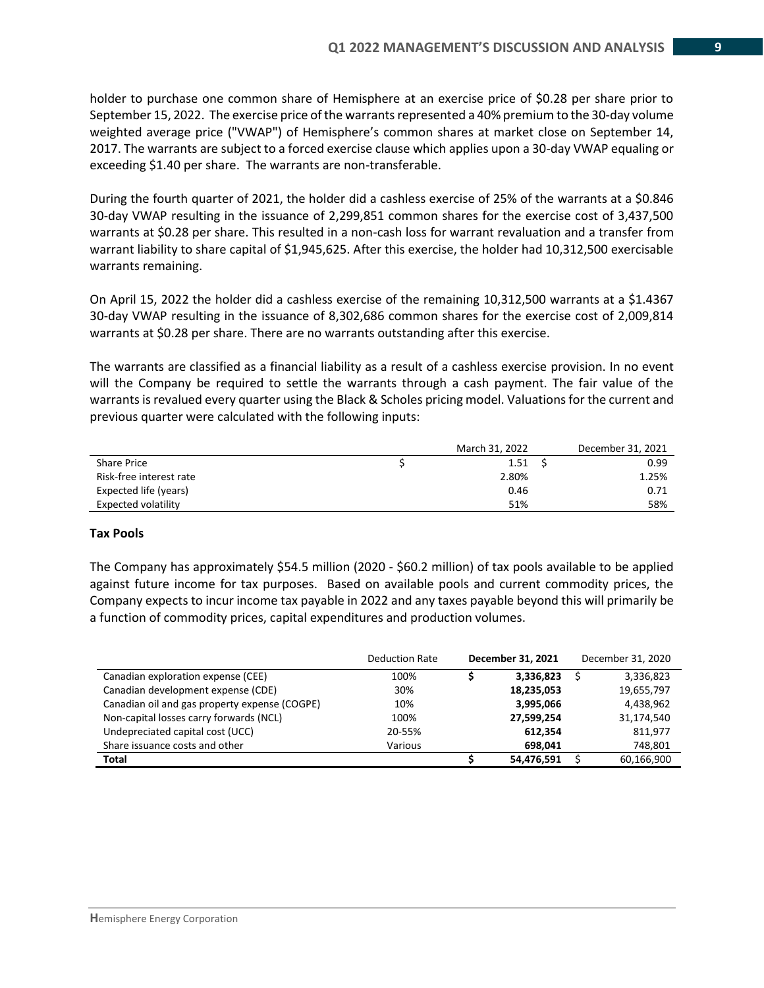holder to purchase one common share of Hemisphere at an exercise price of \$0.28 per share prior to September 15, 2022. The exercise price of the warrants represented a 40% premium to the 30-day volume weighted average price ("VWAP") of Hemisphere's common shares at market close on September 14, 2017. The warrants are subject to a forced exercise clause which applies upon a 30-day VWAP equaling or exceeding \$1.40 per share. The warrants are non-transferable.

During the fourth quarter of 2021, the holder did a cashless exercise of 25% of the warrants at a \$0.846 30-day VWAP resulting in the issuance of 2,299,851 common shares for the exercise cost of 3,437,500 warrants at \$0.28 per share. This resulted in a non-cash loss for warrant revaluation and a transfer from warrant liability to share capital of \$1,945,625. After this exercise, the holder had 10,312,500 exercisable warrants remaining.

On April 15, 2022 the holder did a cashless exercise of the remaining 10,312,500 warrants at a \$1.4367 30-day VWAP resulting in the issuance of 8,302,686 common shares for the exercise cost of 2,009,814 warrants at \$0.28 per share. There are no warrants outstanding after this exercise.

The warrants are classified as a financial liability as a result of a cashless exercise provision. In no event will the Company be required to settle the warrants through a cash payment. The fair value of the warrants is revalued every quarter using the Black & Scholes pricing model. Valuations for the current and previous quarter were calculated with the following inputs:

|                         | March 31, 2022 | December 31, 2021 |
|-------------------------|----------------|-------------------|
| <b>Share Price</b>      | 1.51           | 0.99              |
| Risk-free interest rate | 2.80%          | 1.25%             |
| Expected life (years)   | 0.46           | 0.71              |
| Expected volatility     | 51%            | 58%               |

#### **Tax Pools**

The Company has approximately \$54.5 million (2020 - \$60.2 million) of tax pools available to be applied against future income for tax purposes. Based on available pools and current commodity prices, the Company expects to incur income tax payable in 2022 and any taxes payable beyond this will primarily be a function of commodity prices, capital expenditures and production volumes.

|                                               | <b>Deduction Rate</b> | December 31, 2021 | December 31, 2020 |            |  |
|-----------------------------------------------|-----------------------|-------------------|-------------------|------------|--|
| Canadian exploration expense (CEE)            | 100%                  | 3,336,823         | S                 | 3,336,823  |  |
| Canadian development expense (CDE)            | 30%                   | 18,235,053        |                   | 19,655,797 |  |
| Canadian oil and gas property expense (COGPE) | 10%                   | 3,995,066         |                   | 4,438,962  |  |
| Non-capital losses carry forwards (NCL)       | 100%                  | 27,599,254        |                   | 31,174,540 |  |
| Undepreciated capital cost (UCC)              | 20-55%                | 612.354           |                   | 811.977    |  |
| Share issuance costs and other                | Various               | 698.041           |                   | 748,801    |  |
| <b>Total</b>                                  |                       | 54,476,591        |                   | 60,166,900 |  |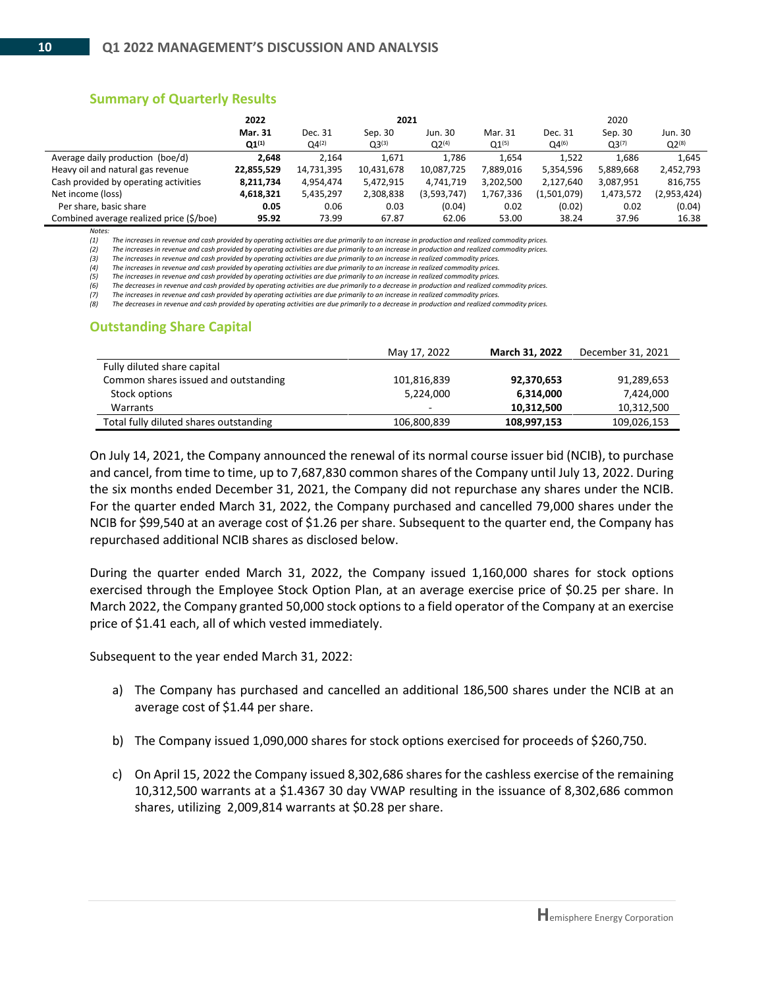## **Summary of Quarterly Results**

|                                          | 2022       | 2021       |            |             |            | 2020        |            |             |  |  |  |
|------------------------------------------|------------|------------|------------|-------------|------------|-------------|------------|-------------|--|--|--|
|                                          | Mar. 31    | Dec. 31    | Sep. 30    | Jun. 30     | Mar. 31    | Dec. 31     | Sep. 30    | Jun. 30     |  |  |  |
|                                          | $Q1^{(1)}$ | $Q4^{(2)}$ | $Q3^{(3)}$ | $Q2^{(4)}$  | $Q1^{(5)}$ | $Q4^{(6)}$  | $Q3^{(7)}$ | $Q2^{(8)}$  |  |  |  |
| Average daily production (boe/d)         | 2,648      | 2.164      | 1,671      | 1.786       | 1,654      | 1,522       | 1.686      | 1,645       |  |  |  |
| Heavy oil and natural gas revenue        | 22,855,529 | 14,731,395 | 10,431,678 | 10,087,725  | 7,889,016  | 5,354,596   | 5,889,668  | 2,452,793   |  |  |  |
| Cash provided by operating activities    | 8,211,734  | 4,954,474  | 5,472,915  | 4,741,719   | 3,202,500  | 2,127,640   | 3,087,951  | 816,755     |  |  |  |
| Net income (loss)                        | 4,618,321  | 5,435,297  | 2,308,838  | (3,593,747) | 1,767,336  | (1,501,079) | 1,473,572  | (2,953,424) |  |  |  |
| Per share, basic share                   | 0.05       | 0.06       | 0.03       | (0.04)      | 0.02       | (0.02)      | 0.02       | (0.04)      |  |  |  |
| Combined average realized price (\$/boe) | 95.92      | 73.99      | 67.87      | 62.06       | 53.00      | 38.24       | 37.96      | 16.38       |  |  |  |

*Notes:*

*(1) The increases in revenue and cash provided by operating activities are due primarily to an increase in production and realized commodity prices.*

*(2) The increases in revenue and cash provided by operating activities are due primarily to an increase in production and realized commodity prices.*

*(3) The increases in revenue and cash provided by operating activities are due primarily to an increase in realized commodity prices.*

*(4) The increases in revenue and cash provided by operating activities are due primarily to an increase in realized commodity prices.*

*(5) The increases in revenue and cash provided by operating activities are due primarily to an increase in realized commodity prices. (6) The decreases in revenue and cash provided by operating activities are due primarily to a decrease in production and realized commodity prices.*

*(7) The increases in revenue and cash provided by operating activities are due primarily to an increase in realized commodity prices.*

*(8) The decreases in revenue and cash provided by operating activities are due primarily to a decrease in production and realized commodity prices.*

## **Outstanding Share Capital**

|                                        | May 17, 2022 | March 31, 2022 | December 31, 2021 |
|----------------------------------------|--------------|----------------|-------------------|
| Fully diluted share capital            |              |                |                   |
| Common shares issued and outstanding   | 101,816,839  | 92,370,653     | 91,289,653        |
| Stock options                          | 5,224,000    | 6,314,000      | 7,424,000         |
| Warrants                               | -            | 10,312,500     | 10,312,500        |
| Total fully diluted shares outstanding | 106,800,839  | 108,997,153    | 109,026,153       |

On July 14, 2021, the Company announced the renewal of its normal course issuer bid (NCIB), to purchase and cancel, from time to time, up to 7,687,830 common shares of the Company until July 13, 2022. During the six months ended December 31, 2021, the Company did not repurchase any shares under the NCIB. For the quarter ended March 31, 2022, the Company purchased and cancelled 79,000 shares under the NCIB for \$99,540 at an average cost of \$1.26 per share. Subsequent to the quarter end, the Company has repurchased additional NCIB shares as disclosed below.

During the quarter ended March 31, 2022, the Company issued 1,160,000 shares for stock options exercised through the Employee Stock Option Plan, at an average exercise price of \$0.25 per share. In March 2022, the Company granted 50,000 stock options to a field operator of the Company at an exercise price of \$1.41 each, all of which vested immediately.

Subsequent to the year ended March 31, 2022:

- a) The Company has purchased and cancelled an additional 186,500 shares under the NCIB at an average cost of \$1.44 per share.
- b) The Company issued 1,090,000 shares for stock options exercised for proceeds of \$260,750.
- c) On April 15, 2022 the Company issued 8,302,686 shares for the cashless exercise of the remaining 10,312,500 warrants at a \$1.4367 30 day VWAP resulting in the issuance of 8,302,686 common shares, utilizing 2,009,814 warrants at \$0.28 per share.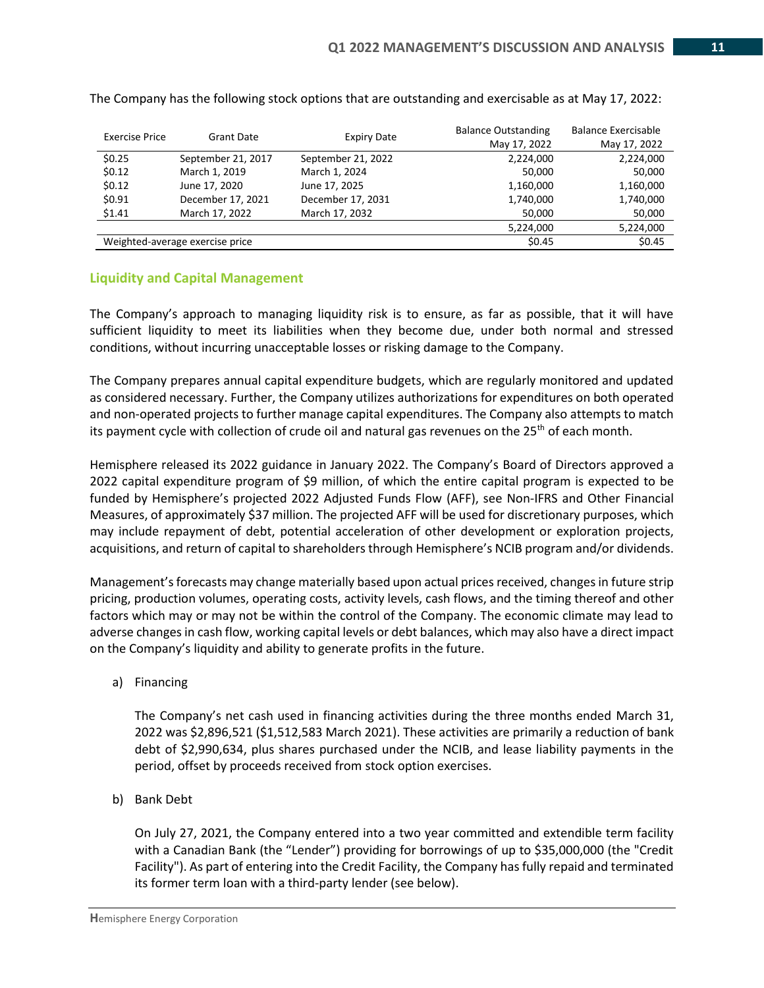| <b>Exercise Price</b> | <b>Grant Date</b>               | <b>Expiry Date</b> | <b>Balance Outstanding</b> | <b>Balance Exercisable</b> |
|-----------------------|---------------------------------|--------------------|----------------------------|----------------------------|
|                       |                                 |                    | May 17, 2022               | May 17, 2022               |
| \$0.25                | September 21, 2017              | September 21, 2022 | 2,224,000                  | 2,224,000                  |
| \$0.12                | March 1, 2019                   | March 1, 2024      | 50.000                     | 50,000                     |
| \$0.12                | June 17, 2020                   | June 17, 2025      | 1,160,000                  | 1,160,000                  |
| \$0.91                | December 17, 2021               | December 17, 2031  | 1,740,000                  | 1,740,000                  |
| \$1.41                | March 17, 2022                  | March 17, 2032     | 50.000                     | 50,000                     |
|                       |                                 |                    | 5,224,000                  | 5,224,000                  |
|                       | Weighted-average exercise price | \$0.45             | \$0.45                     |                            |

The Company has the following stock options that are outstanding and exercisable as at May 17, 2022:

## **Liquidity and Capital Management**

The Company's approach to managing liquidity risk is to ensure, as far as possible, that it will have sufficient liquidity to meet its liabilities when they become due, under both normal and stressed conditions, without incurring unacceptable losses or risking damage to the Company.

The Company prepares annual capital expenditure budgets, which are regularly monitored and updated as considered necessary. Further, the Company utilizes authorizations for expenditures on both operated and non-operated projects to further manage capital expenditures. The Company also attempts to match its payment cycle with collection of crude oil and natural gas revenues on the 25<sup>th</sup> of each month.

Hemisphere released its 2022 guidance in January 2022. The Company's Board of Directors approved a 2022 capital expenditure program of \$9 million, of which the entire capital program is expected to be funded by Hemisphere's projected 2022 Adjusted Funds Flow (AFF), see Non-IFRS and Other Financial Measures, of approximately \$37 million. The projected AFF will be used for discretionary purposes, which may include repayment of debt, potential acceleration of other development or exploration projects, acquisitions, and return of capital to shareholders through Hemisphere's NCIB program and/or dividends.

Management's forecasts may change materially based upon actual prices received, changes in future strip pricing, production volumes, operating costs, activity levels, cash flows, and the timing thereof and other factors which may or may not be within the control of the Company. The economic climate may lead to adverse changes in cash flow, working capital levels or debt balances, which may also have a direct impact on the Company's liquidity and ability to generate profits in the future.

a) Financing

The Company's net cash used in financing activities during the three months ended March 31, 2022 was \$2,896,521 (\$1,512,583 March 2021). These activities are primarily a reduction of bank debt of \$2,990,634, plus shares purchased under the NCIB, and lease liability payments in the period, offset by proceeds received from stock option exercises.

b) Bank Debt

On July 27, 2021, the Company entered into a two year committed and extendible term facility with a Canadian Bank (the "Lender") providing for borrowings of up to \$35,000,000 (the "Credit Facility"). As part of entering into the Credit Facility, the Company has fully repaid and terminated its former term loan with a third-party lender (see below).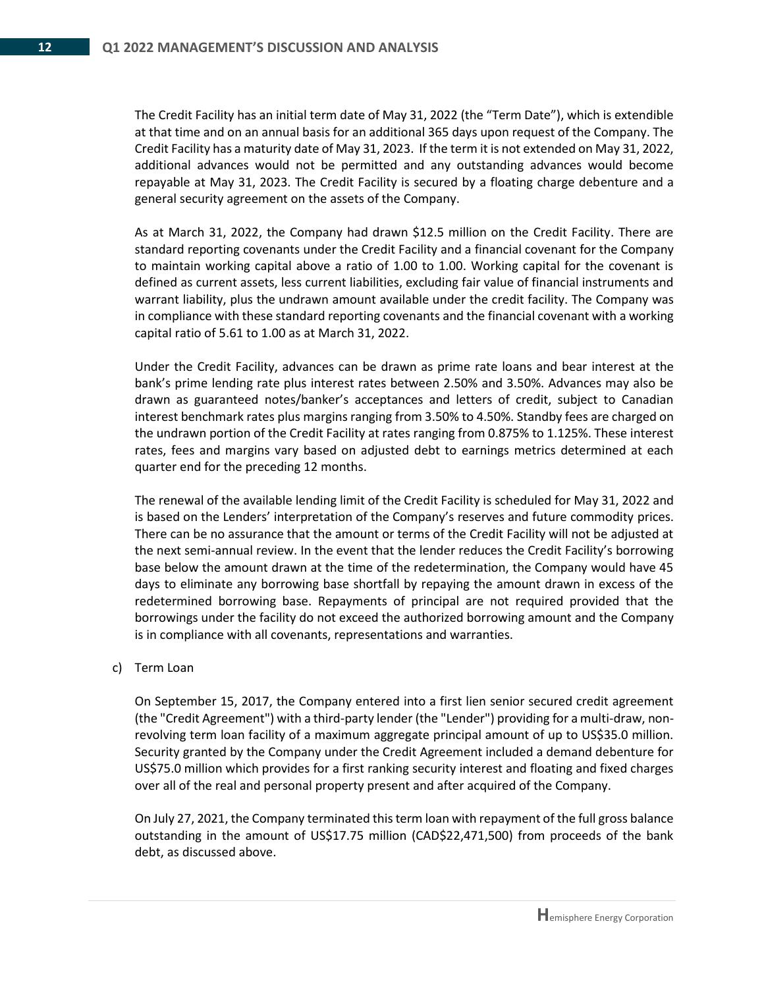The Credit Facility has an initial term date of May 31, 2022 (the "Term Date"), which is extendible at that time and on an annual basis for an additional 365 days upon request of the Company. The Credit Facility has a maturity date of May 31, 2023. If the term it is not extended on May 31, 2022, additional advances would not be permitted and any outstanding advances would become repayable at May 31, 2023. The Credit Facility is secured by a floating charge debenture and a general security agreement on the assets of the Company.

As at March 31, 2022, the Company had drawn \$12.5 million on the Credit Facility. There are standard reporting covenants under the Credit Facility and a financial covenant for the Company to maintain working capital above a ratio of 1.00 to 1.00. Working capital for the covenant is defined as current assets, less current liabilities, excluding fair value of financial instruments and warrant liability, plus the undrawn amount available under the credit facility. The Company was in compliance with these standard reporting covenants and the financial covenant with a working capital ratio of 5.61 to 1.00 as at March 31, 2022.

Under the Credit Facility, advances can be drawn as prime rate loans and bear interest at the bank's prime lending rate plus interest rates between 2.50% and 3.50%. Advances may also be drawn as guaranteed notes/banker's acceptances and letters of credit, subject to Canadian interest benchmark rates plus margins ranging from 3.50% to 4.50%. Standby fees are charged on the undrawn portion of the Credit Facility at rates ranging from 0.875% to 1.125%. These interest rates, fees and margins vary based on adjusted debt to earnings metrics determined at each quarter end for the preceding 12 months.

The renewal of the available lending limit of the Credit Facility is scheduled for May 31, 2022 and is based on the Lenders' interpretation of the Company's reserves and future commodity prices. There can be no assurance that the amount or terms of the Credit Facility will not be adjusted at the next semi-annual review. In the event that the lender reduces the Credit Facility's borrowing base below the amount drawn at the time of the redetermination, the Company would have 45 days to eliminate any borrowing base shortfall by repaying the amount drawn in excess of the redetermined borrowing base. Repayments of principal are not required provided that the borrowings under the facility do not exceed the authorized borrowing amount and the Company is in compliance with all covenants, representations and warranties.

#### c) Term Loan

On September 15, 2017, the Company entered into a first lien senior secured credit agreement (the "Credit Agreement") with a third-party lender (the "Lender") providing for a multi-draw, nonrevolving term loan facility of a maximum aggregate principal amount of up to US\$35.0 million. Security granted by the Company under the Credit Agreement included a demand debenture for US\$75.0 million which provides for a first ranking security interest and floating and fixed charges over all of the real and personal property present and after acquired of the Company.

On July 27, 2021, the Company terminated this term loan with repayment of the full gross balance outstanding in the amount of US\$17.75 million (CAD\$22,471,500) from proceeds of the bank debt, as discussed above.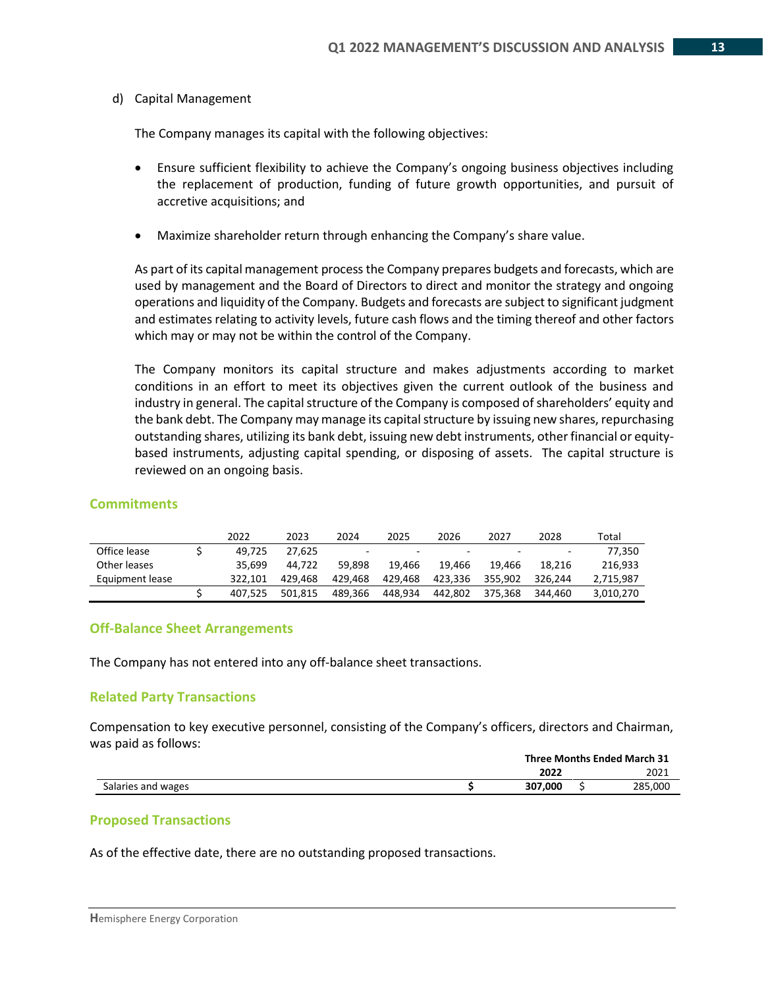#### d) Capital Management

The Company manages its capital with the following objectives:

- Ensure sufficient flexibility to achieve the Company's ongoing business objectives including the replacement of production, funding of future growth opportunities, and pursuit of accretive acquisitions; and
- Maximize shareholder return through enhancing the Company's share value.

As part of its capital management process the Company prepares budgets and forecasts, which are used by management and the Board of Directors to direct and monitor the strategy and ongoing operations and liquidity of the Company. Budgets and forecasts are subject to significant judgment and estimates relating to activity levels, future cash flows and the timing thereof and other factors which may or may not be within the control of the Company.

The Company monitors its capital structure and makes adjustments according to market conditions in an effort to meet its objectives given the current outlook of the business and industry in general. The capital structure of the Company is composed of shareholders' equity and the bank debt. The Company may manage its capital structure by issuing new shares, repurchasing outstanding shares, utilizing its bank debt, issuing new debt instruments, other financial or equitybased instruments, adjusting capital spending, or disposing of assets. The capital structure is reviewed on an ongoing basis.

#### **Commitments**

|                 | 2022    | 2023    | 2024           | 2025    | 2026    | 2027    | 2028                     | Total     |
|-----------------|---------|---------|----------------|---------|---------|---------|--------------------------|-----------|
| Office lease    | 49.725  | 27.625  | $\overline{a}$ | $\sim$  | $\sim$  |         | $\overline{\phantom{0}}$ | 77.350    |
| Other leases    | 35.699  | 44.722  | 59.898         | 19.466  | 19.466  | 19.466  | 18.216                   | 216.933   |
| Equipment lease | 322.101 | 429.468 | 429.468        | 429.468 | 423.336 | 355.902 | 326.244                  | 2,715,987 |
|                 | 407.525 | 501.815 | 489.366        | 448.934 | 442.802 | 375.368 | 344.460                  | 3,010,270 |

#### **Off-Balance Sheet Arrangements**

The Company has not entered into any off-balance sheet transactions.

## **Related Party Transactions**

Compensation to key executive personnel, consisting of the Company's officers, directors and Chairman, was paid as follows:

|                    | Three Months Ended March 31 |  |         |  |
|--------------------|-----------------------------|--|---------|--|
|                    | 2022                        |  | 2021    |  |
| Salaries and wages | 307.000                     |  | 285.000 |  |

#### **Proposed Transactions**

As of the effective date, there are no outstanding proposed transactions.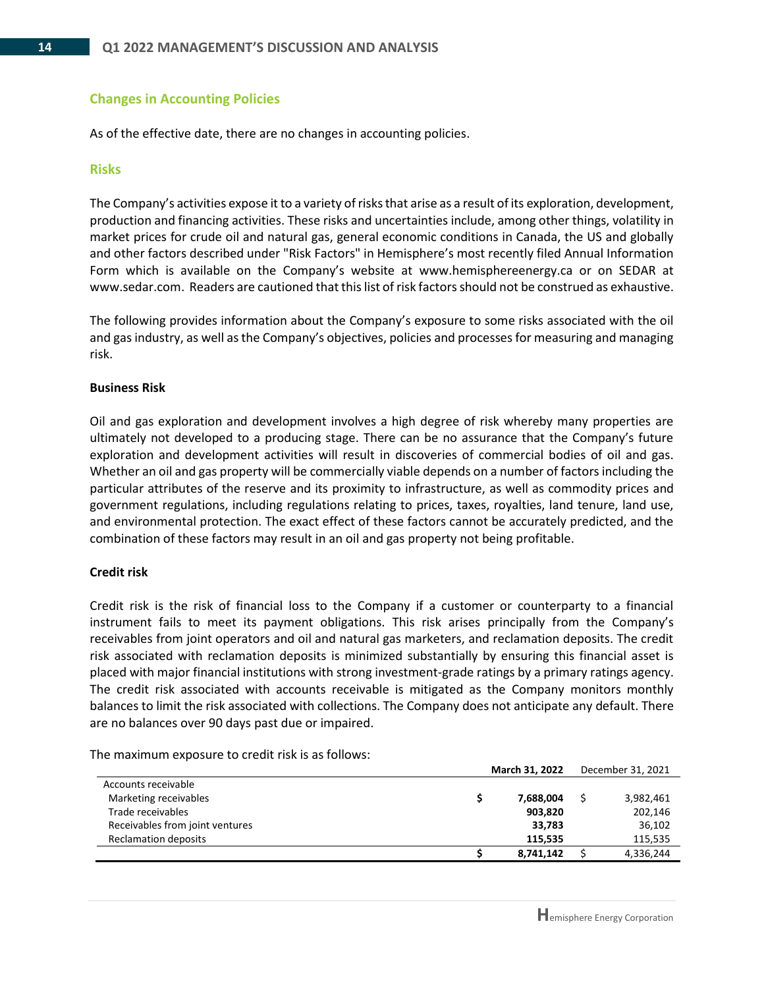## **Changes in Accounting Policies**

As of the effective date, there are no changes in accounting policies.

#### **Risks**

The Company's activities expose it to a variety of risks that arise as a result of its exploration, development, production and financing activities. These risks and uncertainties include, among other things, volatility in market prices for crude oil and natural gas, general economic conditions in Canada, the US and globally and other factors described under "Risk Factors" in Hemisphere's most recently filed Annual Information Form which is available on the Company's website at www.hemisphereenergy.ca or on SEDAR at www.sedar.com. Readers are cautioned that this list of risk factors should not be construed as exhaustive.

The following provides information about the Company's exposure to some risks associated with the oil and gas industry, as well as the Company's objectives, policies and processes for measuring and managing risk.

#### **Business Risk**

Oil and gas exploration and development involves a high degree of risk whereby many properties are ultimately not developed to a producing stage. There can be no assurance that the Company's future exploration and development activities will result in discoveries of commercial bodies of oil and gas. Whether an oil and gas property will be commercially viable depends on a number of factors including the particular attributes of the reserve and its proximity to infrastructure, as well as commodity prices and government regulations, including regulations relating to prices, taxes, royalties, land tenure, land use, and environmental protection. The exact effect of these factors cannot be accurately predicted, and the combination of these factors may result in an oil and gas property not being profitable.

#### **Credit risk**

Credit risk is the risk of financial loss to the Company if a customer or counterparty to a financial instrument fails to meet its payment obligations. This risk arises principally from the Company's receivables from joint operators and oil and natural gas marketers, and reclamation deposits. The credit risk associated with reclamation deposits is minimized substantially by ensuring this financial asset is placed with major financial institutions with strong investment-grade ratings by a primary ratings agency. The credit risk associated with accounts receivable is mitigated as the Company monitors monthly balances to limit the risk associated with collections. The Company does not anticipate any default. There are no balances over 90 days past due or impaired.

The maximum exposure to credit risk is as follows:

|                                 | <b>March 31, 2022</b> |           |  | December 31, 2021 |
|---------------------------------|-----------------------|-----------|--|-------------------|
| Accounts receivable             |                       |           |  |                   |
| Marketing receivables           |                       | 7,688,004 |  | 3,982,461         |
| Trade receivables               |                       | 903,820   |  | 202,146           |
| Receivables from joint ventures |                       | 33.783    |  | 36,102            |
| <b>Reclamation deposits</b>     |                       | 115.535   |  | 115,535           |
|                                 |                       | 8,741,142 |  | 4,336,244         |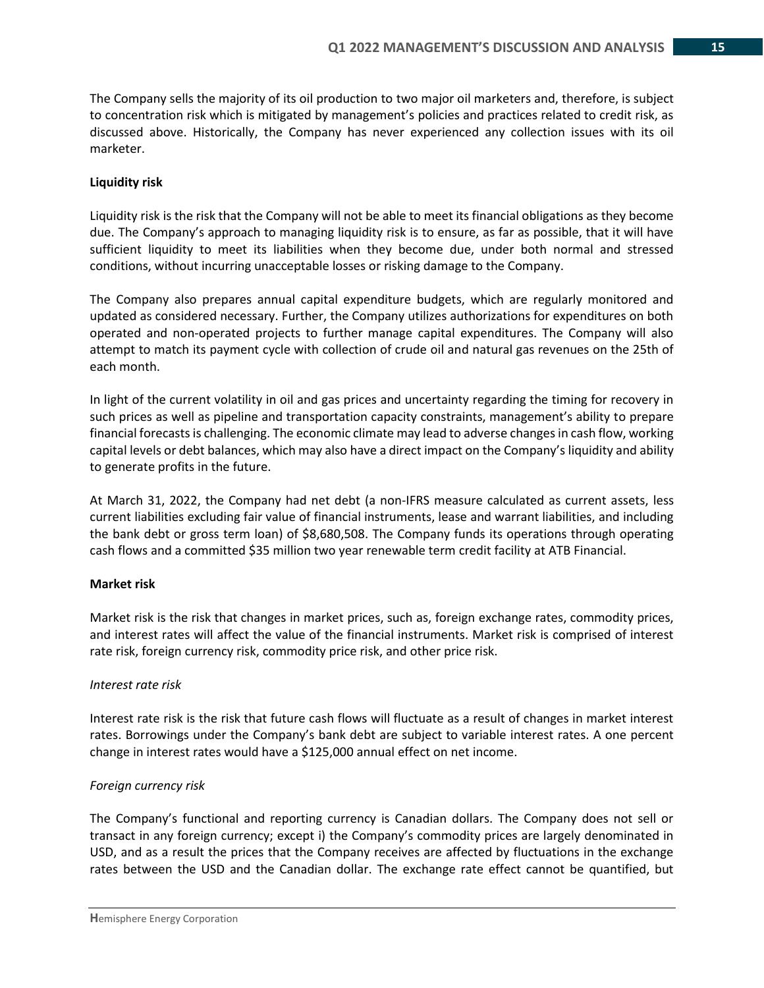The Company sells the majority of its oil production to two major oil marketers and, therefore, is subject to concentration risk which is mitigated by management's policies and practices related to credit risk, as discussed above. Historically, the Company has never experienced any collection issues with its oil marketer.

### **Liquidity risk**

Liquidity risk is the risk that the Company will not be able to meet its financial obligations as they become due. The Company's approach to managing liquidity risk is to ensure, as far as possible, that it will have sufficient liquidity to meet its liabilities when they become due, under both normal and stressed conditions, without incurring unacceptable losses or risking damage to the Company.

The Company also prepares annual capital expenditure budgets, which are regularly monitored and updated as considered necessary. Further, the Company utilizes authorizations for expenditures on both operated and non-operated projects to further manage capital expenditures. The Company will also attempt to match its payment cycle with collection of crude oil and natural gas revenues on the 25th of each month.

In light of the current volatility in oil and gas prices and uncertainty regarding the timing for recovery in such prices as well as pipeline and transportation capacity constraints, management's ability to prepare financial forecasts is challenging. The economic climate may lead to adverse changes in cash flow, working capital levels or debt balances, which may also have a direct impact on the Company's liquidity and ability to generate profits in the future.

At March 31, 2022, the Company had net debt (a non-IFRS measure calculated as current assets, less current liabilities excluding fair value of financial instruments, lease and warrant liabilities, and including the bank debt or gross term loan) of \$8,680,508. The Company funds its operations through operating cash flows and a committed \$35 million two year renewable term credit facility at ATB Financial.

#### **Market risk**

Market risk is the risk that changes in market prices, such as, foreign exchange rates, commodity prices, and interest rates will affect the value of the financial instruments. Market risk is comprised of interest rate risk, foreign currency risk, commodity price risk, and other price risk.

#### *Interest rate risk*

Interest rate risk is the risk that future cash flows will fluctuate as a result of changes in market interest rates. Borrowings under the Company's bank debt are subject to variable interest rates. A one percent change in interest rates would have a \$125,000 annual effect on net income.

## *Foreign currency risk*

The Company's functional and reporting currency is Canadian dollars. The Company does not sell or transact in any foreign currency; except i) the Company's commodity prices are largely denominated in USD, and as a result the prices that the Company receives are affected by fluctuations in the exchange rates between the USD and the Canadian dollar. The exchange rate effect cannot be quantified, but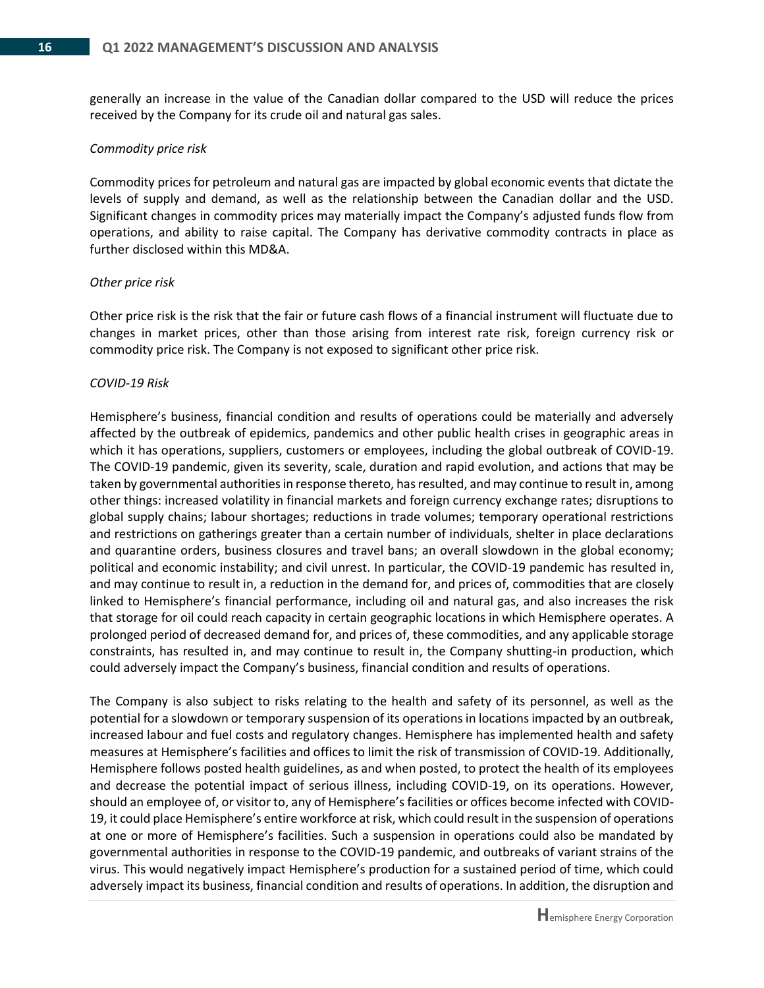generally an increase in the value of the Canadian dollar compared to the USD will reduce the prices received by the Company for its crude oil and natural gas sales.

#### *Commodity price risk*

Commodity prices for petroleum and natural gas are impacted by global economic events that dictate the levels of supply and demand, as well as the relationship between the Canadian dollar and the USD. Significant changes in commodity prices may materially impact the Company's adjusted funds flow from operations, and ability to raise capital. The Company has derivative commodity contracts in place as further disclosed within this MD&A.

#### *Other price risk*

Other price risk is the risk that the fair or future cash flows of a financial instrument will fluctuate due to changes in market prices, other than those arising from interest rate risk, foreign currency risk or commodity price risk. The Company is not exposed to significant other price risk.

#### *COVID-19 Risk*

Hemisphere's business, financial condition and results of operations could be materially and adversely affected by the outbreak of epidemics, pandemics and other public health crises in geographic areas in which it has operations, suppliers, customers or employees, including the global outbreak of COVID-19. The COVID-19 pandemic, given its severity, scale, duration and rapid evolution, and actions that may be taken by governmental authorities in response thereto, has resulted, and may continue to result in, among other things: increased volatility in financial markets and foreign currency exchange rates; disruptions to global supply chains; labour shortages; reductions in trade volumes; temporary operational restrictions and restrictions on gatherings greater than a certain number of individuals, shelter in place declarations and quarantine orders, business closures and travel bans; an overall slowdown in the global economy; political and economic instability; and civil unrest. In particular, the COVID-19 pandemic has resulted in, and may continue to result in, a reduction in the demand for, and prices of, commodities that are closely linked to Hemisphere's financial performance, including oil and natural gas, and also increases the risk that storage for oil could reach capacity in certain geographic locations in which Hemisphere operates. A prolonged period of decreased demand for, and prices of, these commodities, and any applicable storage constraints, has resulted in, and may continue to result in, the Company shutting-in production, which could adversely impact the Company's business, financial condition and results of operations.

The Company is also subject to risks relating to the health and safety of its personnel, as well as the potential for a slowdown or temporary suspension of its operations in locations impacted by an outbreak, increased labour and fuel costs and regulatory changes. Hemisphere has implemented health and safety measures at Hemisphere's facilities and offices to limit the risk of transmission of COVID-19. Additionally, Hemisphere follows posted health guidelines, as and when posted, to protect the health of its employees and decrease the potential impact of serious illness, including COVID-19, on its operations. However, should an employee of, or visitor to, any of Hemisphere's facilities or offices become infected with COVID-19, it could place Hemisphere's entire workforce at risk, which could result in the suspension of operations at one or more of Hemisphere's facilities. Such a suspension in operations could also be mandated by governmental authorities in response to the COVID-19 pandemic, and outbreaks of variant strains of the virus. This would negatively impact Hemisphere's production for a sustained period of time, which could adversely impact its business, financial condition and results of operations. In addition, the disruption and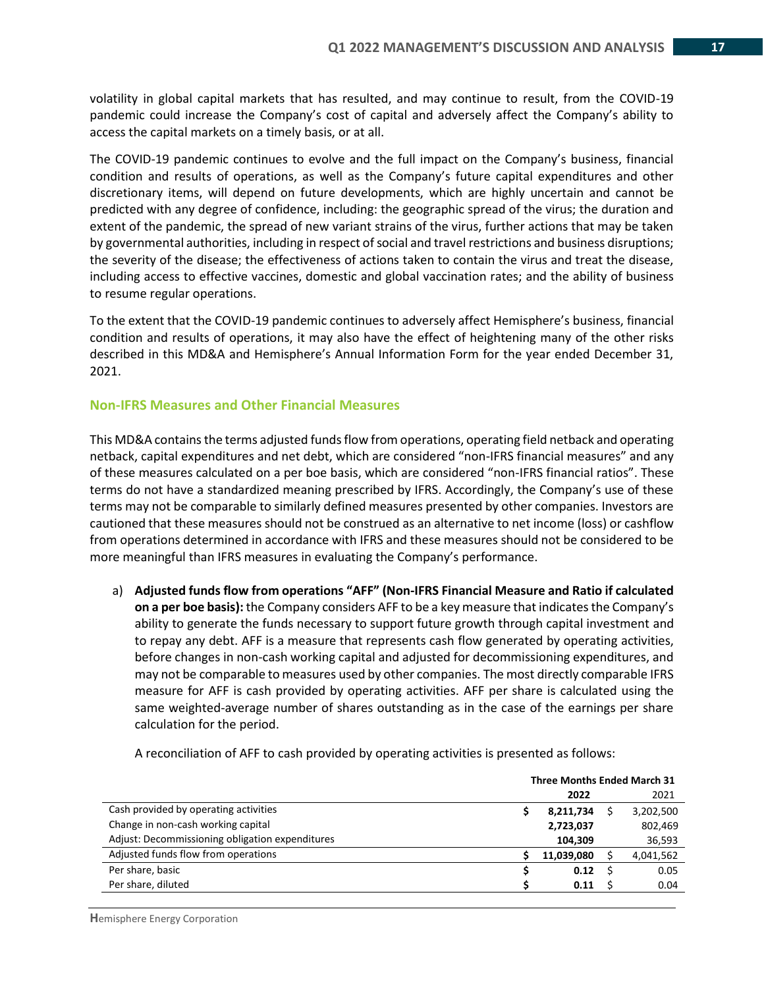volatility in global capital markets that has resulted, and may continue to result, from the COVID-19 pandemic could increase the Company's cost of capital and adversely affect the Company's ability to access the capital markets on a timely basis, or at all.

The COVID-19 pandemic continues to evolve and the full impact on the Company's business, financial condition and results of operations, as well as the Company's future capital expenditures and other discretionary items, will depend on future developments, which are highly uncertain and cannot be predicted with any degree of confidence, including: the geographic spread of the virus; the duration and extent of the pandemic, the spread of new variant strains of the virus, further actions that may be taken by governmental authorities, including in respect of social and travel restrictions and business disruptions; the severity of the disease; the effectiveness of actions taken to contain the virus and treat the disease, including access to effective vaccines, domestic and global vaccination rates; and the ability of business to resume regular operations.

To the extent that the COVID-19 pandemic continues to adversely affect Hemisphere's business, financial condition and results of operations, it may also have the effect of heightening many of the other risks described in this MD&A and Hemisphere's Annual Information Form for the year ended December 31, 2021.

## **Non-IFRS Measures and Other Financial Measures**

This MD&A contains the terms adjusted funds flow from operations, operating field netback and operating netback, capital expenditures and net debt, which are considered "non-IFRS financial measures" and any of these measures calculated on a per boe basis, which are considered "non-IFRS financial ratios". These terms do not have a standardized meaning prescribed by IFRS. Accordingly, the Company's use of these terms may not be comparable to similarly defined measures presented by other companies. Investors are cautioned that these measures should not be construed as an alternative to net income (loss) or cashflow from operations determined in accordance with IFRS and these measures should not be considered to be more meaningful than IFRS measures in evaluating the Company's performance.

a) **Adjusted funds flow from operations "AFF" (Non-IFRS Financial Measure and Ratio if calculated on a per boe basis):** the Company considers AFF to be a key measure that indicates the Company's ability to generate the funds necessary to support future growth through capital investment and to repay any debt. AFF is a measure that represents cash flow generated by operating activities, before changes in non-cash working capital and adjusted for decommissioning expenditures, and may not be comparable to measures used by other companies. The most directly comparable IFRS measure for AFF is cash provided by operating activities. AFF per share is calculated using the same weighted-average number of shares outstanding as in the case of the earnings per share calculation for the period.

|                                                 | <b>Three Months Ended March 31</b> |            |  |           |  |  |
|-------------------------------------------------|------------------------------------|------------|--|-----------|--|--|
|                                                 |                                    | 2022       |  | 2021      |  |  |
| Cash provided by operating activities           |                                    | 8,211,734  |  | 3,202,500 |  |  |
| Change in non-cash working capital              |                                    | 2,723,037  |  | 802,469   |  |  |
| Adjust: Decommissioning obligation expenditures |                                    | 104,309    |  | 36,593    |  |  |
| Adjusted funds flow from operations             |                                    | 11.039.080 |  | 4,041,562 |  |  |
| Per share, basic                                |                                    | 0.12       |  | 0.05      |  |  |
| Per share, diluted                              |                                    | 0.11       |  | 0.04      |  |  |
|                                                 |                                    |            |  |           |  |  |

A reconciliation of AFF to cash provided by operating activities is presented as follows:

**H**emisphere Energy Corporation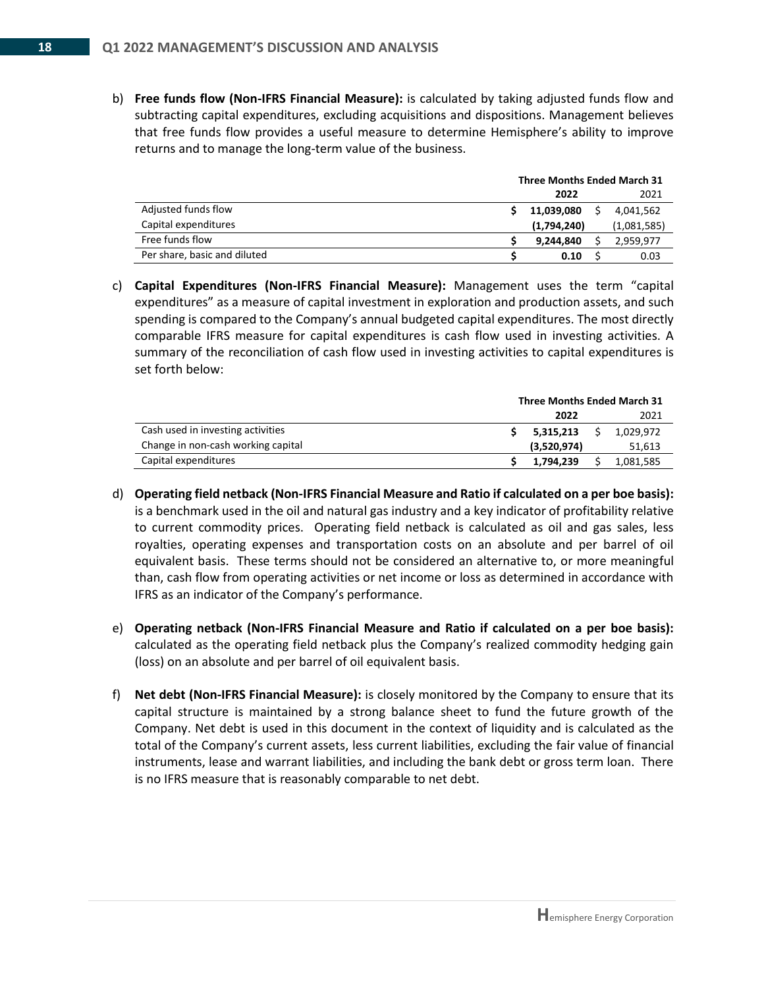b) **Free funds flow (Non-IFRS Financial Measure):** is calculated by taking adjusted funds flow and subtracting capital expenditures, excluding acquisitions and dispositions. Management believes that free funds flow provides a useful measure to determine Hemisphere's ability to improve returns and to manage the long-term value of the business.

|                              | <b>Three Months Ended March 31</b> |             |  |             |  |  |
|------------------------------|------------------------------------|-------------|--|-------------|--|--|
|                              |                                    | 2022        |  | 2021        |  |  |
| Adjusted funds flow          |                                    | 11,039,080  |  | 4,041,562   |  |  |
| Capital expenditures         |                                    | (1,794,240) |  | (1,081,585) |  |  |
| Free funds flow              |                                    | 9.244.840   |  | 2,959,977   |  |  |
| Per share, basic and diluted |                                    | 0.10        |  | 0.03        |  |  |

c) **Capital Expenditures (Non-IFRS Financial Measure):** Management uses the term "capital expenditures" as a measure of capital investment in exploration and production assets, and such spending is compared to the Company's annual budgeted capital expenditures. The most directly comparable IFRS measure for capital expenditures is cash flow used in investing activities. A summary of the reconciliation of cash flow used in investing activities to capital expenditures is set forth below:

|                                    | <b>Three Months Ended March 31</b> |             |  |           |  |
|------------------------------------|------------------------------------|-------------|--|-----------|--|
|                                    |                                    | 2022        |  | 2021      |  |
| Cash used in investing activities  |                                    | 5,315,213   |  | 1.029.972 |  |
| Change in non-cash working capital |                                    | (3,520,974) |  | 51,613    |  |
| Capital expenditures               |                                    | 1.794.239   |  | 1,081,585 |  |

- d) **Operating field netback (Non-IFRS Financial Measure and Ratio if calculated on a per boe basis):** is a benchmark used in the oil and natural gas industry and a key indicator of profitability relative to current commodity prices. Operating field netback is calculated as oil and gas sales, less royalties, operating expenses and transportation costs on an absolute and per barrel of oil equivalent basis. These terms should not be considered an alternative to, or more meaningful than, cash flow from operating activities or net income or loss as determined in accordance with IFRS as an indicator of the Company's performance.
- e) **Operating netback (Non-IFRS Financial Measure and Ratio if calculated on a per boe basis):** calculated as the operating field netback plus the Company's realized commodity hedging gain (loss) on an absolute and per barrel of oil equivalent basis.
- f) **Net debt (Non-IFRS Financial Measure):** is closely monitored by the Company to ensure that its capital structure is maintained by a strong balance sheet to fund the future growth of the Company. Net debt is used in this document in the context of liquidity and is calculated as the total of the Company's current assets, less current liabilities, excluding the fair value of financial instruments, lease and warrant liabilities, and including the bank debt or gross term loan. There is no IFRS measure that is reasonably comparable to net debt.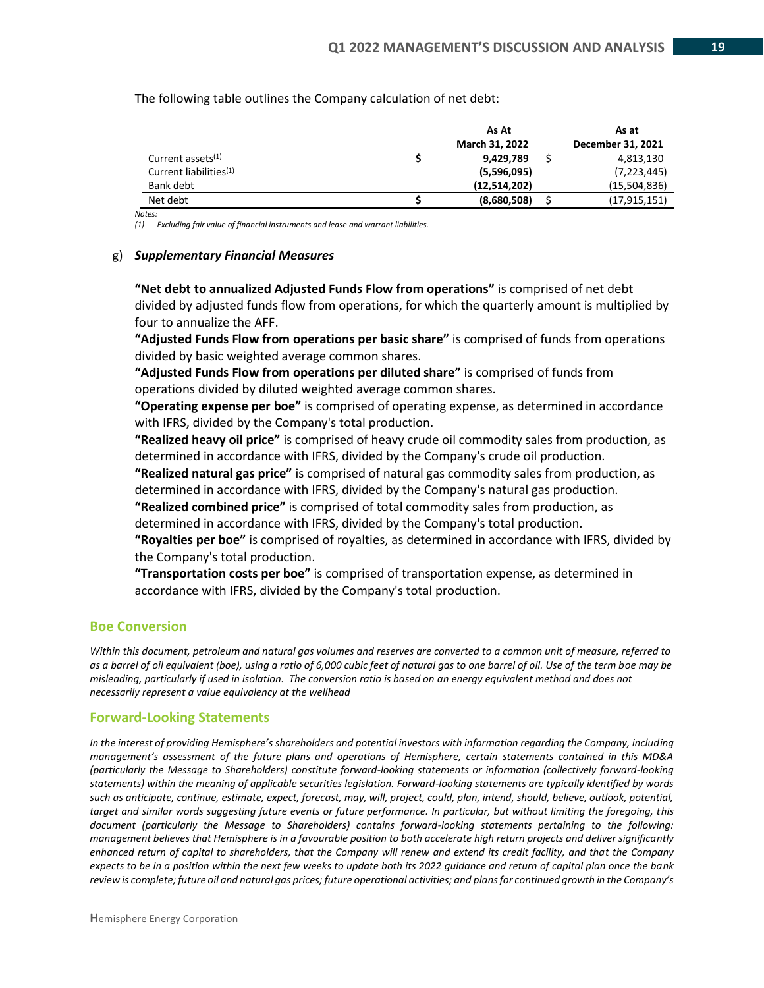The following table outlines the Company calculation of net debt:

|                                    | As At          | As at |                   |
|------------------------------------|----------------|-------|-------------------|
|                                    | March 31, 2022 |       | December 31, 2021 |
| Current assets <sup>(1)</sup>      | 9,429,789      |       | 4,813,130         |
| Current liabilities <sup>(1)</sup> | (5,596,095)    |       | (7, 223, 445)     |
| Bank debt                          | (12,514,202)   |       | (15,504,836)      |
| Net debt                           | (8,680,508)    |       | (17, 915, 151)    |

*Notes:*

*(1) Excluding fair value of financial instruments and lease and warrant liabilities.*

#### g) *Supplementary Financial Measures*

**"Net debt to annualized Adjusted Funds Flow from operations"** is comprised of net debt divided by adjusted funds flow from operations, for which the quarterly amount is multiplied by four to annualize the AFF.

**"Adjusted Funds Flow from operations per basic share"** is comprised of funds from operations divided by basic weighted average common shares.

**"Adjusted Funds Flow from operations per diluted share"** is comprised of funds from operations divided by diluted weighted average common shares.

**"Operating expense per boe"** is comprised of operating expense, as determined in accordance with IFRS, divided by the Company's total production.

**"Realized heavy oil price"** is comprised of heavy crude oil commodity sales from production, as determined in accordance with IFRS, divided by the Company's crude oil production.

**"Realized natural gas price"** is comprised of natural gas commodity sales from production, as determined in accordance with IFRS, divided by the Company's natural gas production.

**"Realized combined price"** is comprised of total commodity sales from production, as determined in accordance with IFRS, divided by the Company's total production.

**"Royalties per boe"** is comprised of royalties, as determined in accordance with IFRS, divided by the Company's total production.

**"Transportation costs per boe"** is comprised of transportation expense, as determined in accordance with IFRS, divided by the Company's total production.

#### **Boe Conversion**

*Within this document, petroleum and natural gas volumes and reserves are converted to a common unit of measure, referred to as a barrel of oil equivalent (boe), using a ratio of 6,000 cubic feet of natural gas to one barrel of oil. Use of the term boe may be misleading, particularly if used in isolation. The conversion ratio is based on an energy equivalent method and does not necessarily represent a value equivalency at the wellhead*

#### **Forward-Looking Statements**

*In the interest of providing Hemisphere's shareholders and potential investors with information regarding the Company, including management's assessment of the future plans and operations of Hemisphere, certain statements contained in this MD&A (particularly the Message to Shareholders) constitute forward-looking statements or information (collectively forward-looking statements) within the meaning of applicable securities legislation. Forward-looking statements are typically identified by words such as anticipate, continue, estimate, expect, forecast, may, will, project, could, plan, intend, should, believe, outlook, potential, target and similar words suggesting future events or future performance. In particular, but without limiting the foregoing, this document (particularly the Message to Shareholders) contains forward-looking statements pertaining to the following: management believes that Hemisphere is in a favourable position to both accelerate high return projects and deliver significantly enhanced return of capital to shareholders, that the Company will renew and extend its credit facility, and that the Company expects to be in a position within the next few weeks to update both its 2022 guidance and return of capital plan once the bank*  review is complete; future oil and natural gas prices; future operational activities; and plans for continued growth in the Company's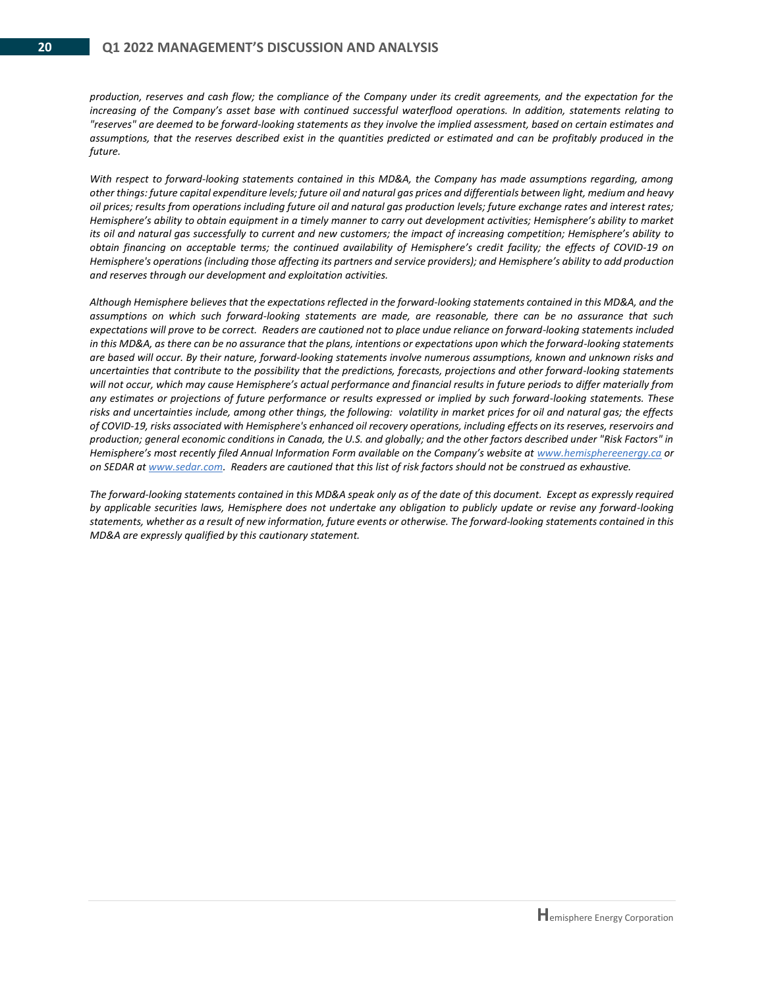*production, reserves and cash flow; the compliance of the Company under its credit agreements, and the expectation for the increasing of the Company's asset base with continued successful waterflood operations. In addition, statements relating to "reserves" are deemed to be forward-looking statements as they involve the implied assessment, based on certain estimates and assumptions, that the reserves described exist in the quantities predicted or estimated and can be profitably produced in the future.*

*With respect to forward-looking statements contained in this MD&A, the Company has made assumptions regarding, among other things: future capital expenditure levels; future oil and natural gas prices and differentials between light, medium and heavy oil prices; results from operations including future oil and natural gas production levels; future exchange rates and interest rates; Hemisphere's ability to obtain equipment in a timely manner to carry out development activities; Hemisphere's ability to market its oil and natural gas successfully to current and new customers; the impact of increasing competition; Hemisphere's ability to obtain financing on acceptable terms; the continued availability of Hemisphere's credit facility; the effects of COVID-19 on Hemisphere's operations (including those affecting its partners and service providers); and Hemisphere's ability to add production and reserves through our development and exploitation activities.*

*Although Hemisphere believes that the expectations reflected in the forward-looking statements contained in this MD&A, and the assumptions on which such forward-looking statements are made, are reasonable, there can be no assurance that such expectations will prove to be correct. Readers are cautioned not to place undue reliance on forward-looking statements included in this MD&A, as there can be no assurance that the plans, intentions or expectations upon which the forward-looking statements are based will occur. By their nature, forward-looking statements involve numerous assumptions, known and unknown risks and uncertainties that contribute to the possibility that the predictions, forecasts, projections and other forward-looking statements will not occur, which may cause Hemisphere's actual performance and financial results in future periods to differ materially from any estimates or projections of future performance or results expressed or implied by such forward-looking statements. These risks and uncertainties include, among other things, the following: volatility in market prices for oil and natural gas; the effects of COVID-19, risks associated with Hemisphere's enhanced oil recovery operations, including effects on its reserves, reservoirs and production; general economic conditions in Canada, the U.S. and globally; and the other factors described under "Risk Factors" in Hemisphere's most recently filed Annual Information Form available on the Company's website at [www.hemisphereenergy.ca](http://www.hemisphereenergy.ca/) or on SEDAR a[t www.sedar.com.](http://www.sedar.com/) Readers are cautioned that this list of risk factors should not be construed as exhaustive.*

*The forward-looking statements contained in this MD&A speak only as of the date of this document. Except as expressly required by applicable securities laws, Hemisphere does not undertake any obligation to publicly update or revise any forward-looking statements, whether as a result of new information, future events or otherwise. The forward-looking statements contained in this MD&A are expressly qualified by this cautionary statement.*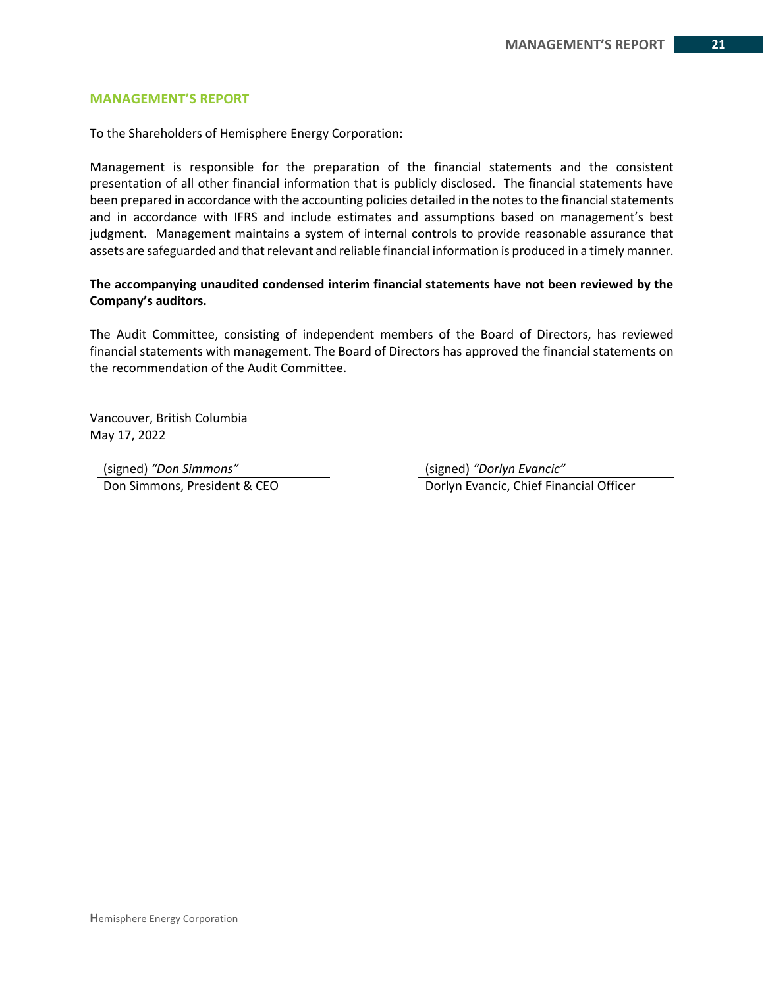#### **MANAGEMENT'S REPORT**

To the Shareholders of Hemisphere Energy Corporation:

Management is responsible for the preparation of the financial statements and the consistent presentation of all other financial information that is publicly disclosed. The financial statements have been prepared in accordance with the accounting policies detailed in the notes to the financial statements and in accordance with IFRS and include estimates and assumptions based on management's best judgment. Management maintains a system of internal controls to provide reasonable assurance that assets are safeguarded and that relevant and reliable financial information is produced in a timely manner.

## **The accompanying unaudited condensed interim financial statements have not been reviewed by the Company's auditors.**

The Audit Committee, consisting of independent members of the Board of Directors, has reviewed financial statements with management. The Board of Directors has approved the financial statements on the recommendation of the Audit Committee.

Vancouver, British Columbia May 17, 2022

(signed) *"Don Simmons"* (signed) *"Dorlyn Evancic"* Don Simmons, President & CEO Dorlyn Evancic, Chief Financial Officer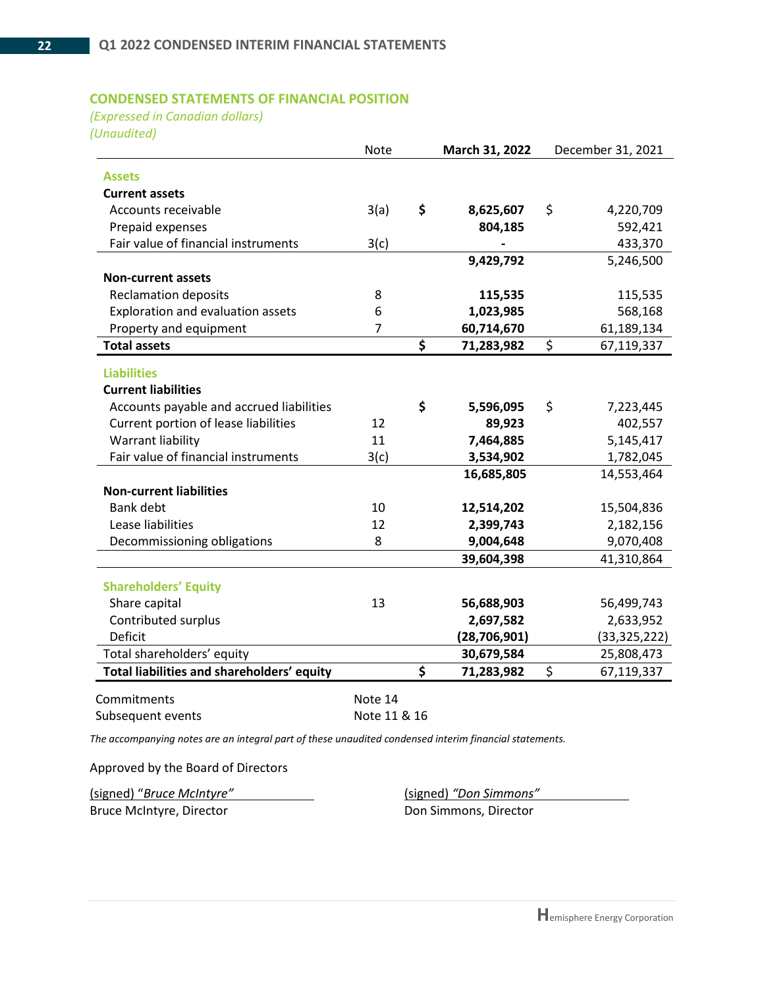#### **CONDENSED STATEMENTS OF FINANCIAL POSITION**

*(Expressed in Canadian dollars)*

*(Unaudited)*

|                                            | March 31, 2022<br>Note |    | December 31, 2021 |    |                |
|--------------------------------------------|------------------------|----|-------------------|----|----------------|
| <b>Assets</b>                              |                        |    |                   |    |                |
| <b>Current assets</b>                      |                        |    |                   |    |                |
| Accounts receivable                        | 3(a)                   | \$ | 8,625,607         | \$ | 4,220,709      |
| Prepaid expenses                           |                        |    | 804,185           |    | 592,421        |
| Fair value of financial instruments        | 3(c)                   |    |                   |    | 433,370        |
|                                            |                        |    | 9,429,792         |    | 5,246,500      |
| <b>Non-current assets</b>                  |                        |    |                   |    |                |
| <b>Reclamation deposits</b>                | 8                      |    | 115,535           |    | 115,535        |
| Exploration and evaluation assets          | 6                      |    | 1,023,985         |    | 568,168        |
| Property and equipment                     | $\overline{7}$         |    | 60,714,670        |    | 61,189,134     |
| <b>Total assets</b>                        |                        | \$ | 71,283,982        | \$ | 67,119,337     |
| <b>Liabilities</b>                         |                        |    |                   |    |                |
| <b>Current liabilities</b>                 |                        |    |                   |    |                |
| Accounts payable and accrued liabilities   |                        | \$ | 5,596,095         | \$ | 7,223,445      |
| Current portion of lease liabilities       | 12                     |    | 89,923            |    | 402,557        |
| Warrant liability                          | 11                     |    | 7,464,885         |    | 5,145,417      |
| Fair value of financial instruments        | 3(c)                   |    | 3,534,902         |    | 1,782,045      |
|                                            |                        |    | 16,685,805        |    | 14,553,464     |
| <b>Non-current liabilities</b>             |                        |    |                   |    |                |
| <b>Bank debt</b>                           | 10                     |    | 12,514,202        |    | 15,504,836     |
| Lease liabilities                          | 12                     |    | 2,399,743         |    | 2,182,156      |
| Decommissioning obligations                | 8                      |    | 9,004,648         |    | 9,070,408      |
|                                            |                        |    | 39,604,398        |    | 41,310,864     |
|                                            |                        |    |                   |    |                |
| <b>Shareholders' Equity</b>                |                        |    |                   |    |                |
| Share capital                              | 13                     |    | 56,688,903        |    | 56,499,743     |
| Contributed surplus                        |                        |    | 2,697,582         |    | 2,633,952      |
| Deficit                                    |                        |    | (28, 706, 901)    |    | (33, 325, 222) |
| Total shareholders' equity                 |                        |    | 30,679,584        |    | 25,808,473     |
| Total liabilities and shareholders' equity |                        | \$ | 71,283,982        | \$ | 67,119,337     |
| Commitments                                | Note 14                |    |                   |    |                |
| Subsequent events                          | Note 11 & 16           |    |                   |    |                |

*The accompanying notes are an integral part of these unaudited condensed interim financial statements.*

Approved by the Board of Directors

(signed) "*Bruce McIntyre"* (signed) *"Don Simmons"*  Bruce McIntyre, Director **Don Simmons**, Director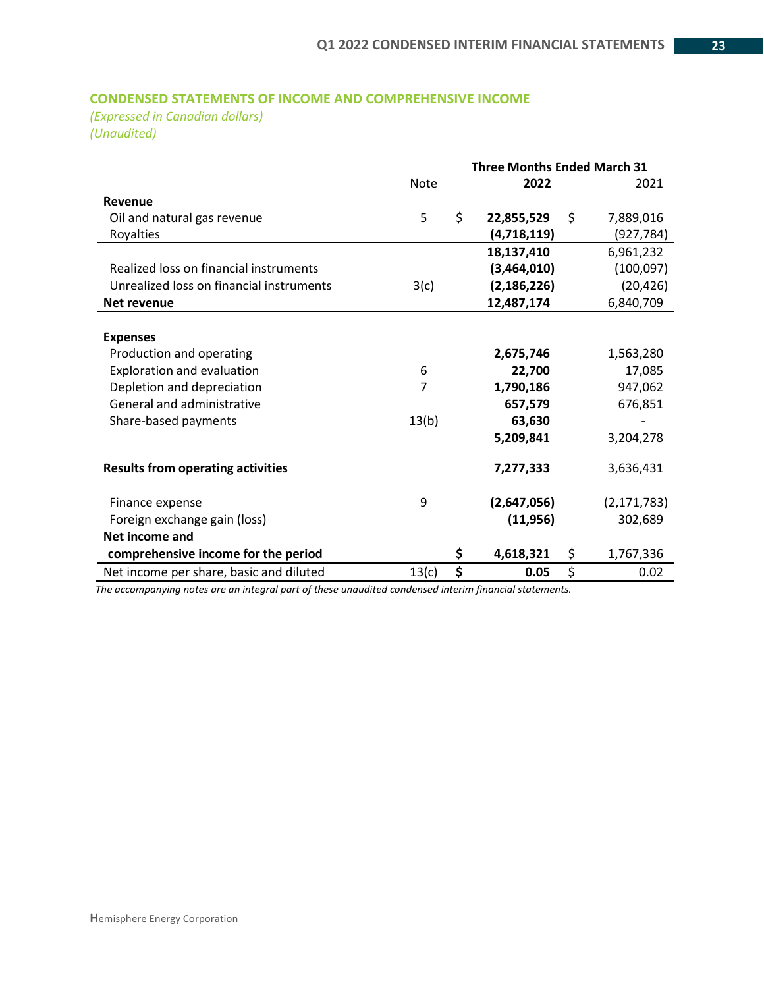## **CONDENSED STATEMENTS OF INCOME AND COMPREHENSIVE INCOME**

*(Expressed in Canadian dollars) (Unaudited)*

|                                          |       | <b>Three Months Ended March 31</b> |               |
|------------------------------------------|-------|------------------------------------|---------------|
|                                          | Note  | 2022                               | 2021          |
| Revenue                                  |       |                                    |               |
| Oil and natural gas revenue              | 5     | \$<br>\$<br>22,855,529             | 7,889,016     |
| Royalties                                |       | (4,718,119)                        | (927, 784)    |
|                                          |       | 18,137,410                         | 6,961,232     |
| Realized loss on financial instruments   |       | (3,464,010)                        | (100,097)     |
| Unrealized loss on financial instruments | 3(c)  | (2, 186, 226)                      | (20, 426)     |
| Net revenue                              |       | 12,487,174                         | 6,840,709     |
|                                          |       |                                    |               |
| <b>Expenses</b>                          |       |                                    |               |
| Production and operating                 |       | 2,675,746                          | 1,563,280     |
| Exploration and evaluation               | 6     | 22,700                             | 17,085        |
| Depletion and depreciation               | 7     | 1,790,186                          | 947,062       |
| <b>General and administrative</b>        |       | 657,579                            | 676,851       |
| Share-based payments                     | 13(b) | 63,630                             |               |
|                                          |       | 5,209,841                          | 3,204,278     |
| <b>Results from operating activities</b> |       | 7,277,333                          | 3,636,431     |
|                                          |       |                                    |               |
| Finance expense                          | 9     | (2,647,056)                        | (2, 171, 783) |
| Foreign exchange gain (loss)             |       | (11, 956)                          | 302,689       |
| Net income and                           |       |                                    |               |
| comprehensive income for the period      |       | \$<br>\$<br>4,618,321              | 1,767,336     |
| Net income per share, basic and diluted  | 13(c) | \$<br>\$<br>0.05                   | 0.02          |

*The accompanying notes are an integral part of these unaudited condensed interim financial statements.*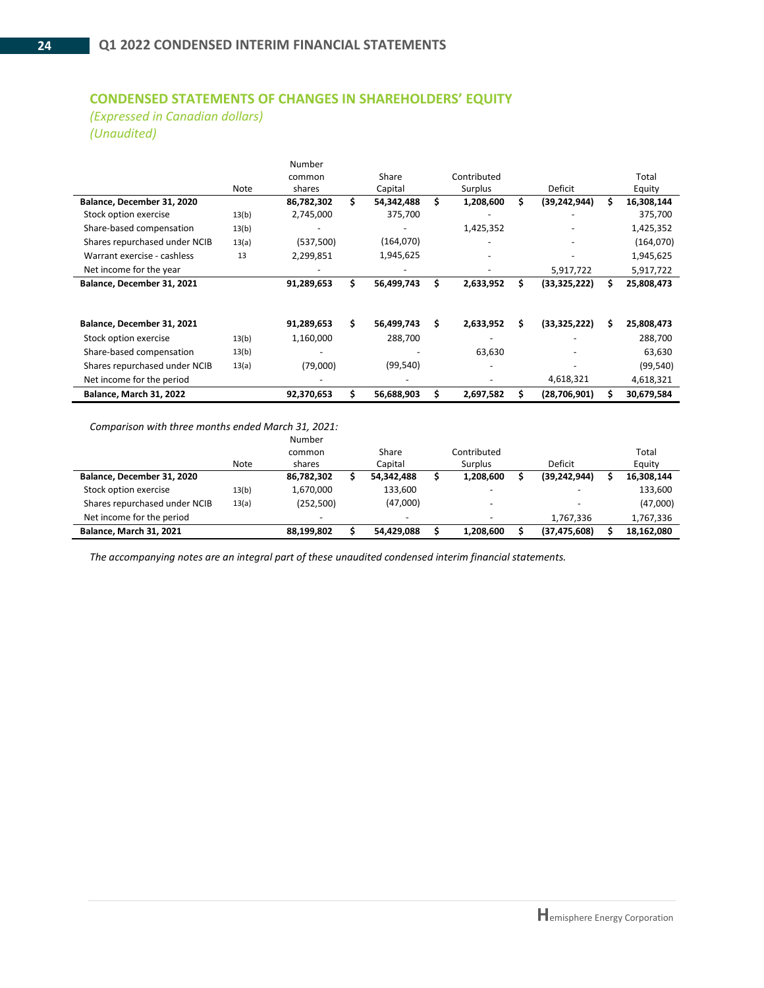## **CONDENSED STATEMENTS OF CHANGES IN SHAREHOLDERS' EQUITY**

*(Expressed in Canadian dollars) (Unaudited)*

|                               | Note  | Number<br>common<br>shares |    | Share<br>Capital |    | Contributed<br>Surplus |    | Deficit        |     | Total<br>Equity |
|-------------------------------|-------|----------------------------|----|------------------|----|------------------------|----|----------------|-----|-----------------|
| Balance, December 31, 2020    |       | 86,782,302                 | Ś. | 54,342,488       | Ś. | 1,208,600              |    | (39, 242, 944) | s   | 16,308,144      |
| Stock option exercise         | 13(b) | 2,745,000                  |    | 375,700          |    |                        |    |                |     | 375,700         |
| Share-based compensation      | 13(b) |                            |    |                  |    | 1,425,352              |    |                |     | 1,425,352       |
| Shares repurchased under NCIB | 13(a) | (537,500)                  |    | (164,070)        |    |                        |    |                |     | (164,070)       |
| Warrant exercise - cashless   | 13    | 2,299,851                  |    | 1,945,625        |    |                        |    |                |     | 1,945,625       |
| Net income for the year       |       |                            |    |                  |    |                        |    | 5,917,722      |     | 5,917,722       |
| Balance, December 31, 2021    |       | 91,289,653                 | \$ | 56,499,743       | s  | 2,633,952              | Ś. | (33, 325, 222) | Ś.  | 25,808,473      |
| Balance, December 31, 2021    |       | 91,289,653                 | \$ | 56,499,743       | s  | 2,633,952              | s  | (33, 325, 222) | \$. | 25,808,473      |
| Stock option exercise         | 13(b) | 1,160,000                  |    | 288,700          |    |                        |    |                |     | 288,700         |
| Share-based compensation      | 13(b) |                            |    |                  |    | 63,630                 |    |                |     | 63,630          |
| Shares repurchased under NCIB | 13(a) | (79,000)                   |    | (99, 540)        |    |                        |    |                |     | (99, 540)       |
| Net income for the period     |       |                            |    |                  |    |                        |    | 4,618,321      |     | 4,618,321       |
| Balance, March 31, 2022       |       | 92,370,653                 | \$ | 56,688,903       |    | 2,697,582              |    | (28,706,901)   | s   | 30,679,584      |

*Comparison with three months ended March 31, 2021:*

|                                |       | Number                   |                          |                          |                          |            |
|--------------------------------|-------|--------------------------|--------------------------|--------------------------|--------------------------|------------|
|                                |       | common                   | Share                    | Contributed              |                          | Total      |
|                                | Note  | shares                   | Capital                  | Surplus                  | Deficit                  | Equity     |
| Balance, December 31, 2020     |       | 86,782,302               | 54.342.488               | 1,208,600                | (39, 242, 944)           | 16,308,144 |
| Stock option exercise          | 13(b) | 1,670,000                | 133,600                  | $\overline{\phantom{0}}$ | $\overline{\phantom{a}}$ | 133,600    |
| Shares repurchased under NCIB  | 13(a) | (252,500)                | (47,000)                 | $\overline{\phantom{0}}$ | $\overline{\phantom{a}}$ | (47,000)   |
| Net income for the period      |       | $\overline{\phantom{0}}$ | $\overline{\phantom{a}}$ | $\overline{\phantom{0}}$ | 1.767.336                | 1,767,336  |
| <b>Balance, March 31, 2021</b> |       | 88.199.802               | 54.429.088               | 1,208,600                | (37, 475, 608)           | 18,162,080 |

*The accompanying notes are an integral part of these unaudited condensed interim financial statements.*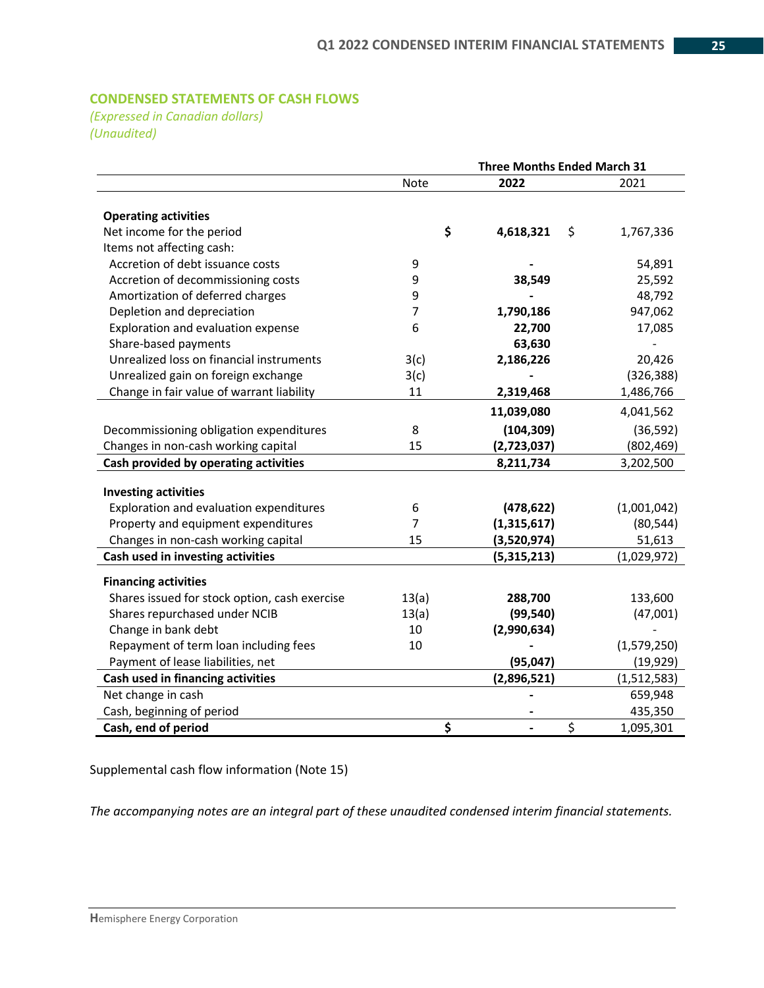## **CONDENSED STATEMENTS OF CASH FLOWS**

*(Expressed in Canadian dollars) (Unaudited)*

|                                               | <b>Three Months Ended March 31</b> |                 |             |  |  |  |  |
|-----------------------------------------------|------------------------------------|-----------------|-------------|--|--|--|--|
|                                               | <b>Note</b>                        | 2022            | 2021        |  |  |  |  |
|                                               |                                    |                 |             |  |  |  |  |
| <b>Operating activities</b>                   |                                    |                 |             |  |  |  |  |
| Net income for the period                     | \$                                 | 4,618,321<br>\$ | 1,767,336   |  |  |  |  |
| Items not affecting cash:                     |                                    |                 |             |  |  |  |  |
| Accretion of debt issuance costs              | 9                                  |                 | 54,891      |  |  |  |  |
| Accretion of decommissioning costs            | 9                                  | 38,549          | 25,592      |  |  |  |  |
| Amortization of deferred charges              | 9                                  |                 | 48,792      |  |  |  |  |
| Depletion and depreciation                    | 7                                  | 1,790,186       | 947,062     |  |  |  |  |
| Exploration and evaluation expense            | 6                                  | 22,700          | 17,085      |  |  |  |  |
| Share-based payments                          |                                    | 63,630          |             |  |  |  |  |
| Unrealized loss on financial instruments      | 3(c)                               | 2,186,226       | 20,426      |  |  |  |  |
| Unrealized gain on foreign exchange           | 3(c)                               |                 | (326, 388)  |  |  |  |  |
| Change in fair value of warrant liability     | 11                                 | 2,319,468       | 1,486,766   |  |  |  |  |
|                                               |                                    | 11,039,080      | 4,041,562   |  |  |  |  |
| Decommissioning obligation expenditures       | 8                                  | (104, 309)      | (36, 592)   |  |  |  |  |
| Changes in non-cash working capital           | 15                                 | (2,723,037)     | (802, 469)  |  |  |  |  |
| Cash provided by operating activities         |                                    | 8,211,734       | 3,202,500   |  |  |  |  |
|                                               |                                    |                 |             |  |  |  |  |
| <b>Investing activities</b>                   |                                    |                 |             |  |  |  |  |
| Exploration and evaluation expenditures       | 6                                  | (478, 622)      | (1,001,042) |  |  |  |  |
| Property and equipment expenditures           | 7                                  | (1,315,617)     | (80, 544)   |  |  |  |  |
| Changes in non-cash working capital           | 15                                 | (3,520,974)     | 51,613      |  |  |  |  |
| Cash used in investing activities             |                                    | (5,315,213)     | (1,029,972) |  |  |  |  |
| <b>Financing activities</b>                   |                                    |                 |             |  |  |  |  |
| Shares issued for stock option, cash exercise | 13(a)                              | 288,700         | 133,600     |  |  |  |  |
| Shares repurchased under NCIB                 | 13(a)                              | (99, 540)       | (47,001)    |  |  |  |  |
| Change in bank debt                           | 10                                 | (2,990,634)     |             |  |  |  |  |
| Repayment of term loan including fees         | 10                                 |                 | (1,579,250) |  |  |  |  |
| Payment of lease liabilities, net             |                                    | (95, 047)       | (19, 929)   |  |  |  |  |
| Cash used in financing activities             |                                    | (2,896,521)     | (1,512,583) |  |  |  |  |
| Net change in cash                            |                                    |                 | 659,948     |  |  |  |  |
| Cash, beginning of period                     |                                    |                 | 435,350     |  |  |  |  |
| Cash, end of period                           | \$                                 | \$              | 1,095,301   |  |  |  |  |

Supplemental cash flow information (Note 15)

*The accompanying notes are an integral part of these unaudited condensed interim financial statements.*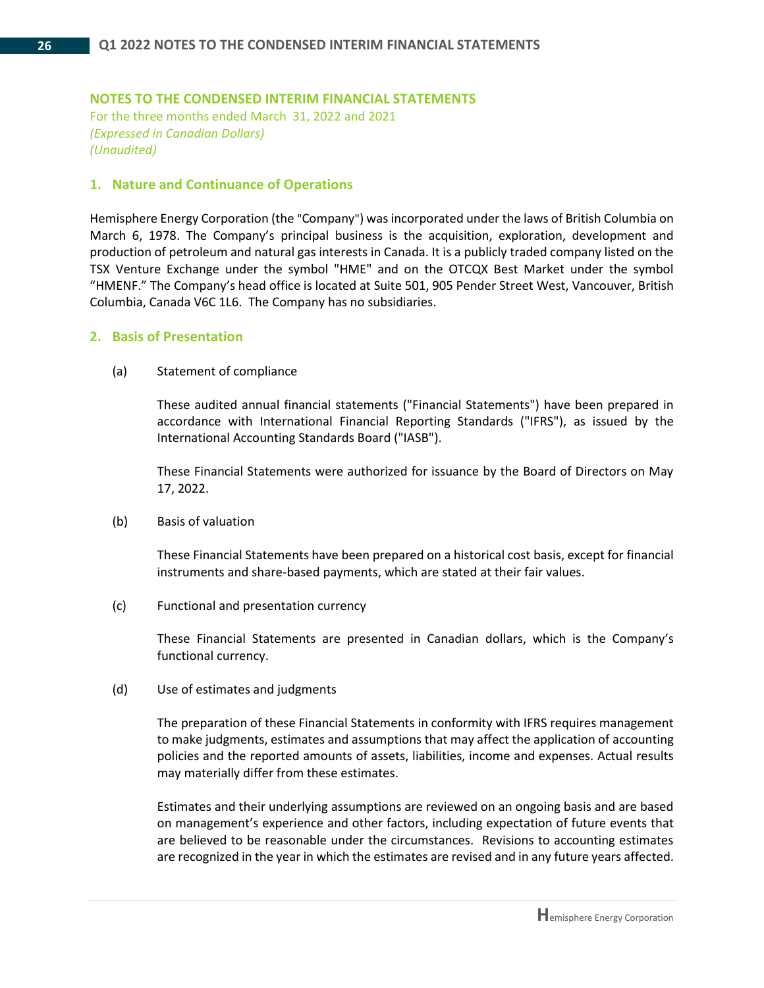### **NOTES TO THE CONDENSED INTERIM FINANCIAL STATEMENTS**

For the three months ended March 31, 2022 and 2021 *(Expressed in Canadian Dollars) (Unaudited)*

#### **1. Nature and Continuance of Operations**

Hemisphere Energy Corporation (the "Company") was incorporated under the laws of British Columbia on March 6, 1978. The Company's principal business is the acquisition, exploration, development and production of petroleum and natural gas interests in Canada. It is a publicly traded company listed on the TSX Venture Exchange under the symbol "HME" and on the OTCQX Best Market under the symbol "HMENF." The Company's head office is located at Suite 501, 905 Pender Street West, Vancouver, British Columbia, Canada V6C 1L6. The Company has no subsidiaries.

#### **2. Basis of Presentation**

(a) Statement of compliance

These audited annual financial statements ("Financial Statements") have been prepared in accordance with International Financial Reporting Standards ("IFRS"), as issued by the International Accounting Standards Board ("IASB").

These Financial Statements were authorized for issuance by the Board of Directors on May 17, 2022.

(b) Basis of valuation

These Financial Statements have been prepared on a historical cost basis, except for financial instruments and share-based payments, which are stated at their fair values.

(c) Functional and presentation currency

These Financial Statements are presented in Canadian dollars, which is the Company's functional currency.

(d) Use of estimates and judgments

The preparation of these Financial Statements in conformity with IFRS requires management to make judgments, estimates and assumptions that may affect the application of accounting policies and the reported amounts of assets, liabilities, income and expenses. Actual results may materially differ from these estimates.

Estimates and their underlying assumptions are reviewed on an ongoing basis and are based on management's experience and other factors, including expectation of future events that are believed to be reasonable under the circumstances. Revisions to accounting estimates are recognized in the year in which the estimates are revised and in any future years affected.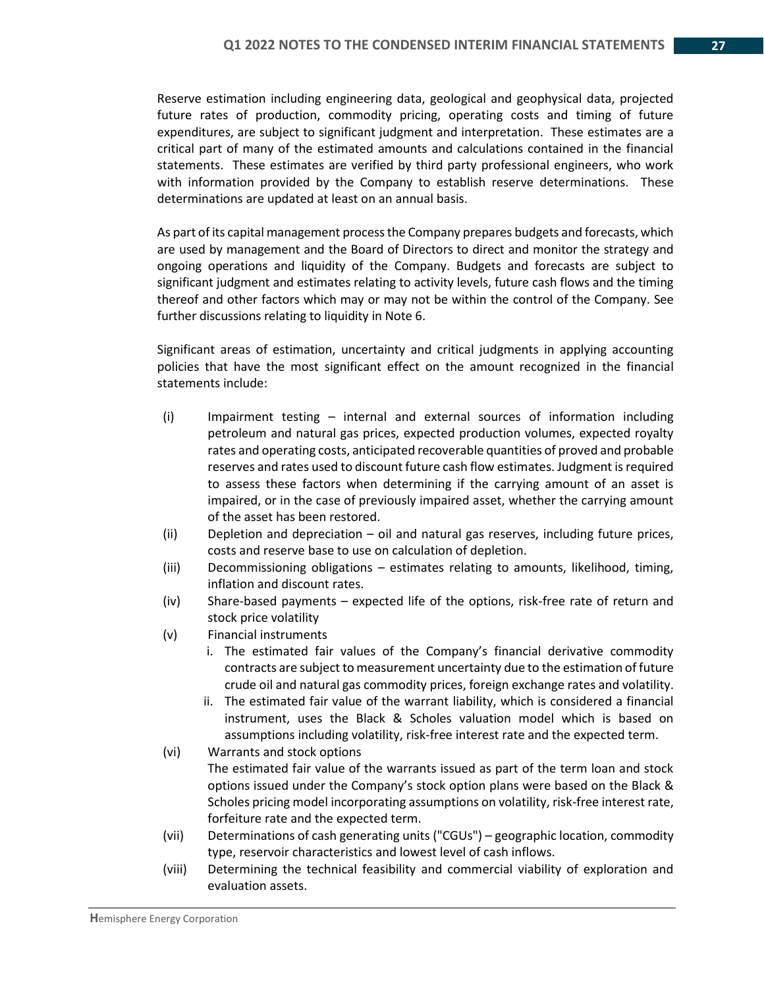Reserve estimation including engineering data, geological and geophysical data, projected future rates of production, commodity pricing, operating costs and timing of future expenditures, are subject to significant judgment and interpretation. These estimates are a critical part of many of the estimated amounts and calculations contained in the financial statements. These estimates are verified by third party professional engineers, who work with information provided by the Company to establish reserve determinations. These determinations are updated at least on an annual basis.

As part of its capital management process the Company prepares budgets and forecasts, which are used by management and the Board of Directors to direct and monitor the strategy and ongoing operations and liquidity of the Company. Budgets and forecasts are subject to significant judgment and estimates relating to activity levels, future cash flows and the timing thereof and other factors which may or may not be within the control of the Company. See further discussions relating to liquidity in Note 6.

Significant areas of estimation, uncertainty and critical judgments in applying accounting policies that have the most significant effect on the amount recognized in the financial statements include:

- (i) Impairment testing internal and external sources of information including petroleum and natural gas prices, expected production volumes, expected royalty rates and operating costs, anticipated recoverable quantities of proved and probable reserves and rates used to discount future cash flow estimates. Judgment is required to assess these factors when determining if the carrying amount of an asset is impaired, or in the case of previously impaired asset, whether the carrying amount of the asset has been restored.
- (ii) Depletion and depreciation oil and natural gas reserves, including future prices, costs and reserve base to use on calculation of depletion.
- (iii) Decommissioning obligations estimates relating to amounts, likelihood, timing, inflation and discount rates.
- (iv) Share-based payments expected life of the options, risk-free rate of return and stock price volatility
- (v) Financial instruments
	- i. The estimated fair values of the Company's financial derivative commodity contracts are subject to measurement uncertainty due to the estimation of future crude oil and natural gas commodity prices, foreign exchange rates and volatility.
	- ii. The estimated fair value of the warrant liability, which is considered a financial instrument, uses the Black & Scholes valuation model which is based on assumptions including volatility, risk-free interest rate and the expected term.
- (vi) Warrants and stock options The estimated fair value of the warrants issued as part of the term loan and stock options issued under the Company's stock option plans were based on the Black & Scholes pricing model incorporating assumptions on volatility, risk-free interest rate, forfeiture rate and the expected term.
- (vii) Determinations of cash generating units ("CGUs") geographic location, commodity type, reservoir characteristics and lowest level of cash inflows.
- (viii) Determining the technical feasibility and commercial viability of exploration and evaluation assets.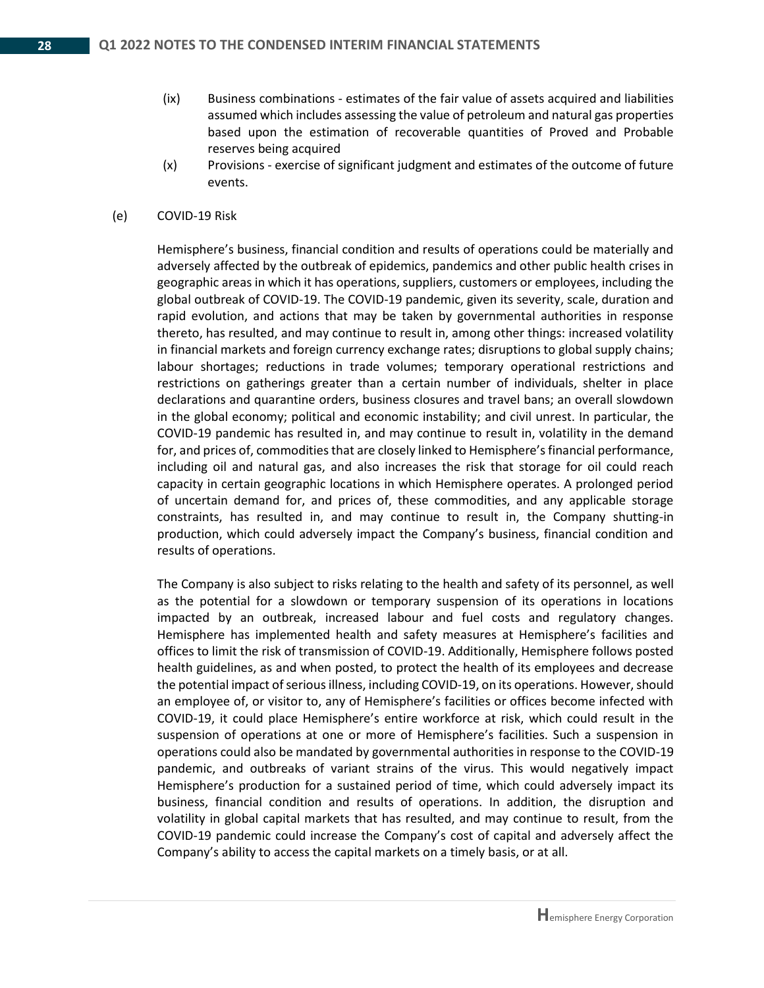- (ix) Business combinations estimates of the fair value of assets acquired and liabilities assumed which includes assessing the value of petroleum and natural gas properties based upon the estimation of recoverable quantities of Proved and Probable reserves being acquired
- (x) Provisions exercise of significant judgment and estimates of the outcome of future events.
- (e) COVID-19 Risk

Hemisphere's business, financial condition and results of operations could be materially and adversely affected by the outbreak of epidemics, pandemics and other public health crises in geographic areas in which it has operations, suppliers, customers or employees, including the global outbreak of COVID-19. The COVID-19 pandemic, given its severity, scale, duration and rapid evolution, and actions that may be taken by governmental authorities in response thereto, has resulted, and may continue to result in, among other things: increased volatility in financial markets and foreign currency exchange rates; disruptions to global supply chains; labour shortages; reductions in trade volumes; temporary operational restrictions and restrictions on gatherings greater than a certain number of individuals, shelter in place declarations and quarantine orders, business closures and travel bans; an overall slowdown in the global economy; political and economic instability; and civil unrest. In particular, the COVID-19 pandemic has resulted in, and may continue to result in, volatility in the demand for, and prices of, commodities that are closely linked to Hemisphere's financial performance, including oil and natural gas, and also increases the risk that storage for oil could reach capacity in certain geographic locations in which Hemisphere operates. A prolonged period of uncertain demand for, and prices of, these commodities, and any applicable storage constraints, has resulted in, and may continue to result in, the Company shutting-in production, which could adversely impact the Company's business, financial condition and results of operations.

The Company is also subject to risks relating to the health and safety of its personnel, as well as the potential for a slowdown or temporary suspension of its operations in locations impacted by an outbreak, increased labour and fuel costs and regulatory changes. Hemisphere has implemented health and safety measures at Hemisphere's facilities and offices to limit the risk of transmission of COVID-19. Additionally, Hemisphere follows posted health guidelines, as and when posted, to protect the health of its employees and decrease the potential impact of serious illness, including COVID-19, on its operations. However, should an employee of, or visitor to, any of Hemisphere's facilities or offices become infected with COVID-19, it could place Hemisphere's entire workforce at risk, which could result in the suspension of operations at one or more of Hemisphere's facilities. Such a suspension in operations could also be mandated by governmental authorities in response to the COVID-19 pandemic, and outbreaks of variant strains of the virus. This would negatively impact Hemisphere's production for a sustained period of time, which could adversely impact its business, financial condition and results of operations. In addition, the disruption and volatility in global capital markets that has resulted, and may continue to result, from the COVID-19 pandemic could increase the Company's cost of capital and adversely affect the Company's ability to access the capital markets on a timely basis, or at all.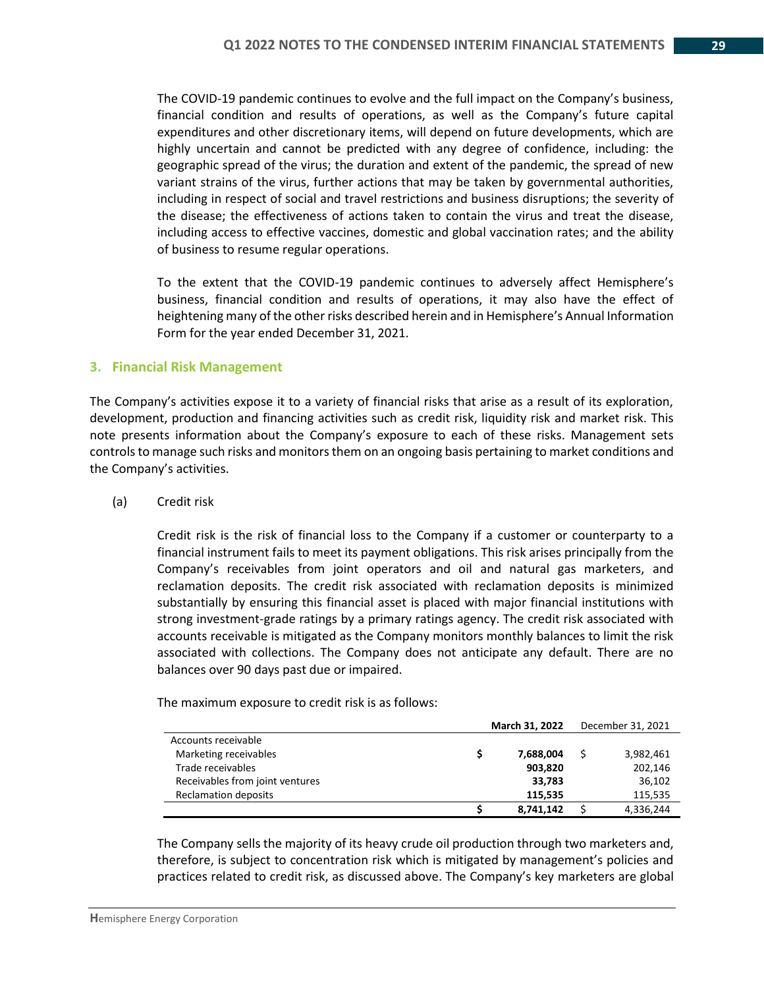The COVID-19 pandemic continues to evolve and the full impact on the Company's business, financial condition and results of operations, as well as the Company's future capital expenditures and other discretionary items, will depend on future developments, which are highly uncertain and cannot be predicted with any degree of confidence, including: the geographic spread of the virus; the duration and extent of the pandemic, the spread of new variant strains of the virus, further actions that may be taken by governmental authorities, including in respect of social and travel restrictions and business disruptions; the severity of the disease; the effectiveness of actions taken to contain the virus and treat the disease, including access to effective vaccines, domestic and global vaccination rates; and the ability of business to resume regular operations.

To the extent that the COVID-19 pandemic continues to adversely affect Hemisphere's business, financial condition and results of operations, it may also have the effect of heightening many of the other risks described herein and in Hemisphere's Annual Information Form for the year ended December 31, 2021.

#### **3. Financial Risk Management**

The Company's activities expose it to a variety of financial risks that arise as a result of its exploration, development, production and financing activities such as credit risk, liquidity risk and market risk. This note presents information about the Company's exposure to each of these risks. Management sets controls to manage such risks and monitors them on an ongoing basis pertaining to market conditions and the Company's activities.

(a) Credit risk

Credit risk is the risk of financial loss to the Company if a customer or counterparty to a financial instrument fails to meet its payment obligations. This risk arises principally from the Company's receivables from joint operators and oil and natural gas marketers, and reclamation deposits. The credit risk associated with reclamation deposits is minimized substantially by ensuring this financial asset is placed with major financial institutions with strong investment-grade ratings by a primary ratings agency. The credit risk associated with accounts receivable is mitigated as the Company monitors monthly balances to limit the risk associated with collections. The Company does not anticipate any default. There are no balances over 90 days past due or impaired.

The maximum exposure to credit risk is as follows:

|                                 | March 31, 2022 | December 31, 2021 |  |           |
|---------------------------------|----------------|-------------------|--|-----------|
| Accounts receivable             |                |                   |  |           |
| Marketing receivables           |                | 7,688,004         |  | 3,982,461 |
| Trade receivables               |                | 903,820           |  | 202,146   |
| Receivables from joint ventures |                | 33,783            |  | 36,102    |
| <b>Reclamation deposits</b>     |                | 115.535           |  | 115,535   |
|                                 |                | 8,741,142         |  | 4,336,244 |

The Company sells the majority of its heavy crude oil production through two marketers and, therefore, is subject to concentration risk which is mitigated by management's policies and practices related to credit risk, as discussed above. The Company's key marketers are global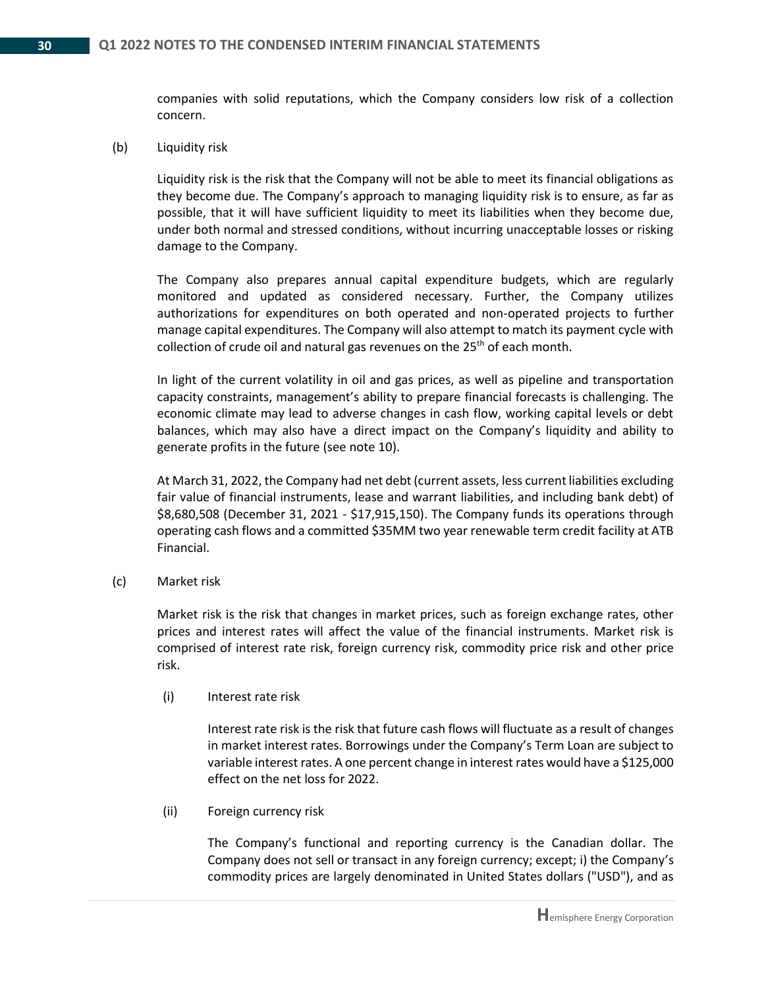companies with solid reputations, which the Company considers low risk of a collection concern.

#### (b) Liquidity risk

Liquidity risk is the risk that the Company will not be able to meet its financial obligations as they become due. The Company's approach to managing liquidity risk is to ensure, as far as possible, that it will have sufficient liquidity to meet its liabilities when they become due, under both normal and stressed conditions, without incurring unacceptable losses or risking damage to the Company.

The Company also prepares annual capital expenditure budgets, which are regularly monitored and updated as considered necessary. Further, the Company utilizes authorizations for expenditures on both operated and non-operated projects to further manage capital expenditures. The Company will also attempt to match its payment cycle with collection of crude oil and natural gas revenues on the  $25<sup>th</sup>$  of each month.

In light of the current volatility in oil and gas prices, as well as pipeline and transportation capacity constraints, management's ability to prepare financial forecasts is challenging. The economic climate may lead to adverse changes in cash flow, working capital levels or debt balances, which may also have a direct impact on the Company's liquidity and ability to generate profits in the future (see note 10).

At March 31, 2022, the Company had net debt (current assets, less current liabilities excluding fair value of financial instruments, lease and warrant liabilities, and including bank debt) of \$8,680,508 (December 31, 2021 - \$17,915,150). The Company funds its operations through operating cash flows and a committed \$35MM two year renewable term credit facility at ATB Financial.

## (c) Market risk

Market risk is the risk that changes in market prices, such as foreign exchange rates, other prices and interest rates will affect the value of the financial instruments. Market risk is comprised of interest rate risk, foreign currency risk, commodity price risk and other price risk.

(i) Interest rate risk

Interest rate risk is the risk that future cash flows will fluctuate as a result of changes in market interest rates. Borrowings under the Company's Term Loan are subject to variable interest rates. A one percent change in interest rates would have a \$125,000 effect on the net loss for 2022.

(ii) Foreign currency risk

The Company's functional and reporting currency is the Canadian dollar. The Company does not sell or transact in any foreign currency; except; i) the Company's commodity prices are largely denominated in United States dollars ("USD"), and as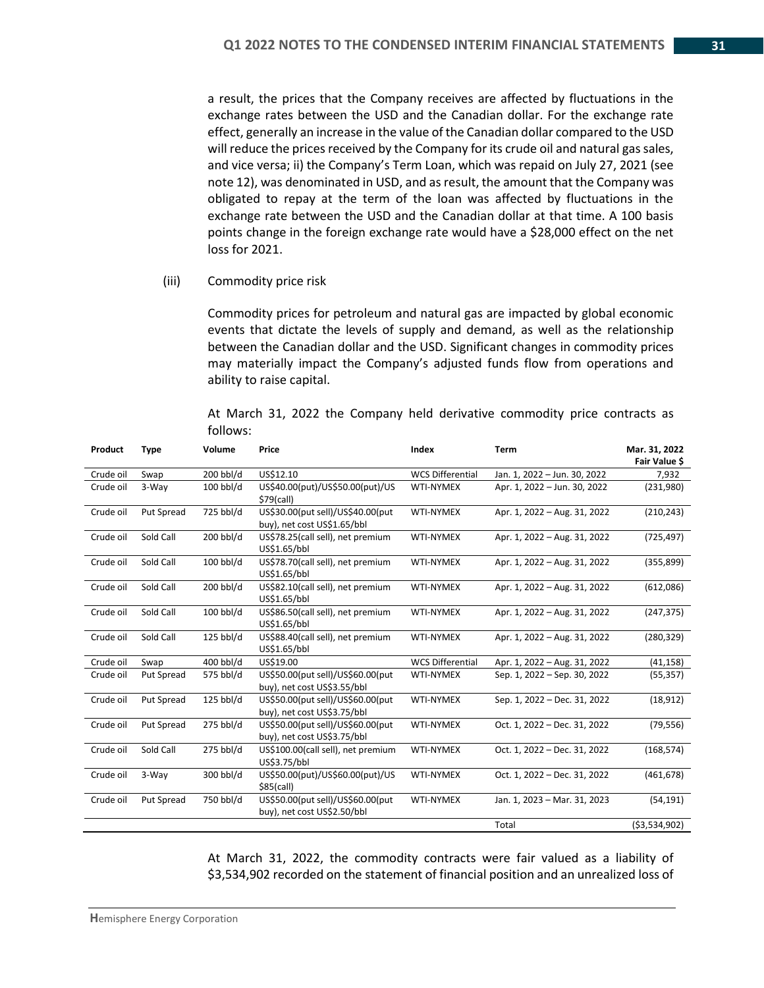a result, the prices that the Company receives are affected by fluctuations in the exchange rates between the USD and the Canadian dollar. For the exchange rate effect, generally an increase in the value of the Canadian dollar compared to the USD will reduce the prices received by the Company for its crude oil and natural gas sales, and vice versa; ii) the Company's Term Loan, which was repaid on July 27, 2021 (see note 12), was denominated in USD, and as result, the amount that the Company was obligated to repay at the term of the loan was affected by fluctuations in the exchange rate between the USD and the Canadian dollar at that time. A 100 basis points change in the foreign exchange rate would have a \$28,000 effect on the net loss for 2021.

(iii) Commodity price risk

Commodity prices for petroleum and natural gas are impacted by global economic events that dictate the levels of supply and demand, as well as the relationship between the Canadian dollar and the USD. Significant changes in commodity prices may materially impact the Company's adjusted funds flow from operations and ability to raise capital.

At March 31, 2022 the Company held derivative commodity price contracts as follows:

| Product   | <b>Type</b> | Volume      | Price                                                            | Index                   | <b>Term</b>                  | Mar. 31, 2022<br>Fair Value \$ |
|-----------|-------------|-------------|------------------------------------------------------------------|-------------------------|------------------------------|--------------------------------|
| Crude oil | Swap        | 200 bbl/d   | US\$12.10                                                        | <b>WCS Differential</b> | Jan. 1, 2022 - Jun. 30, 2022 | 7,932                          |
| Crude oil | 3-Way       | $100$ bbl/d | US\$40.00(put)/US\$50.00(put)/US<br>$$79$ (call)                 | <b>WTI-NYMEX</b>        | Apr. 1, 2022 - Jun. 30, 2022 | (231,980)                      |
| Crude oil | Put Spread  | 725 bbl/d   | US\$30.00(put sell)/US\$40.00(put<br>buy), net cost US\$1.65/bbl | <b>WTI-NYMEX</b>        | Apr. 1, 2022 - Aug. 31, 2022 | (210, 243)                     |
| Crude oil | Sold Call   | 200 bbl/d   | US\$78.25(call sell), net premium<br>US\$1.65/bbl                | <b>WTI-NYMEX</b>        | Apr. 1, 2022 - Aug. 31, 2022 | (725, 497)                     |
| Crude oil | Sold Call   | 100 bbl/d   | US\$78.70(call sell), net premium<br>US\$1.65/bbl                | <b>WTI-NYMEX</b>        | Apr. 1, 2022 - Aug. 31, 2022 | (355, 899)                     |
| Crude oil | Sold Call   | 200 bbl/d   | US\$82.10(call sell), net premium<br>US\$1.65/bbl                | <b>WTI-NYMEX</b>        | Apr. 1, 2022 - Aug. 31, 2022 | (612,086)                      |
| Crude oil | Sold Call   | 100 bbl/d   | US\$86.50(call sell), net premium<br>US\$1.65/bbl                | <b>WTI-NYMEX</b>        | Apr. 1, 2022 - Aug. 31, 2022 | (247, 375)                     |
| Crude oil | Sold Call   | 125 bbl/d   | US\$88.40(call sell), net premium<br>US\$1.65/bbl                | <b>WTI-NYMEX</b>        | Apr. 1, 2022 - Aug. 31, 2022 | (280, 329)                     |
| Crude oil | Swap        | 400 bbl/d   | US\$19.00                                                        | <b>WCS Differential</b> | Apr. 1, 2022 - Aug. 31, 2022 | (41, 158)                      |
| Crude oil | Put Spread  | 575 bbl/d   | US\$50.00(put sell)/US\$60.00(put<br>buy), net cost US\$3.55/bbl | <b>WTI-NYMEX</b>        | Sep. 1, 2022 - Sep. 30, 2022 | (55, 357)                      |
| Crude oil | Put Spread  | 125 bbl/d   | US\$50.00(put sell)/US\$60.00(put<br>buy), net cost US\$3.75/bbl | <b>WTI-NYMEX</b>        | Sep. 1, 2022 - Dec. 31, 2022 | (18, 912)                      |
| Crude oil | Put Spread  | 275 bbl/d   | US\$50.00(put sell)/US\$60.00(put<br>buy), net cost US\$3.75/bbl | <b>WTI-NYMEX</b>        | Oct. 1, 2022 - Dec. 31, 2022 | (79, 556)                      |
| Crude oil | Sold Call   | 275 bbl/d   | US\$100.00(call sell), net premium<br>US\$3.75/bbl               | <b>WTI-NYMEX</b>        | Oct. 1, 2022 - Dec. 31, 2022 | (168, 574)                     |
| Crude oil | 3-Way       | 300 bbl/d   | US\$50.00(put)/US\$60.00(put)/US<br>$$85$ (call)                 | <b>WTI-NYMEX</b>        | Oct. 1, 2022 - Dec. 31, 2022 | (461, 678)                     |
| Crude oil | Put Spread  | 750 bbl/d   | US\$50.00(put sell)/US\$60.00(put<br>buy), net cost US\$2.50/bbl | <b>WTI-NYMEX</b>        | Jan. 1, 2023 - Mar. 31, 2023 | (54, 191)                      |
|           |             |             |                                                                  |                         | Total                        | ( \$3,534,902)                 |

At March 31, 2022, the commodity contracts were fair valued as a liability of \$3,534,902 recorded on the statement of financial position and an unrealized loss of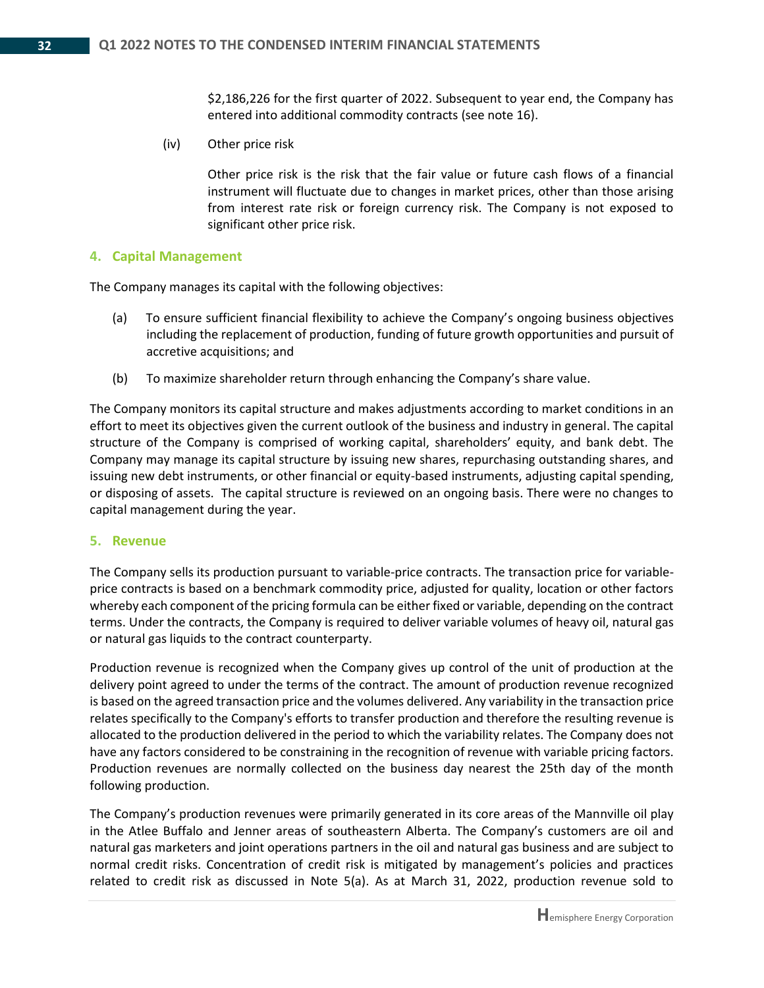\$2,186,226 for the first quarter of 2022. Subsequent to year end, the Company has entered into additional commodity contracts (see note 16).

(iv) Other price risk

Other price risk is the risk that the fair value or future cash flows of a financial instrument will fluctuate due to changes in market prices, other than those arising from interest rate risk or foreign currency risk. The Company is not exposed to significant other price risk.

## **4. Capital Management**

The Company manages its capital with the following objectives:

- (a) To ensure sufficient financial flexibility to achieve the Company's ongoing business objectives including the replacement of production, funding of future growth opportunities and pursuit of accretive acquisitions; and
- (b) To maximize shareholder return through enhancing the Company's share value.

The Company monitors its capital structure and makes adjustments according to market conditions in an effort to meet its objectives given the current outlook of the business and industry in general. The capital structure of the Company is comprised of working capital, shareholders' equity, and bank debt. The Company may manage its capital structure by issuing new shares, repurchasing outstanding shares, and issuing new debt instruments, or other financial or equity-based instruments, adjusting capital spending, or disposing of assets. The capital structure is reviewed on an ongoing basis. There were no changes to capital management during the year.

#### **5. Revenue**

The Company sells its production pursuant to variable-price contracts. The transaction price for variableprice contracts is based on a benchmark commodity price, adjusted for quality, location or other factors whereby each component of the pricing formula can be either fixed or variable, depending on the contract terms. Under the contracts, the Company is required to deliver variable volumes of heavy oil, natural gas or natural gas liquids to the contract counterparty.

Production revenue is recognized when the Company gives up control of the unit of production at the delivery point agreed to under the terms of the contract. The amount of production revenue recognized is based on the agreed transaction price and the volumes delivered. Any variability in the transaction price relates specifically to the Company's efforts to transfer production and therefore the resulting revenue is allocated to the production delivered in the period to which the variability relates. The Company does not have any factors considered to be constraining in the recognition of revenue with variable pricing factors. Production revenues are normally collected on the business day nearest the 25th day of the month following production.

The Company's production revenues were primarily generated in its core areas of the Mannville oil play in the Atlee Buffalo and Jenner areas of southeastern Alberta. The Company's customers are oil and natural gas marketers and joint operations partners in the oil and natural gas business and are subject to normal credit risks. Concentration of credit risk is mitigated by management's policies and practices related to credit risk as discussed in Note 5(a). As at March 31, 2022, production revenue sold to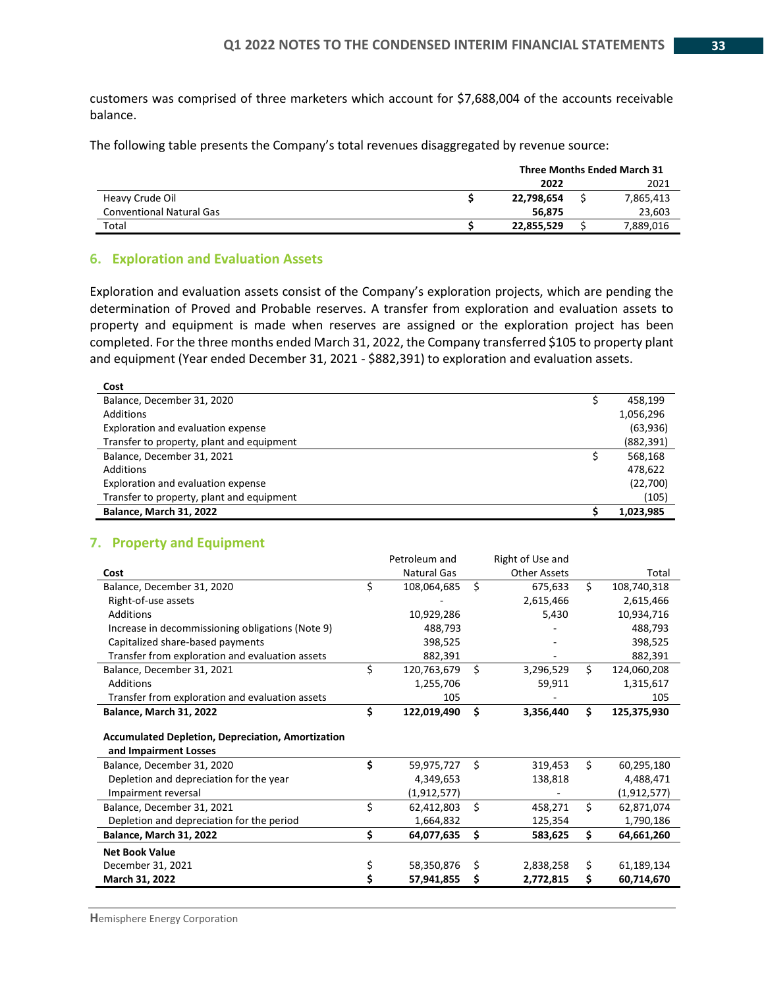customers was comprised of three marketers which account for \$7,688,004 of the accounts receivable balance.

The following table presents the Company's total revenues disaggregated by revenue source:

|                                 | Three Months Ended March 31 |  |           |  |  |
|---------------------------------|-----------------------------|--|-----------|--|--|
|                                 | 2022                        |  | 2021      |  |  |
| Heavy Crude Oil                 | 22,798,654                  |  | 7,865,413 |  |  |
| <b>Conventional Natural Gas</b> | 56.875                      |  | 23,603    |  |  |
| Total                           | 22,855,529                  |  | 7,889,016 |  |  |

#### **6. Exploration and Evaluation Assets**

Exploration and evaluation assets consist of the Company's exploration projects, which are pending the determination of Proved and Probable reserves. A transfer from exploration and evaluation assets to property and equipment is made when reserves are assigned or the exploration project has been completed. For the three months ended March 31, 2022, the Company transferred \$105 to property plant and equipment (Year ended December 31, 2021 - \$882,391) to exploration and evaluation assets.

| Cost                                      |            |
|-------------------------------------------|------------|
| Balance, December 31, 2020                | 458.199    |
| Additions                                 | 1,056,296  |
| Exploration and evaluation expense        | (63,936)   |
| Transfer to property, plant and equipment | (882, 391) |
| Balance, December 31, 2021                | 568,168    |
| Additions                                 | 478,622    |
| Exploration and evaluation expense        | (22,700)   |
| Transfer to property, plant and equipment | (105)      |
| <b>Balance, March 31, 2022</b>            | 1.023.985  |

## **7. Property and Equipment**

|                                                                                   | Petroleum and      |    | Right of Use and    |    |               |
|-----------------------------------------------------------------------------------|--------------------|----|---------------------|----|---------------|
| Cost                                                                              | <b>Natural Gas</b> |    | <b>Other Assets</b> |    | Total         |
| Balance, December 31, 2020                                                        | \$<br>108,064,685  | Ś. | 675,633             | Ś. | 108,740,318   |
| Right-of-use assets                                                               |                    |    | 2,615,466           |    | 2,615,466     |
| Additions                                                                         | 10,929,286         |    | 5,430               |    | 10,934,716    |
| Increase in decommissioning obligations (Note 9)                                  | 488,793            |    |                     |    | 488,793       |
| Capitalized share-based payments                                                  | 398,525            |    |                     |    | 398,525       |
| Transfer from exploration and evaluation assets                                   | 882,391            |    |                     |    | 882,391       |
| Balance, December 31, 2021                                                        | \$<br>120,763,679  | Ś. | 3,296,529           | Ś. | 124,060,208   |
| Additions                                                                         | 1,255,706          |    | 59,911              |    | 1,315,617     |
| Transfer from exploration and evaluation assets                                   | 105                |    |                     |    | 105           |
| <b>Balance, March 31, 2022</b>                                                    | \$<br>122,019,490  | \$ | 3,356,440           | \$ | 125,375,930   |
| <b>Accumulated Depletion, Depreciation, Amortization</b><br>and Impairment Losses |                    |    |                     |    |               |
| Balance, December 31, 2020                                                        | \$<br>59,975,727   | Ś. | 319,453             | Ś. | 60,295,180    |
| Depletion and depreciation for the year                                           | 4,349,653          |    | 138,818             |    | 4,488,471     |
| Impairment reversal                                                               | (1, 912, 577)      |    |                     |    | (1, 912, 577) |
| Balance, December 31, 2021                                                        | \$<br>62,412,803   | Ś. | 458,271             | Ś. | 62,871,074    |
| Depletion and depreciation for the period                                         | 1,664,832          |    | 125,354             |    | 1,790,186     |
| Balance, March 31, 2022                                                           | \$<br>64,077,635   | \$ | 583,625             | \$ | 64,661,260    |
| <b>Net Book Value</b>                                                             |                    |    |                     |    |               |
| December 31, 2021                                                                 | \$<br>58,350,876   | Ś. | 2,838,258           | \$ | 61,189,134    |
| March 31, 2022                                                                    | 57,941,855         | Ş  | 2,772,815           | \$ | 60,714,670    |
|                                                                                   |                    |    |                     |    |               |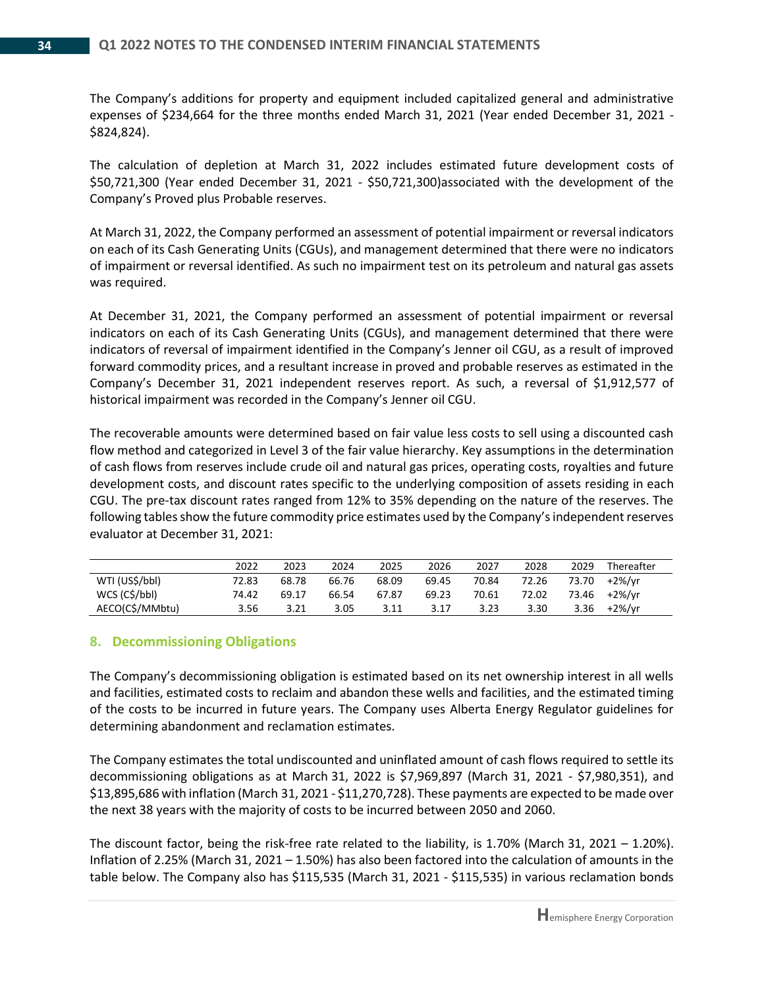The Company's additions for property and equipment included capitalized general and administrative expenses of \$234,664 for the three months ended March 31, 2021 (Year ended December 31, 2021 - \$824,824).

The calculation of depletion at March 31, 2022 includes estimated future development costs of \$50,721,300 (Year ended December 31, 2021 - \$50,721,300)associated with the development of the Company's Proved plus Probable reserves.

At March 31, 2022, the Company performed an assessment of potential impairment or reversal indicators on each of its Cash Generating Units (CGUs), and management determined that there were no indicators of impairment or reversal identified. As such no impairment test on its petroleum and natural gas assets was required.

At December 31, 2021, the Company performed an assessment of potential impairment or reversal indicators on each of its Cash Generating Units (CGUs), and management determined that there were indicators of reversal of impairment identified in the Company's Jenner oil CGU, as a result of improved forward commodity prices, and a resultant increase in proved and probable reserves as estimated in the Company's December 31, 2021 independent reserves report. As such, a reversal of \$1,912,577 of historical impairment was recorded in the Company's Jenner oil CGU.

The recoverable amounts were determined based on fair value less costs to sell using a discounted cash flow method and categorized in Level 3 of the fair value hierarchy. Key assumptions in the determination of cash flows from reserves include crude oil and natural gas prices, operating costs, royalties and future development costs, and discount rates specific to the underlying composition of assets residing in each CGU. The pre-tax discount rates ranged from 12% to 35% depending on the nature of the reserves. The following tables show the future commodity price estimates used by the Company's independent reserves evaluator at December 31, 2021:

|                 | 2022  | 2023  | 2024  | 2025  | 2026  | 2027  | 2028  | 2029  | Thereafter |
|-----------------|-------|-------|-------|-------|-------|-------|-------|-------|------------|
| WTI (US\$/bbl)  | 72.83 | 68.78 | 66.76 | 68.09 | 69.45 | 70.84 | 72.26 | 73.70 | +2%/vr     |
| WCS (C\$/bbl)   | 74.42 | 69.17 | 66.54 | 67.87 | 69.23 | 70.61 | 72.02 | 73.46 | +2%/vr     |
| AECO(C\$/MMbtu) | 3.56  | 3.21  | 3.05  | 3.11  | 3.17  | 3.23  | 3.30  | 3.36  | $+2\%/yr$  |

## **8. Decommissioning Obligations**

The Company's decommissioning obligation is estimated based on its net ownership interest in all wells and facilities, estimated costs to reclaim and abandon these wells and facilities, and the estimated timing of the costs to be incurred in future years. The Company uses Alberta Energy Regulator guidelines for determining abandonment and reclamation estimates.

The Company estimates the total undiscounted and uninflated amount of cash flows required to settle its decommissioning obligations as at March 31, 2022 is \$7,969,897 (March 31, 2021 - \$7,980,351), and \$13,895,686 with inflation (March 31, 2021 - \$11,270,728). These payments are expected to be made over the next 38 years with the majority of costs to be incurred between 2050 and 2060.

The discount factor, being the risk-free rate related to the liability, is  $1.70\%$  (March 31, 2021 – 1.20%). Inflation of 2.25% (March 31, 2021 – 1.50%) has also been factored into the calculation of amounts in the table below. The Company also has \$115,535 (March 31, 2021 - \$115,535) in various reclamation bonds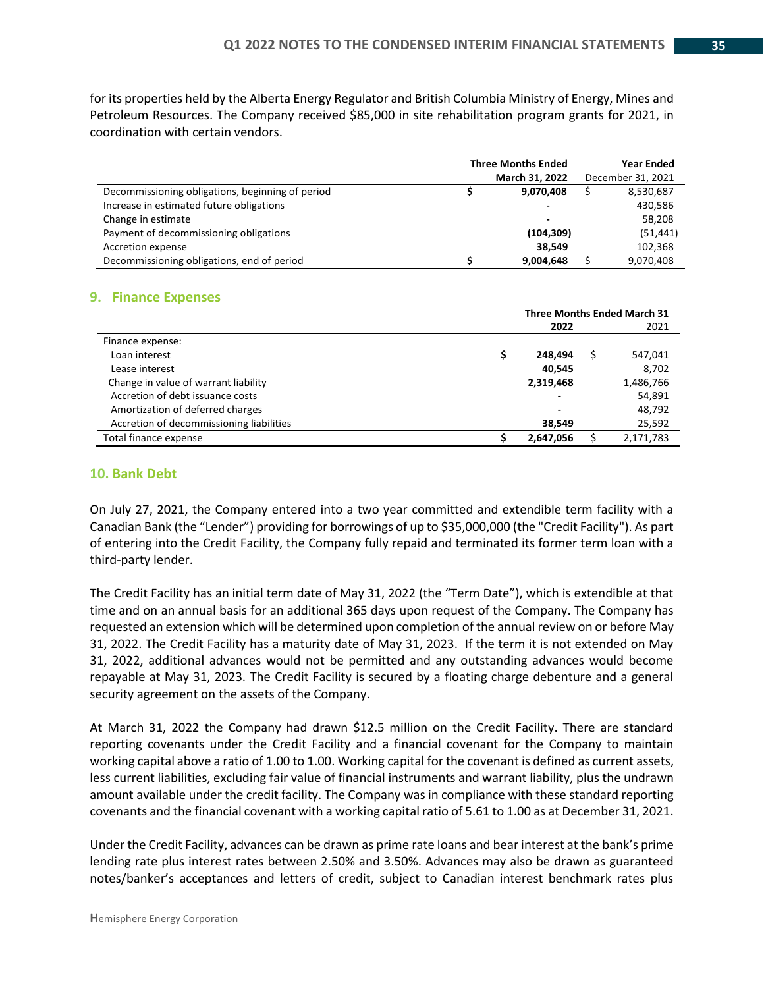for its properties held by the Alberta Energy Regulator and British Columbia Ministry of Energy, Mines and Petroleum Resources. The Company received \$85,000 in site rehabilitation program grants for 2021, in coordination with certain vendors.

|                                                  | <b>Three Months Ended</b> |                          |  | <b>Year Ended</b> |
|--------------------------------------------------|---------------------------|--------------------------|--|-------------------|
|                                                  |                           | March 31, 2022           |  | December 31, 2021 |
| Decommissioning obligations, beginning of period |                           | 9,070,408                |  | 8,530,687         |
| Increase in estimated future obligations         |                           | $\overline{\phantom{a}}$ |  | 430,586           |
| Change in estimate                               |                           |                          |  | 58,208            |
| Payment of decommissioning obligations           |                           | (104, 309)               |  | (51, 441)         |
| Accretion expense                                |                           | 38.549                   |  | 102,368           |
| Decommissioning obligations, end of period       |                           | 9,004,648                |  | 9,070,408         |

## **9. Finance Expenses**

|                                          | <b>Three Months Ended March 31</b> |                          |  |           |
|------------------------------------------|------------------------------------|--------------------------|--|-----------|
|                                          |                                    | 2022                     |  | 2021      |
| Finance expense:                         |                                    |                          |  |           |
| Loan interest                            | S                                  | 248.494                  |  | 547,041   |
| Lease interest                           |                                    | 40.545                   |  | 8,702     |
| Change in value of warrant liability     |                                    | 2,319,468                |  | 1,486,766 |
| Accretion of debt issuance costs         |                                    |                          |  | 54,891    |
| Amortization of deferred charges         |                                    | $\overline{\phantom{0}}$ |  | 48,792    |
| Accretion of decommissioning liabilities |                                    | 38,549                   |  | 25,592    |
| Total finance expense                    |                                    | 2,647,056                |  | 2,171,783 |

## **10. Bank Debt**

On July 27, 2021, the Company entered into a two year committed and extendible term facility with a Canadian Bank (the "Lender") providing for borrowings of up to \$35,000,000 (the "Credit Facility"). As part of entering into the Credit Facility, the Company fully repaid and terminated its former term loan with a third-party lender.

The Credit Facility has an initial term date of May 31, 2022 (the "Term Date"), which is extendible at that time and on an annual basis for an additional 365 days upon request of the Company. The Company has requested an extension which will be determined upon completion of the annual review on or before May 31, 2022. The Credit Facility has a maturity date of May 31, 2023. If the term it is not extended on May 31, 2022, additional advances would not be permitted and any outstanding advances would become repayable at May 31, 2023. The Credit Facility is secured by a floating charge debenture and a general security agreement on the assets of the Company.

At March 31, 2022 the Company had drawn \$12.5 million on the Credit Facility. There are standard reporting covenants under the Credit Facility and a financial covenant for the Company to maintain working capital above a ratio of 1.00 to 1.00. Working capital for the covenant is defined as current assets, less current liabilities, excluding fair value of financial instruments and warrant liability, plus the undrawn amount available under the credit facility. The Company was in compliance with these standard reporting covenants and the financial covenant with a working capital ratio of 5.61 to 1.00 as at December 31, 2021.

Under the Credit Facility, advances can be drawn as prime rate loans and bear interest at the bank's prime lending rate plus interest rates between 2.50% and 3.50%. Advances may also be drawn as guaranteed notes/banker's acceptances and letters of credit, subject to Canadian interest benchmark rates plus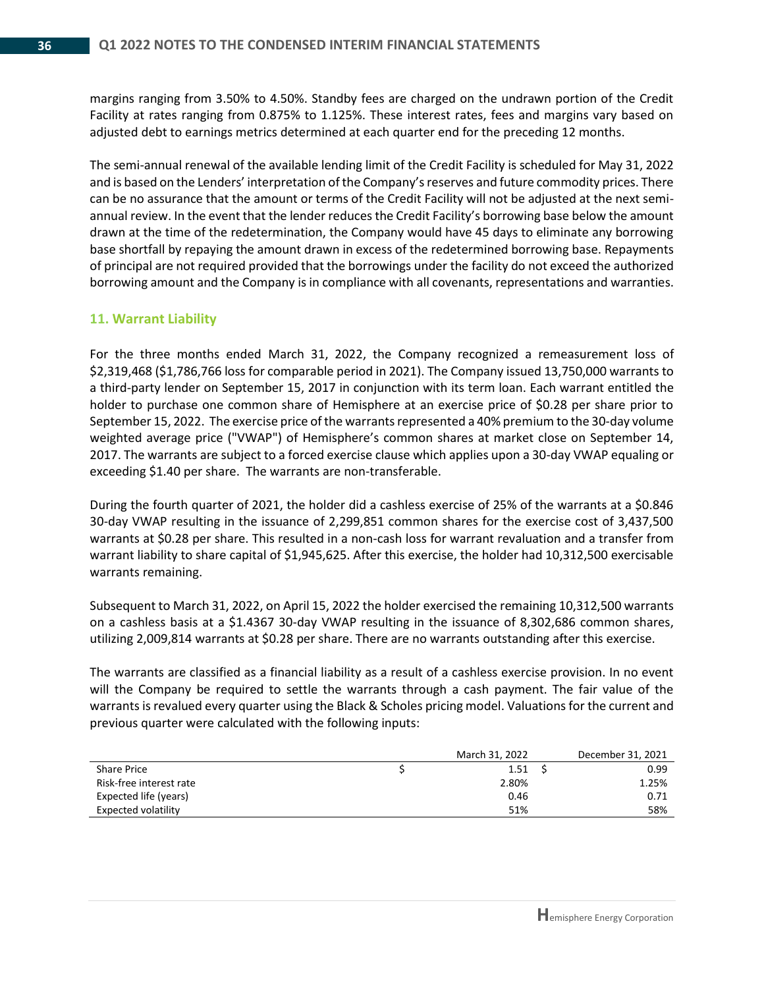margins ranging from 3.50% to 4.50%. Standby fees are charged on the undrawn portion of the Credit Facility at rates ranging from 0.875% to 1.125%. These interest rates, fees and margins vary based on adjusted debt to earnings metrics determined at each quarter end for the preceding 12 months.

The semi-annual renewal of the available lending limit of the Credit Facility is scheduled for May 31, 2022 and is based on the Lenders' interpretation of the Company's reserves and future commodity prices. There can be no assurance that the amount or terms of the Credit Facility will not be adjusted at the next semiannual review. In the event that the lender reduces the Credit Facility's borrowing base below the amount drawn at the time of the redetermination, the Company would have 45 days to eliminate any borrowing base shortfall by repaying the amount drawn in excess of the redetermined borrowing base. Repayments of principal are not required provided that the borrowings under the facility do not exceed the authorized borrowing amount and the Company is in compliance with all covenants, representations and warranties.

## **11. Warrant Liability**

For the three months ended March 31, 2022, the Company recognized a remeasurement loss of \$2,319,468 (\$1,786,766 loss for comparable period in 2021). The Company issued 13,750,000 warrants to a third-party lender on September 15, 2017 in conjunction with its term loan. Each warrant entitled the holder to purchase one common share of Hemisphere at an exercise price of \$0.28 per share prior to September 15, 2022. The exercise price of the warrants represented a 40% premium to the 30-day volume weighted average price ("VWAP") of Hemisphere's common shares at market close on September 14, 2017. The warrants are subject to a forced exercise clause which applies upon a 30-day VWAP equaling or exceeding \$1.40 per share. The warrants are non-transferable.

During the fourth quarter of 2021, the holder did a cashless exercise of 25% of the warrants at a \$0.846 30-day VWAP resulting in the issuance of 2,299,851 common shares for the exercise cost of 3,437,500 warrants at \$0.28 per share. This resulted in a non-cash loss for warrant revaluation and a transfer from warrant liability to share capital of \$1,945,625. After this exercise, the holder had 10,312,500 exercisable warrants remaining.

Subsequent to March 31, 2022, on April 15, 2022 the holder exercised the remaining 10,312,500 warrants on a cashless basis at a \$1.4367 30-day VWAP resulting in the issuance of 8,302,686 common shares, utilizing 2,009,814 warrants at \$0.28 per share. There are no warrants outstanding after this exercise.

The warrants are classified as a financial liability as a result of a cashless exercise provision. In no event will the Company be required to settle the warrants through a cash payment. The fair value of the warrants is revalued every quarter using the Black & Scholes pricing model. Valuations for the current and previous quarter were calculated with the following inputs:

|                         | March 31, 2022 | December 31, 2021 |
|-------------------------|----------------|-------------------|
| <b>Share Price</b>      | 1.51           | 0.99              |
| Risk-free interest rate | 2.80%          | 1.25%             |
| Expected life (years)   | 0.46           | 0.71              |
| Expected volatility     | 51%            | 58%               |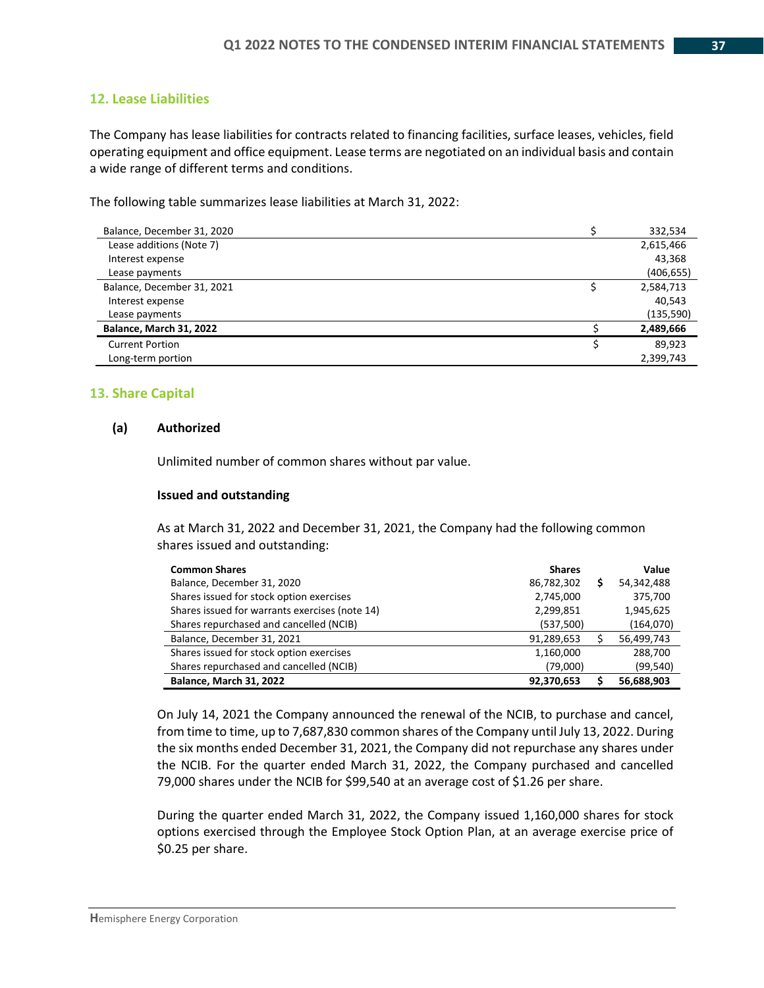### **12. Lease Liabilities**

The Company has lease liabilities for contracts related to financing facilities, surface leases, vehicles, field operating equipment and office equipment. Lease terms are negotiated on an individual basis and contain a wide range of different terms and conditions.

The following table summarizes lease liabilities at March 31, 2022:

| Balance, December 31, 2020     | 332,534    |
|--------------------------------|------------|
| Lease additions (Note 7)       | 2,615,466  |
| Interest expense               | 43,368     |
| Lease payments                 | (406, 655) |
| Balance, December 31, 2021     | 2,584,713  |
| Interest expense               | 40.543     |
| Lease payments                 | (135, 590) |
| <b>Balance, March 31, 2022</b> | 2,489,666  |
| <b>Current Portion</b>         | 89,923     |
| Long-term portion              | 2,399,743  |

#### **13. Share Capital**

#### **(a) Authorized**

Unlimited number of common shares without par value.

#### **Issued and outstanding**

As at March 31, 2022 and December 31, 2021, the Company had the following common shares issued and outstanding:

| <b>Common Shares</b>                           | <b>Shares</b> | Value      |
|------------------------------------------------|---------------|------------|
| Balance, December 31, 2020                     | 86,782,302    | 54,342,488 |
| Shares issued for stock option exercises       | 2,745,000     | 375,700    |
| Shares issued for warrants exercises (note 14) | 2,299,851     | 1,945,625  |
| Shares repurchased and cancelled (NCIB)        | (537,500)     | (164,070)  |
| Balance, December 31, 2021                     | 91,289,653    | 56,499,743 |
| Shares issued for stock option exercises       | 1,160,000     | 288.700    |
| Shares repurchased and cancelled (NCIB)        | (79,000)      | (99,540)   |
| <b>Balance, March 31, 2022</b>                 | 92,370,653    | 56,688,903 |

On July 14, 2021 the Company announced the renewal of the NCIB, to purchase and cancel, from time to time, up to 7,687,830 common shares of the Company until July 13, 2022. During the six months ended December 31, 2021, the Company did not repurchase any shares under the NCIB. For the quarter ended March 31, 2022, the Company purchased and cancelled 79,000 shares under the NCIB for \$99,540 at an average cost of \$1.26 per share.

During the quarter ended March 31, 2022, the Company issued 1,160,000 shares for stock options exercised through the Employee Stock Option Plan, at an average exercise price of \$0.25 per share.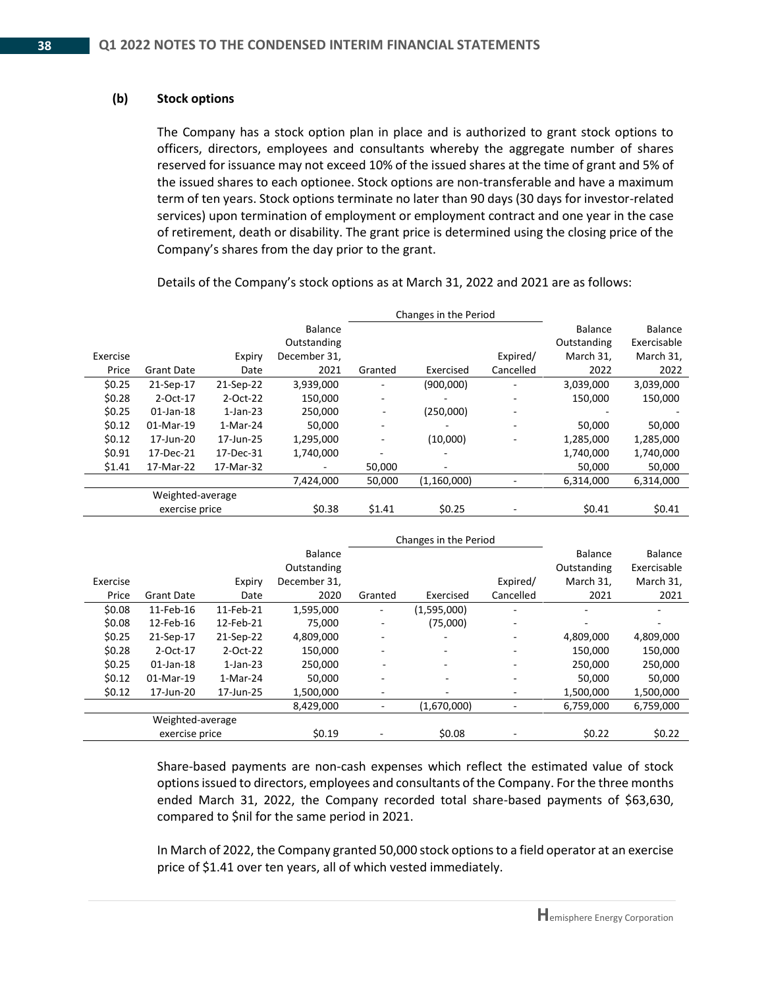### **(b) Stock options**

The Company has a stock option plan in place and is authorized to grant stock options to officers, directors, employees and consultants whereby the aggregate number of shares reserved for issuance may not exceed 10% of the issued shares at the time of grant and 5% of the issued shares to each optionee. Stock options are non-transferable and have a maximum term of ten years. Stock options terminate no later than 90 days (30 days for investor-related services) upon termination of employment or employment contract and one year in the case of retirement, death or disability. The grant price is determined using the closing price of the Company's shares from the day prior to the grant.

|          |                  |             |                | Changes in the Period |             |           |             |             |
|----------|------------------|-------------|----------------|-----------------------|-------------|-----------|-------------|-------------|
|          |                  |             | <b>Balance</b> |                       |             |           | Balance     | Balance     |
|          |                  |             | Outstanding    |                       |             |           | Outstanding | Exercisable |
| Exercise |                  | Expiry      | December 31.   |                       |             | Expired/  | March 31.   | March 31.   |
| Price    | Grant Date       | Date        | 2021           | Granted               | Exercised   | Cancelled | 2022        | 2022        |
| \$0.25   | 21-Sep-17        | 21-Sep-22   | 3,939,000      |                       | (900,000)   |           | 3,039,000   | 3,039,000   |
| \$0.28   | $2-Oct-17$       | 2-Oct-22    | 150,000        | ۰                     |             | ۰         | 150,000     | 150,000     |
| \$0.25   | 01-Jan-18        | $1$ -Jan-23 | 250,000        | ٠                     | (250,000)   | ۰         |             |             |
| \$0.12   | 01-Mar-19        | 1-Mar-24    | 50.000         | -                     |             | ٠         | 50.000      | 50,000      |
| \$0.12   | 17-Jun-20        | 17-Jun-25   | 1,295,000      |                       | (10,000)    |           | 1,285,000   | 1,285,000   |
| \$0.91   | 17-Dec-21        | 17-Dec-31   | 1,740,000      |                       |             |           | 1,740,000   | 1,740,000   |
| \$1.41   | 17-Mar-22        | 17-Mar-32   |                | 50,000                |             |           | 50,000      | 50,000      |
|          |                  |             | 7,424,000      | 50,000                | (1,160,000) |           | 6,314,000   | 6,314,000   |
|          | Weighted-average |             |                |                       |             |           |             |             |
|          | exercise price   |             | \$0.38         | \$1.41                | \$0.25      |           | \$0.41      | \$0.41      |

Details of the Company's stock options as at March 31, 2022 and 2021 are as follows:

|          |                   |             |                |         | Changes in the Period |           |                |                |
|----------|-------------------|-------------|----------------|---------|-----------------------|-----------|----------------|----------------|
|          |                   |             | <b>Balance</b> |         |                       |           | <b>Balance</b> | <b>Balance</b> |
|          |                   |             | Outstanding    |         |                       |           | Outstanding    | Exercisable    |
| Exercise |                   | Expiry      | December 31,   |         |                       | Expired/  | March 31,      | March 31,      |
| Price    | <b>Grant Date</b> | Date        | 2020           | Granted | Exercised             | Cancelled | 2021           | 2021           |
| \$0.08   | 11-Feb-16         | 11-Feb-21   | 1,595,000      | ٠       | (1,595,000)           |           |                |                |
| \$0.08   | 12-Feb-16         | 12-Feb-21   | 75,000         |         | (75,000)              |           |                |                |
| \$0.25   | 21-Sep-17         | 21-Sep-22   | 4,809,000      |         |                       | ٠         | 4,809,000      | 4,809,000      |
| \$0.28   | 2-Oct-17          | 2-Oct-22    | 150.000        |         |                       |           | 150.000        | 150,000        |
| \$0.25   | $01$ -Jan-18      | $1$ -Jan-23 | 250.000        |         |                       |           | 250.000        | 250,000        |
| \$0.12   | 01-Mar-19         | 1-Mar-24    | 50,000         |         |                       | ۰         | 50,000         | 50,000         |
| \$0.12   | 17-Jun-20         | 17-Jun-25   | 1,500,000      | ۰       |                       | ٠         | 1,500,000      | 1,500,000      |
|          |                   |             | 8,429,000      |         | (1,670,000)           |           | 6,759,000      | 6,759,000      |
|          | Weighted-average  |             |                |         |                       |           |                |                |
|          | exercise price    |             | \$0.19         |         | \$0.08                |           | \$0.22         | \$0.22         |

Share-based payments are non-cash expenses which reflect the estimated value of stock options issued to directors, employees and consultants of the Company. For the three months ended March 31, 2022, the Company recorded total share-based payments of \$63,630, compared to \$nil for the same period in 2021.

In March of 2022, the Company granted 50,000 stock options to a field operator at an exercise price of \$1.41 over ten years, all of which vested immediately.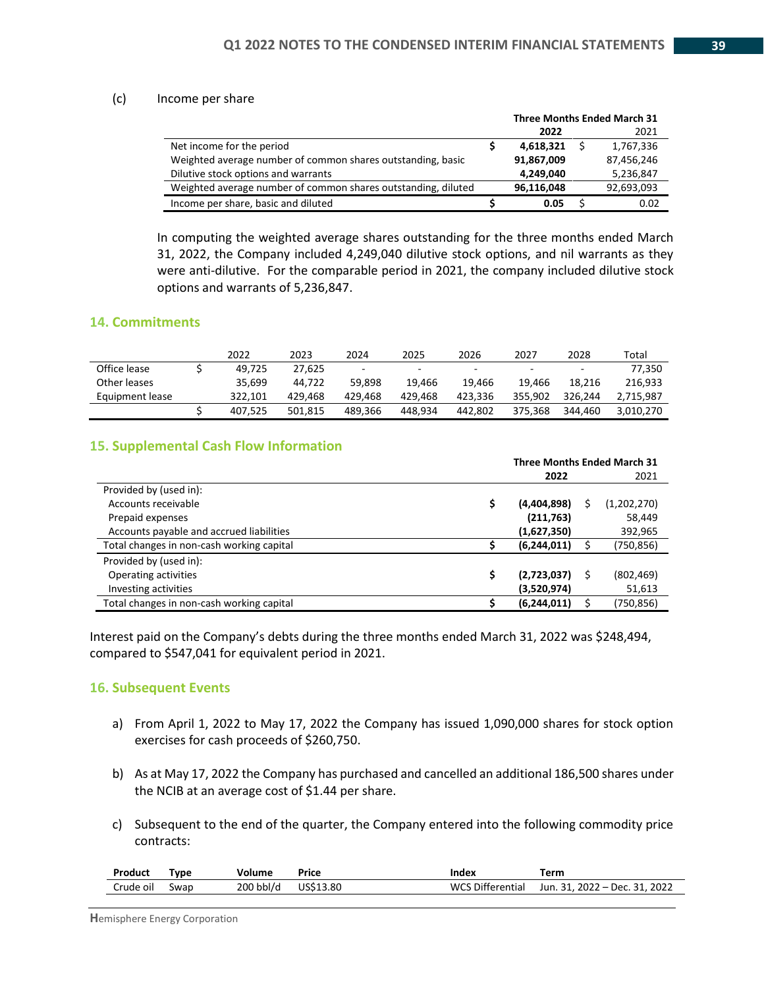#### (c) Income per share

|                                                               | <b>Three Months Ended March 31</b> |  |            |  |
|---------------------------------------------------------------|------------------------------------|--|------------|--|
|                                                               | 2022                               |  | 2021       |  |
| Net income for the period                                     | 4,618,321                          |  | 1,767,336  |  |
| Weighted average number of common shares outstanding, basic   | 91,867,009                         |  | 87,456,246 |  |
| Dilutive stock options and warrants                           | 4,249,040                          |  | 5,236,847  |  |
| Weighted average number of common shares outstanding, diluted | 96,116,048                         |  | 92,693,093 |  |
| Income per share, basic and diluted                           | 0.05                               |  | 0.02       |  |

In computing the weighted average shares outstanding for the three months ended March 31, 2022, the Company included 4,249,040 dilutive stock options, and nil warrants as they were anti-dilutive. For the comparable period in 2021, the company included dilutive stock options and warrants of 5,236,847.

## **14. Commitments**

|                 | 2022    | 2023    | 2024                     | 2025    | 2026    | 2027    | 2028                     | Total     |
|-----------------|---------|---------|--------------------------|---------|---------|---------|--------------------------|-----------|
| Office lease    | 49.725  | 27.625  | $\overline{\phantom{a}}$ | -       | -       |         | $\overline{\phantom{0}}$ | 77.350    |
| Other leases    | 35.699  | 44.722  | 59.898                   | 19.466  | 19.466  | 19.466  | 18.216                   | 216.933   |
| Equipment lease | 322.101 | 429.468 | 429.468                  | 429.468 | 423.336 | 355.902 | 326.244                  | 2.715.987 |
|                 | 407.525 | 501.815 | 489.366                  | 448.934 | 442.802 | 375.368 | 344.460                  | 3.010.270 |

## **15. Supplemental Cash Flow Information**

|                                           | <b>Three Months Ended March 31</b> |               |    |             |
|-------------------------------------------|------------------------------------|---------------|----|-------------|
|                                           |                                    | 2022          |    | 2021        |
| Provided by (used in):                    |                                    |               |    |             |
| Accounts receivable                       | \$                                 | (4,404,898)   | Ś. | (1,202,270) |
| Prepaid expenses                          |                                    | (211,763)     |    | 58,449      |
| Accounts payable and accrued liabilities  |                                    | (1,627,350)   |    | 392,965     |
| Total changes in non-cash working capital |                                    | (6, 244, 011) |    | (750, 856)  |
| Provided by (used in):                    |                                    |               |    |             |
| Operating activities                      | \$                                 | (2,723,037)   | S  | (802, 469)  |
| Investing activities                      |                                    | (3,520,974)   |    | 51,613      |
| Total changes in non-cash working capital |                                    | (6, 244, 011) |    | (750,856)   |

Interest paid on the Company's debts during the three months ended March 31, 2022 was \$248,494, compared to \$547,041 for equivalent period in 2021.

## **16. Subsequent Events**

- a) From April 1, 2022 to May 17, 2022 the Company has issued 1,090,000 shares for stock option exercises for cash proceeds of \$260,750.
- b) As at May 17, 2022 the Company has purchased and cancelled an additional 186,500 shares under the NCIB at an average cost of \$1.44 per share.
- c) Subsequent to the end of the quarter, the Company entered into the following commodity price contracts:

| Product   | Type | olume!         | Price     | Index                      | Term                          |
|-----------|------|----------------|-----------|----------------------------|-------------------------------|
| Crude oil | Swap | bbl/d ا<br>200 | US\$13.80 | Differential<br><b>WCS</b> | Jun. 31. 2022 - Dec. 31. 2022 |